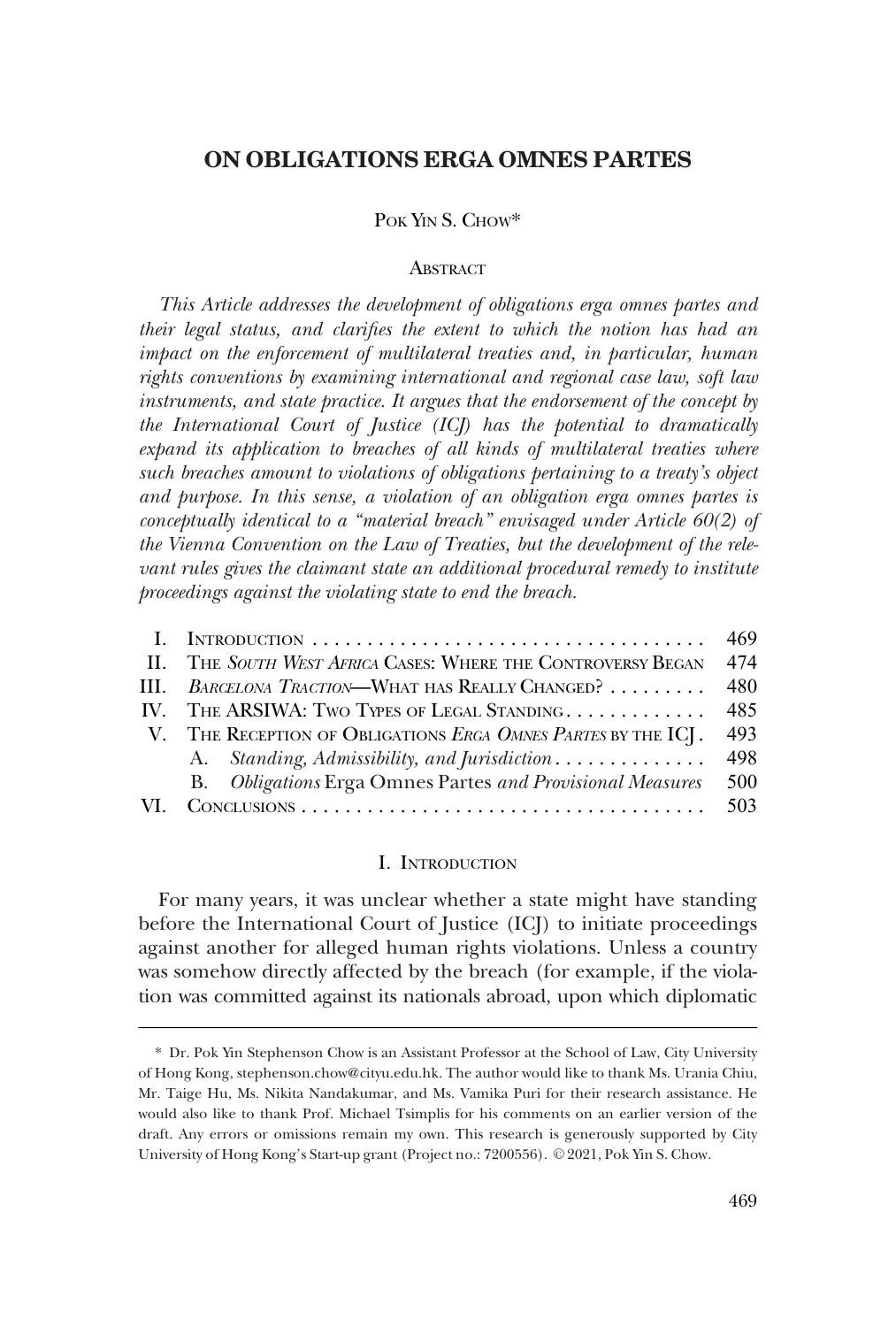# POK YIN S. CHOW\*

#### ABSTRACT

*This Article addresses the development of obligations erga omnes partes and their legal status, and clarifies the extent to which the notion has had an impact on the enforcement of multilateral treaties and, in particular, human rights conventions by examining international and regional case law, soft law instruments, and state practice. It argues that the endorsement of the concept by the International Court of Justice (ICJ) has the potential to dramatically expand its application to breaches of all kinds of multilateral treaties where such breaches amount to violations of obligations pertaining to a treaty's object and purpose. In this sense, a violation of an obligation erga omnes partes is conceptually identical to a "material breach" envisaged under Article 60(2) of the Vienna Convention on the Law of Treaties, but the development of the relevant rules gives the claimant state an additional procedural remedy to institute proceedings against the violating state to end the breach.* 

|     |                                                               | 469 |
|-----|---------------------------------------------------------------|-----|
|     | II. THE SOUTH WEST AFRICA CASES: WHERE THE CONTROVERSY BEGAN  | 474 |
|     | III. BARCELONA TRACTION-WHAT HAS REALLY CHANGED?              | 480 |
|     | IV. THE ARSIWA: TWO TYPES OF LEGAL STANDING                   | 485 |
|     | V. THE RECEPTION OF OBLIGATIONS ERGA OMNES PARTES BY THE ICJ. | 493 |
|     | A. Standing, Admissibility, and Jurisdiction                  | 498 |
|     | B. Obligations Erga Omnes Partes and Provisional Measures     | 500 |
| VI. |                                                               |     |

#### I. INTRODUCTION

For many years, it was unclear whether a state might have standing before the International Court of Justice (ICJ) to initiate proceedings against another for alleged human rights violations. Unless a country was somehow directly affected by the breach (for example, if the violation was committed against its nationals abroad, upon which diplomatic

<sup>\*</sup> Dr. Pok Yin Stephenson Chow is an Assistant Professor at the School of Law, City University of Hong Kong, stephenson.chow@cityu.edu.hk. The author would like to thank Ms. Urania Chiu, Mr. Taige Hu, Ms. Nikita Nandakumar, and Ms. Vamika Puri for their research assistance. He would also like to thank Prof. Michael Tsimplis for his comments on an earlier version of the draft. Any errors or omissions remain my own. This research is generously supported by City University of Hong Kong's Start-up grant (Project no.: 7200556). © 2021, Pok Yin S. Chow.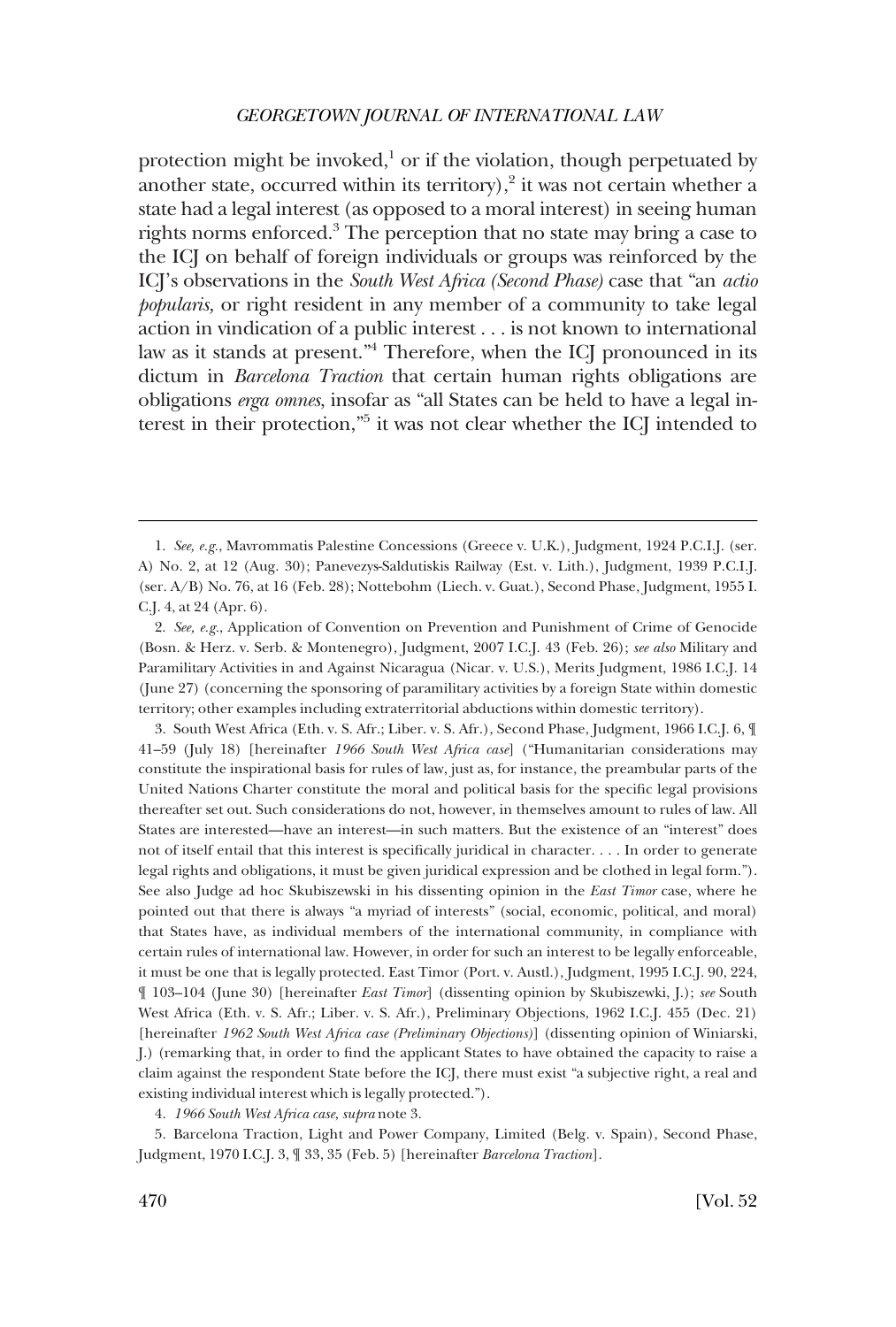protection might be invoked, $\frac{1}{2}$  or if the violation, though perpetuated by another state, occurred within its territory), $\frac{2}{3}$  it was not certain whether a state had a legal interest (as opposed to a moral interest) in seeing human rights norms enforced.<sup>3</sup> The perception that no state may bring a case to the ICJ on behalf of foreign individuals or groups was reinforced by the ICJ's observations in the *South West Africa (Second Phase)* case that "an *actio popularis,* or right resident in any member of a community to take legal action in vindication of a public interest . . . is not known to international law as it stands at present."4 Therefore, when the ICJ pronounced in its dictum in *Barcelona Traction* that certain human rights obligations are obligations *erga omnes*, insofar as "all States can be held to have a legal interest in their protection,"5 it was not clear whether the ICJ intended to

3. South West Africa (Eth. v. S. Afr.; Liber. v. S. Afr.), Second Phase, Judgment, 1966 I.C.J. 6, ¶ 41–59 (July 18) [hereinafter *1966 South West Africa case*] ("Humanitarian considerations may constitute the inspirational basis for rules of law, just as, for instance, the preambular parts of the United Nations Charter constitute the moral and political basis for the specific legal provisions thereafter set out. Such considerations do not, however, in themselves amount to rules of law. All States are interested—have an interest—in such matters. But the existence of an "interest" does not of itself entail that this interest is specifically juridical in character. . . . In order to generate legal rights and obligations, it must be given juridical expression and be clothed in legal form."). See also Judge ad hoc Skubiszewski in his dissenting opinion in the *East Timor* case, where he pointed out that there is always "a myriad of interests" (social, economic, political, and moral) that States have, as individual members of the international community, in compliance with certain rules of international law. However, in order for such an interest to be legally enforceable, it must be one that is legally protected. East Timor (Port. v. Austl.), Judgment, 1995 I.C.J. 90, 224, ¶ 103–104 (June 30) [hereinafter *East Timor*] (dissenting opinion by Skubiszewki, J.); *see* South West Africa (Eth. v. S. Afr.; Liber. v. S. Afr.), Preliminary Objections, 1962 I.C.J. 455 (Dec. 21) [hereinafter *1962 South West Africa case (Preliminary Objections)*] (dissenting opinion of Winiarski, J.) (remarking that, in order to find the applicant States to have obtained the capacity to raise a claim against the respondent State before the ICJ, there must exist "a subjective right, a real and existing individual interest which is legally protected.").

4. *1966 South West Africa case*, *supra* note 3.

5. Barcelona Traction, Light and Power Company, Limited (Belg. v. Spain), Second Phase, Judgment, 1970 I.C.J. 3, ¶ 33, 35 (Feb. 5) [hereinafter *Barcelona Traction*].

<sup>1.</sup> *See, e.g.*, Mavrommatis Palestine Concessions (Greece v. U.K.), Judgment, 1924 P.C.I.J. (ser. A) No. 2, at 12 (Aug. 30); Panevezys-Saldutiskis Railway (Est. v. Lith.), Judgment, 1939 P.C.I.J. (ser. A/B) No. 76, at 16 (Feb. 28); Nottebohm (Liech. v. Guat.), Second Phase, Judgment, 1955 I. C.J. 4, at 24 (Apr. 6).

<sup>2.</sup> *See, e.g.*, Application of Convention on Prevention and Punishment of Crime of Genocide (Bosn. & Herz. v. Serb. & Montenegro), Judgment, 2007 I.C.J. 43 (Feb. 26); *see also* Military and Paramilitary Activities in and Against Nicaragua (Nicar. v. U.S.), Merits Judgment, 1986 I.C.J. 14 (June 27) (concerning the sponsoring of paramilitary activities by a foreign State within domestic territory; other examples including extraterritorial abductions within domestic territory).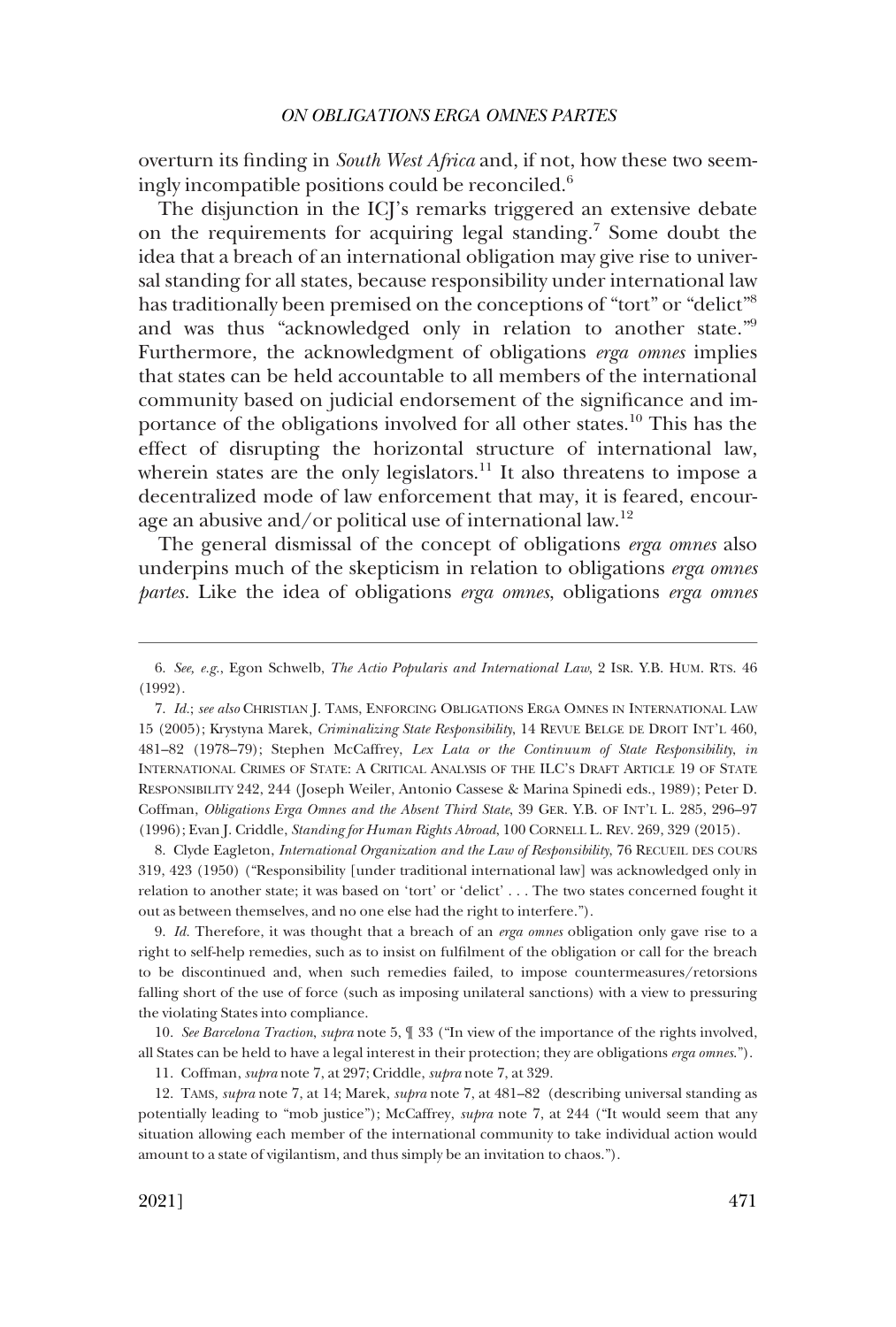overturn its finding in *South West Africa* and, if not, how these two seemingly incompatible positions could be reconciled.<sup>6</sup>

The disjunction in the ICJ's remarks triggered an extensive debate on the requirements for acquiring legal standing.7 Some doubt the idea that a breach of an international obligation may give rise to universal standing for all states, because responsibility under international law has traditionally been premised on the conceptions of "tort" or "delict"<sup>8</sup> and was thus "acknowledged only in relation to another state."9 Furthermore, the acknowledgment of obligations *erga omnes* implies that states can be held accountable to all members of the international community based on judicial endorsement of the significance and importance of the obligations involved for all other states.10 This has the effect of disrupting the horizontal structure of international law, wherein states are the only legislators.<sup>11</sup> It also threatens to impose a decentralized mode of law enforcement that may, it is feared, encourage an abusive and/or political use of international law.<sup>12</sup>

The general dismissal of the concept of obligations *erga omnes* also underpins much of the skepticism in relation to obligations *erga omnes partes.* Like the idea of obligations *erga omnes*, obligations *erga omnes* 

8. Clyde Eagleton, *International Organization and the Law of Responsibility*, 76 RECUEIL DES COURS 319, 423 (1950) ("Responsibility [under traditional international law] was acknowledged only in relation to another state; it was based on 'tort' or 'delict' . . . The two states concerned fought it out as between themselves, and no one else had the right to interfere.").

9. *Id.* Therefore, it was thought that a breach of an *erga omnes* obligation only gave rise to a right to self-help remedies, such as to insist on fulfilment of the obligation or call for the breach to be discontinued and, when such remedies failed, to impose countermeasures/retorsions falling short of the use of force (such as imposing unilateral sanctions) with a view to pressuring the violating States into compliance.

10. *See Barcelona Traction*, *supra* note 5, ¶ 33 ("In view of the importance of the rights involved, all States can be held to have a legal interest in their protection; they are obligations *erga omnes*."). 11. Coffman, *supra* note 7, at 297; Criddle, *supra* note 7, at 329.

12. TAMS, *supra* note 7, at 14; Marek, *supra* note 7, at 481–82 (describing universal standing as

potentially leading to "mob justice"); McCaffrey, *supra* note 7, at 244 ("It would seem that any situation allowing each member of the international community to take individual action would amount to a state of vigilantism, and thus simply be an invitation to chaos.").

<sup>6.</sup> *See, e.g.*, Egon Schwelb, *The Actio Popularis and International Law*, 2 ISR. Y.B. HUM. RTS. 46 (1992).

<sup>7.</sup> *Id.*; *see also* CHRISTIAN J. TAMS, ENFORCING OBLIGATIONS ERGA OMNES IN INTERNATIONAL LAW 15 (2005); Krystyna Marek, *Criminalizing State Responsibility*, 14 REVUE BELGE DE DROIT INT'L 460, 481–82 (1978–79); Stephen McCaffrey, *Lex Lata or the Continuum of State Responsibility*, *in*  INTERNATIONAL CRIMES OF STATE: A CRITICAL ANALYSIS OF THE ILC'S DRAFT ARTICLE 19 OF STATE RESPONSIBILITY 242, 244 (Joseph Weiler, Antonio Cassese & Marina Spinedi eds., 1989); Peter D. Coffman, *Obligations Erga Omnes and the Absent Third State*, 39 GER. Y.B. OF INT'L L. 285, 296–97 (1996); Evan J. Criddle, *Standing for Human Rights Abroad*, 100 CORNELL L. REV. 269, 329 (2015).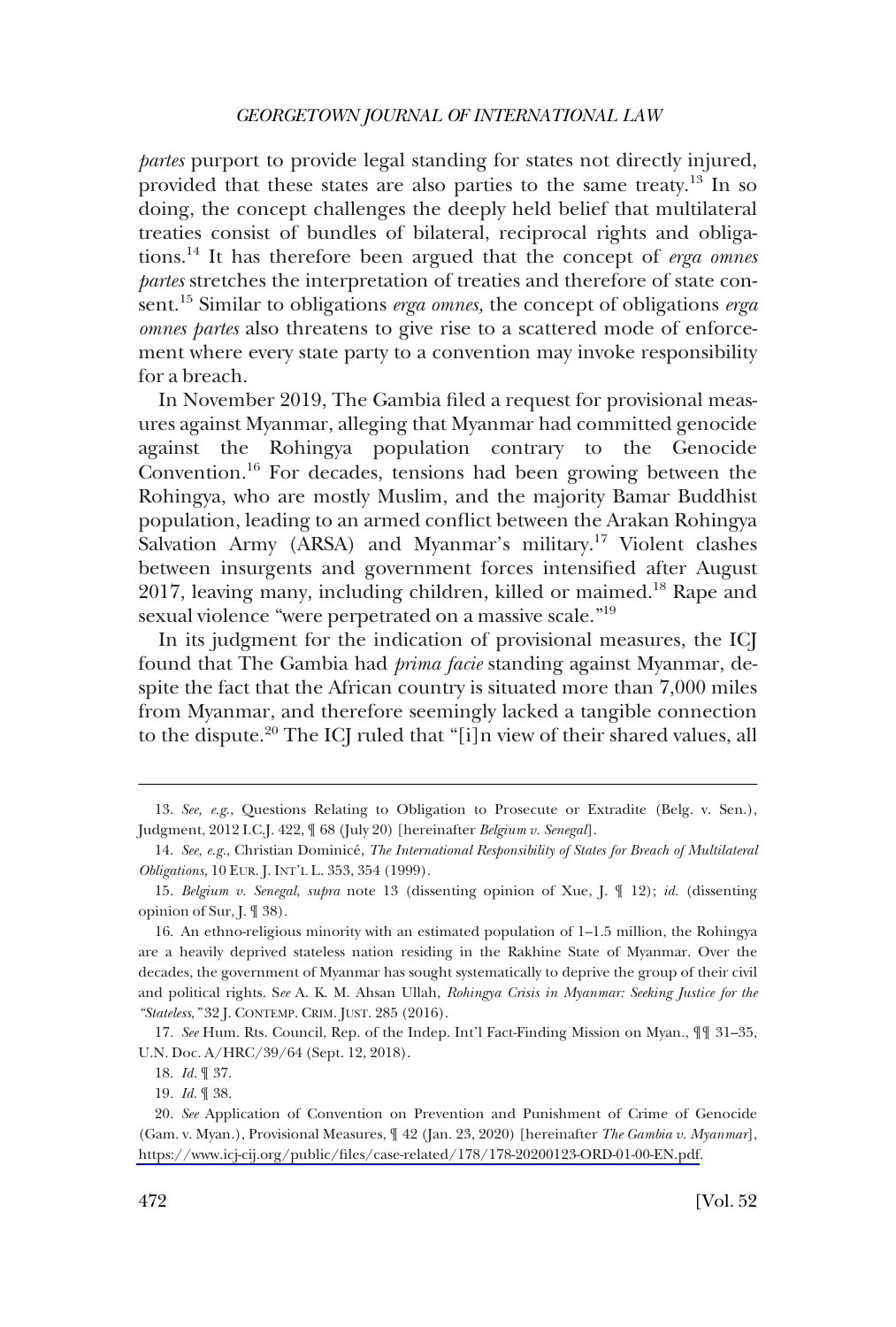*partes* purport to provide legal standing for states not directly injured, provided that these states are also parties to the same treaty.13 In so doing, the concept challenges the deeply held belief that multilateral treaties consist of bundles of bilateral, reciprocal rights and obligations.14 It has therefore been argued that the concept of *erga omnes partes* stretches the interpretation of treaties and therefore of state consent.15 Similar to obligations *erga omnes,* the concept of obligations *erga omnes partes* also threatens to give rise to a scattered mode of enforcement where every state party to a convention may invoke responsibility for a breach.

In November 2019, The Gambia filed a request for provisional measures against Myanmar, alleging that Myanmar had committed genocide against the Rohingya population contrary to the Genocide Convention.<sup>16</sup> For decades, tensions had been growing between the Rohingya, who are mostly Muslim, and the majority Bamar Buddhist population, leading to an armed conflict between the Arakan Rohingya Salvation Army (ARSA) and Myanmar's military.<sup>17</sup> Violent clashes between insurgents and government forces intensified after August 2017, leaving many, including children, killed or maimed.<sup>18</sup> Rape and sexual violence "were perpetrated on a massive scale."<sup>19</sup>

In its judgment for the indication of provisional measures, the ICJ found that The Gambia had *prima facie* standing against Myanmar, despite the fact that the African country is situated more than 7,000 miles from Myanmar, and therefore seemingly lacked a tangible connection to the dispute.<sup>20</sup> The ICJ ruled that "[i]n view of their shared values, all

17. *See* Hum. Rts. Council, Rep. of the Indep. Int'l Fact-Finding Mission on Myan., ¶¶ 31–35, U.N. Doc. A/HRC/39/64 (Sept. 12, 2018).

18. *Id.* ¶ 37.

19. *Id.* ¶ 38.

<sup>13.</sup> *See, e.g.*, Questions Relating to Obligation to Prosecute or Extradite (Belg. v. Sen.), Judgment, 2012 I.C.J. 422, ¶ 68 (July 20) [hereinafter *Belgium v. Senegal*].

<sup>14.</sup> *See, e.g.*, Christian Dominice´, *The International Responsibility of States for Breach of Multilateral Obligations*, 10 EUR. J. INT'L L. 353, 354 (1999).

<sup>15.</sup> *Belgium v. Senegal*, *supra* note 13 (dissenting opinion of Xue, J. ¶ 12); *id.* (dissenting opinion of Sur, J. ¶ 38).

<sup>16.</sup> An ethno-religious minority with an estimated population of 1–1.5 million, the Rohingya are a heavily deprived stateless nation residing in the Rakhine State of Myanmar. Over the decades, the government of Myanmar has sought systematically to deprive the group of their civil and political rights. S*ee* A. K. M. Ahsan Ullah, *Rohingya Crisis in Myanmar: Seeking Justice for the "Stateless*,*"* 32 J. CONTEMP. CRIM. JUST. 285 (2016).

*See* Application of Convention on Prevention and Punishment of Crime of Genocide 20. (Gam. v. Myan.), Provisional Measures, ¶ 42 (Jan. 23, 2020) [hereinafter *The Gambia v. Myanmar*], [https://www.icj-cij.org/public/files/case-related/178/178-20200123-ORD-01-00-EN.pdf.](https://www.icj-cij.org/public/files/case-related/178/178-20200123-ORD-01-00-EN.pdf)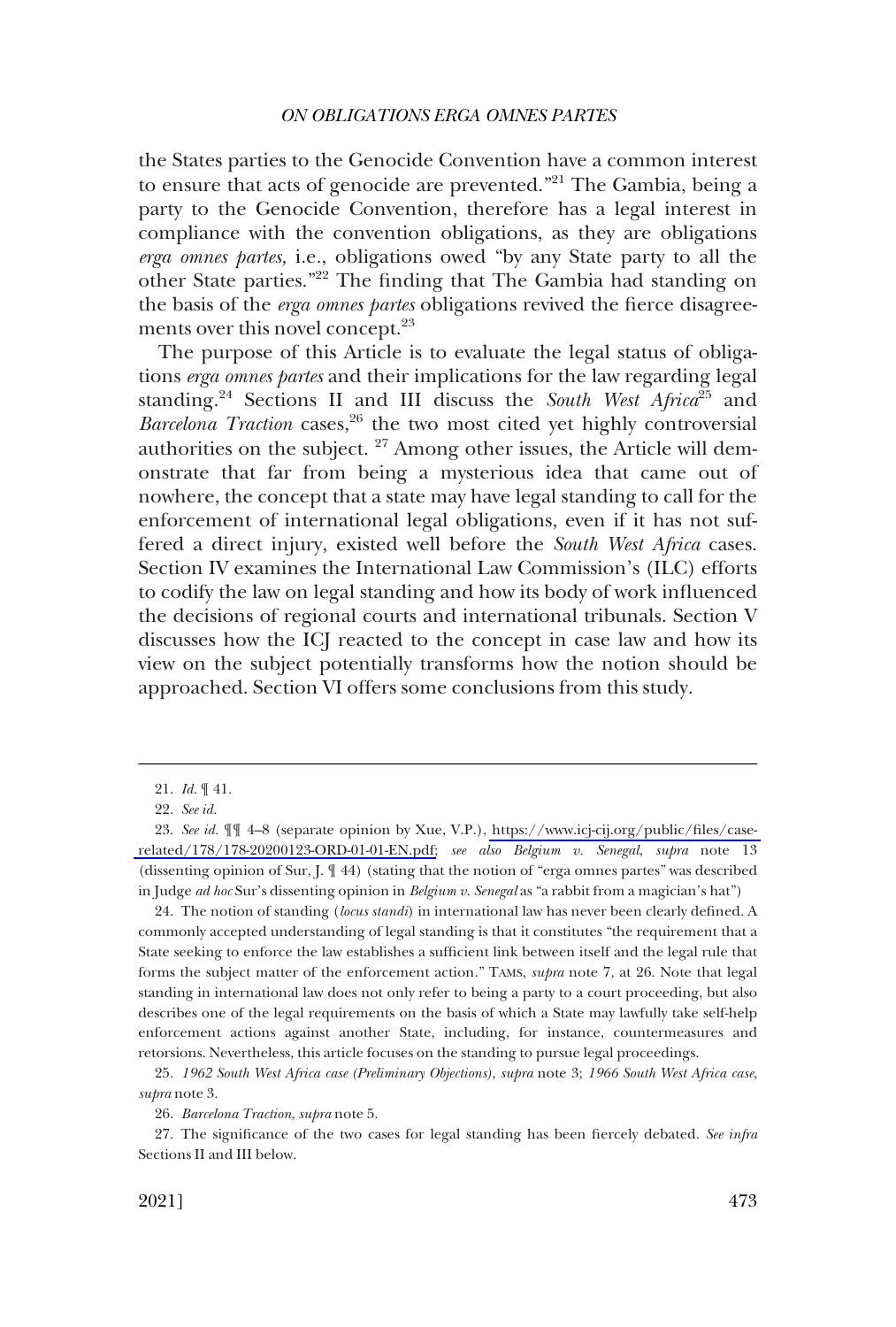the States parties to the Genocide Convention have a common interest to ensure that acts of genocide are prevented."<sup>21</sup> The Gambia, being a party to the Genocide Convention, therefore has a legal interest in compliance with the convention obligations, as they are obligations *erga omnes partes,* i.e., obligations owed "by any State party to all the other State parties."22 The finding that The Gambia had standing on the basis of the *erga omnes partes* obligations revived the fierce disagreements over this novel concept.<sup>23</sup>

The purpose of this Article is to evaluate the legal status of obligations *erga omnes partes* and their implications for the law regarding legal standing.24 Sections II and III discuss the *South West Africa*25 and Barcelona Traction cases,<sup>26</sup> the two most cited yet highly controversial authorities on the subject. 27 Among other issues, the Article will demonstrate that far from being a mysterious idea that came out of nowhere, the concept that a state may have legal standing to call for the enforcement of international legal obligations, even if it has not suffered a direct injury, existed well before the *South West Africa* cases. Section IV examines the International Law Commission's (ILC) efforts to codify the law on legal standing and how its body of work influenced the decisions of regional courts and international tribunals. Section V discusses how the ICJ reacted to the concept in case law and how its view on the subject potentially transforms how the notion should be approached. Section VI offers some conclusions from this study.

24. The notion of standing (*locus standi*) in international law has never been clearly defined. A commonly accepted understanding of legal standing is that it constitutes "the requirement that a State seeking to enforce the law establishes a sufficient link between itself and the legal rule that forms the subject matter of the enforcement action." TAMS, *supra* note 7, at 26. Note that legal standing in international law does not only refer to being a party to a court proceeding, but also describes one of the legal requirements on the basis of which a State may lawfully take self-help enforcement actions against another State, including, for instance, countermeasures and retorsions. Nevertheless, this article focuses on the standing to pursue legal proceedings.

27. The significance of the two cases for legal standing has been fiercely debated. *See infra*  Sections II and III below.

<sup>21.</sup> *Id.* ¶ 41.

<sup>22.</sup> *See id.* 

*See id.* ¶¶ 4–8 (separate opinion by Xue, V.P.), [https://www.icj-cij.org/public/files/case-](https://www.icj-cij.org/public/files/case-related/178/178-20200123-ORD-01-01-EN.pdf)23. [related/178/178-20200123-ORD-01-01-EN.pdf;](https://www.icj-cij.org/public/files/case-related/178/178-20200123-ORD-01-01-EN.pdf) *see also Belgium v. Senegal*, *supra* note 13 (dissenting opinion of Sur, J. ¶ 44) (stating that the notion of "erga omnes partes" was described in Judge *ad hoc* Sur's dissenting opinion in *Belgium v. Senegal* as "a rabbit from a magician's hat")

<sup>25.</sup> *1962 South West Africa case (Preliminary Objections)*, *supra* note 3; *1966 South West Africa case*, *supra* note 3.

<sup>26.</sup> *Barcelona Traction*, *supra* note 5.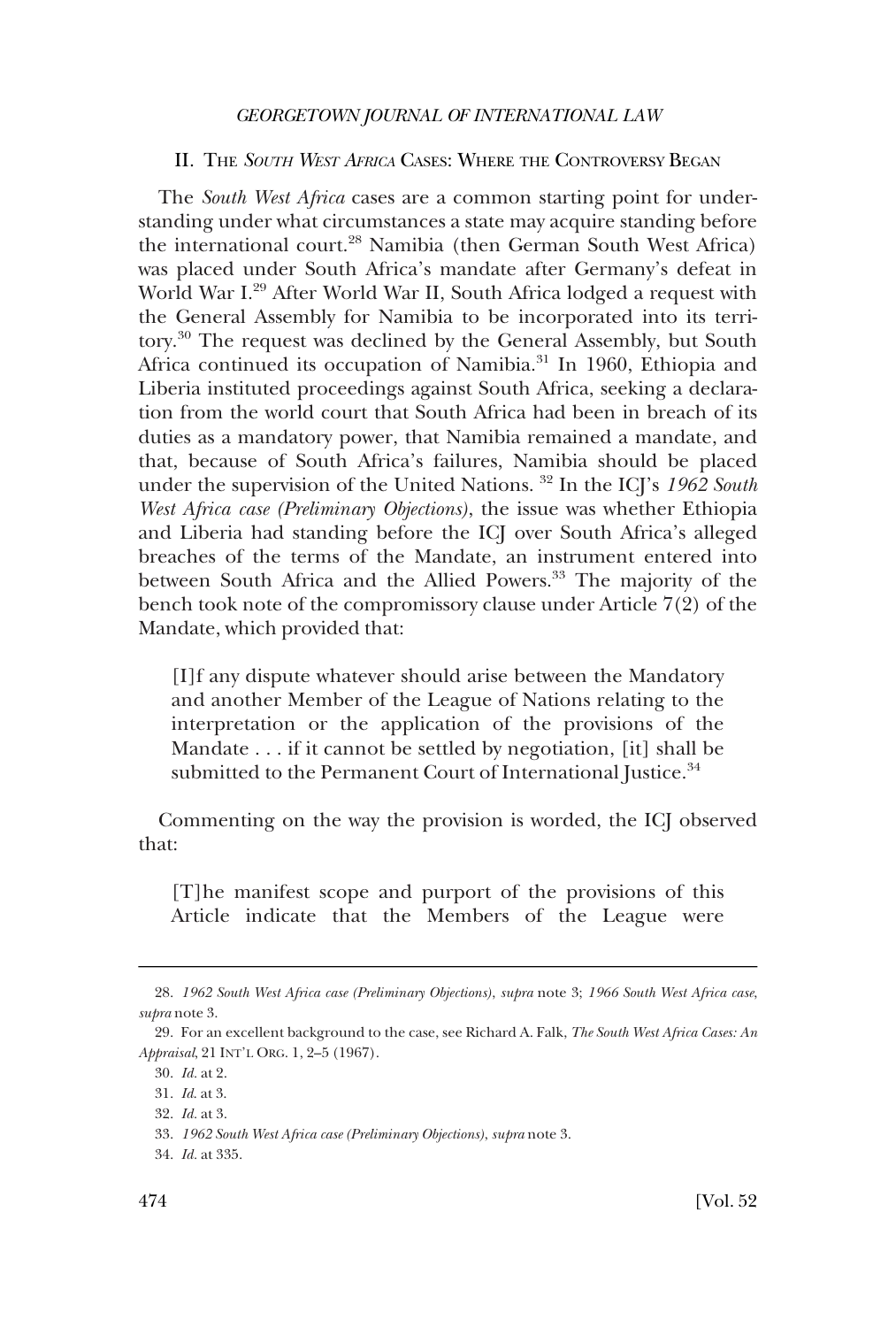#### <span id="page-5-0"></span>II. THE *SOUTH WEST AFRICA* CASES: WHERE THE CONTROVERSY BEGAN

The *South West Africa* cases are a common starting point for understanding under what circumstances a state may acquire standing before the international court.<sup>28</sup> Namibia (then German South West Africa) was placed under South Africa's mandate after Germany's defeat in World War I.29 After World War II, South Africa lodged a request with the General Assembly for Namibia to be incorporated into its territory.30 The request was declined by the General Assembly, but South Africa continued its occupation of Namibia.<sup>31</sup> In 1960, Ethiopia and Liberia instituted proceedings against South Africa, seeking a declaration from the world court that South Africa had been in breach of its duties as a mandatory power, that Namibia remained a mandate, and that, because of South Africa's failures, Namibia should be placed under the supervision of the United Nations. 32 In the ICJ's *1962 South West Africa case (Preliminary Objections)*, the issue was whether Ethiopia and Liberia had standing before the ICJ over South Africa's alleged breaches of the terms of the Mandate, an instrument entered into between South Africa and the Allied Powers.<sup>33</sup> The majority of the bench took note of the compromissory clause under Article 7(2) of the Mandate, which provided that:

[I]f any dispute whatever should arise between the Mandatory and another Member of the League of Nations relating to the interpretation or the application of the provisions of the Mandate . . . if it cannot be settled by negotiation, [it] shall be submitted to the Permanent Court of International Justice.<sup>34</sup>

Commenting on the way the provision is worded, the ICJ observed that:

[T]he manifest scope and purport of the provisions of this Article indicate that the Members of the League were

<sup>28.</sup> *1962 South West Africa case (Preliminary Objections)*, *supra* note 3; *1966 South West Africa case*, *supra* note 3.

<sup>29.</sup> For an excellent background to the case, see Richard A. Falk, *The South West Africa Cases: An Appraisal*, 21 INT'L ORG. 1, 2–5 (1967).

<sup>30.</sup> *Id.* at 2.

<sup>31.</sup> *Id*. at 3.

<sup>32.</sup> *Id.* at 3.

<sup>33.</sup> *1962 South West Africa case (Preliminary Objections)*, *supra* note 3.

<sup>34.</sup> *Id.* at 335.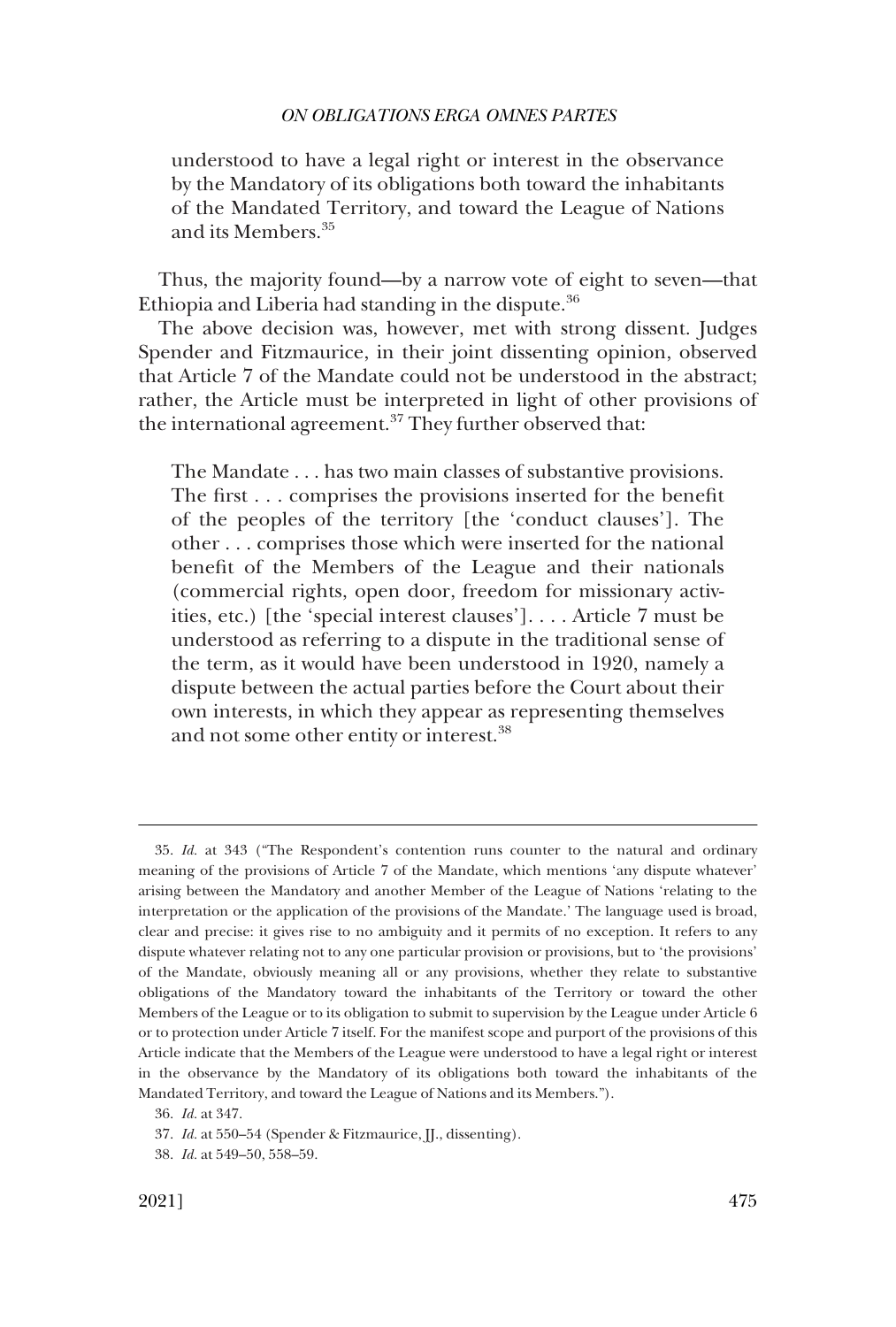understood to have a legal right or interest in the observance by the Mandatory of its obligations both toward the inhabitants of the Mandated Territory, and toward the League of Nations and its Members.<sup>35</sup>

Thus, the majority found—by a narrow vote of eight to seven—that Ethiopia and Liberia had standing in the dispute. $36$ 

The above decision was, however, met with strong dissent. Judges Spender and Fitzmaurice, in their joint dissenting opinion, observed that Article 7 of the Mandate could not be understood in the abstract; rather, the Article must be interpreted in light of other provisions of the international agreement.<sup>37</sup> They further observed that:

The Mandate . . . has two main classes of substantive provisions. The first . . . comprises the provisions inserted for the benefit of the peoples of the territory [the 'conduct clauses']. The other . . . comprises those which were inserted for the national benefit of the Members of the League and their nationals (commercial rights, open door, freedom for missionary activities, etc.) [the 'special interest clauses']. . . . Article 7 must be understood as referring to a dispute in the traditional sense of the term, as it would have been understood in 1920, namely a dispute between the actual parties before the Court about their own interests, in which they appear as representing themselves and not some other entity or interest.<sup>38</sup>

<sup>35.</sup> *Id.* at 343 ("The Respondent's contention runs counter to the natural and ordinary meaning of the provisions of Article 7 of the Mandate, which mentions 'any dispute whatever' arising between the Mandatory and another Member of the League of Nations 'relating to the interpretation or the application of the provisions of the Mandate.' The language used is broad, clear and precise: it gives rise to no ambiguity and it permits of no exception. It refers to any dispute whatever relating not to any one particular provision or provisions, but to 'the provisions' of the Mandate, obviously meaning all or any provisions, whether they relate to substantive obligations of the Mandatory toward the inhabitants of the Territory or toward the other Members of the League or to its obligation to submit to supervision by the League under Article 6 or to protection under Article 7 itself. For the manifest scope and purport of the provisions of this Article indicate that the Members of the League were understood to have a legal right or interest in the observance by the Mandatory of its obligations both toward the inhabitants of the Mandated Territory, and toward the League of Nations and its Members.").

<sup>36.</sup> *Id.* at 347.

<sup>37.</sup> *Id.* at 550–54 (Spender & Fitzmaurice, JJ., dissenting).

<sup>38.</sup> *Id.* at 549–50, 558–59.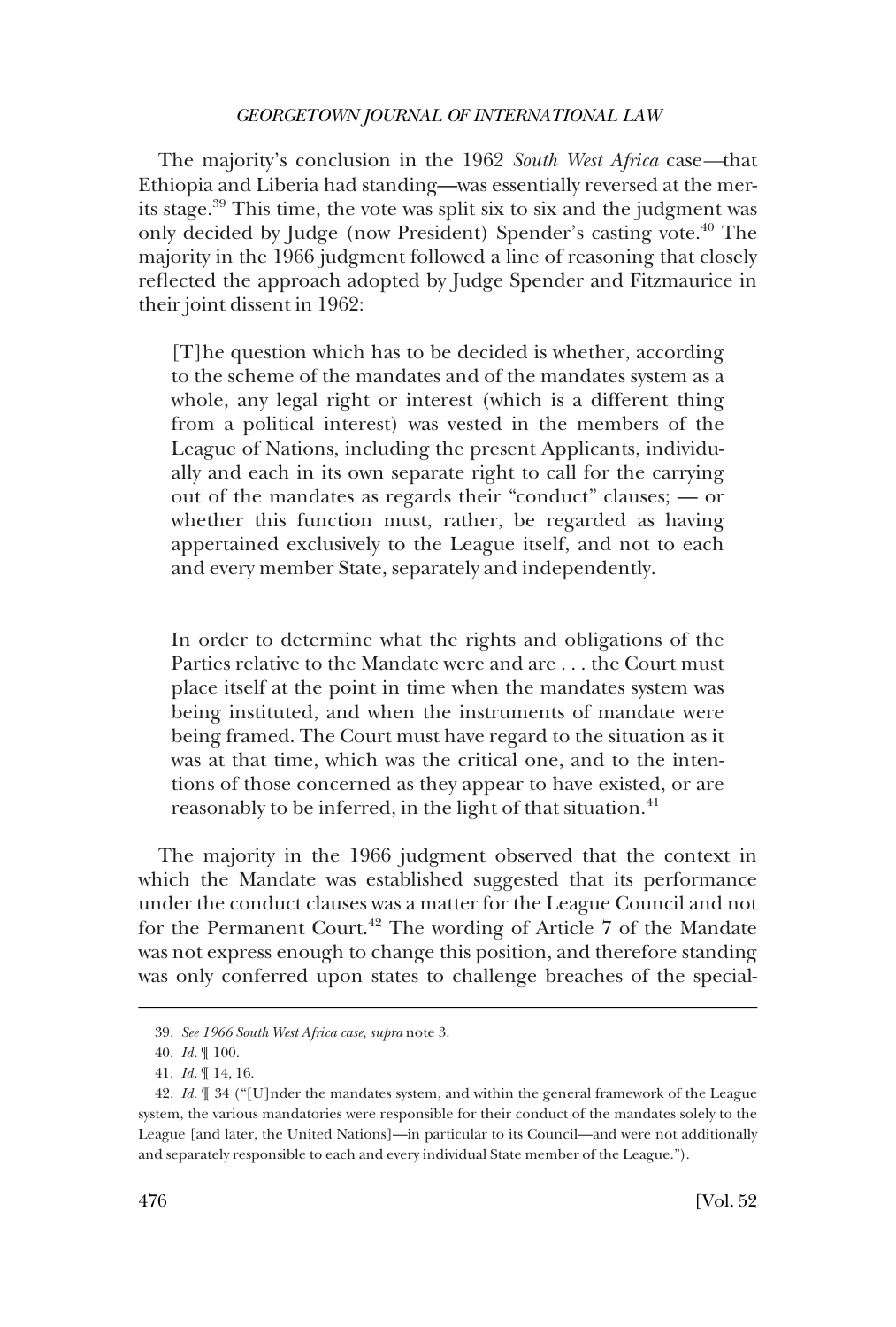The majority's conclusion in the 1962 *South West Africa* case*—*that Ethiopia and Liberia had standing—was essentially reversed at the merits stage.39 This time, the vote was split six to six and the judgment was only decided by Judge (now President) Spender's casting vote.<sup>40</sup> The majority in the 1966 judgment followed a line of reasoning that closely reflected the approach adopted by Judge Spender and Fitzmaurice in their joint dissent in 1962:

[T]he question which has to be decided is whether, according to the scheme of the mandates and of the mandates system as a whole, any legal right or interest (which is a different thing from a political interest) was vested in the members of the League of Nations, including the present Applicants, individually and each in its own separate right to call for the carrying out of the mandates as regards their "conduct" clauses; — or whether this function must, rather, be regarded as having appertained exclusively to the League itself, and not to each and every member State, separately and independently.

In order to determine what the rights and obligations of the Parties relative to the Mandate were and are . . . the Court must place itself at the point in time when the mandates system was being instituted, and when the instruments of mandate were being framed. The Court must have regard to the situation as it was at that time, which was the critical one, and to the intentions of those concerned as they appear to have existed, or are reasonably to be inferred, in the light of that situation.<sup>41</sup>

The majority in the 1966 judgment observed that the context in which the Mandate was established suggested that its performance under the conduct clauses was a matter for the League Council and not for the Permanent Court.<sup>42</sup> The wording of Article 7 of the Mandate was not express enough to change this position, and therefore standing was only conferred upon states to challenge breaches of the special-

<sup>39.</sup> *See 1966 South West Africa case*, *supra* note 3.

<sup>40.</sup> *Id.* ¶ 100.

<sup>41.</sup> *Id.* ¶ 14, 16.

<sup>42.</sup> *Id*. ¶ 34 ("[U]nder the mandates system, and within the general framework of the League system, the various mandatories were responsible for their conduct of the mandates solely to the League [and later, the United Nations]—in particular to its Council—and were not additionally and separately responsible to each and every individual State member of the League.").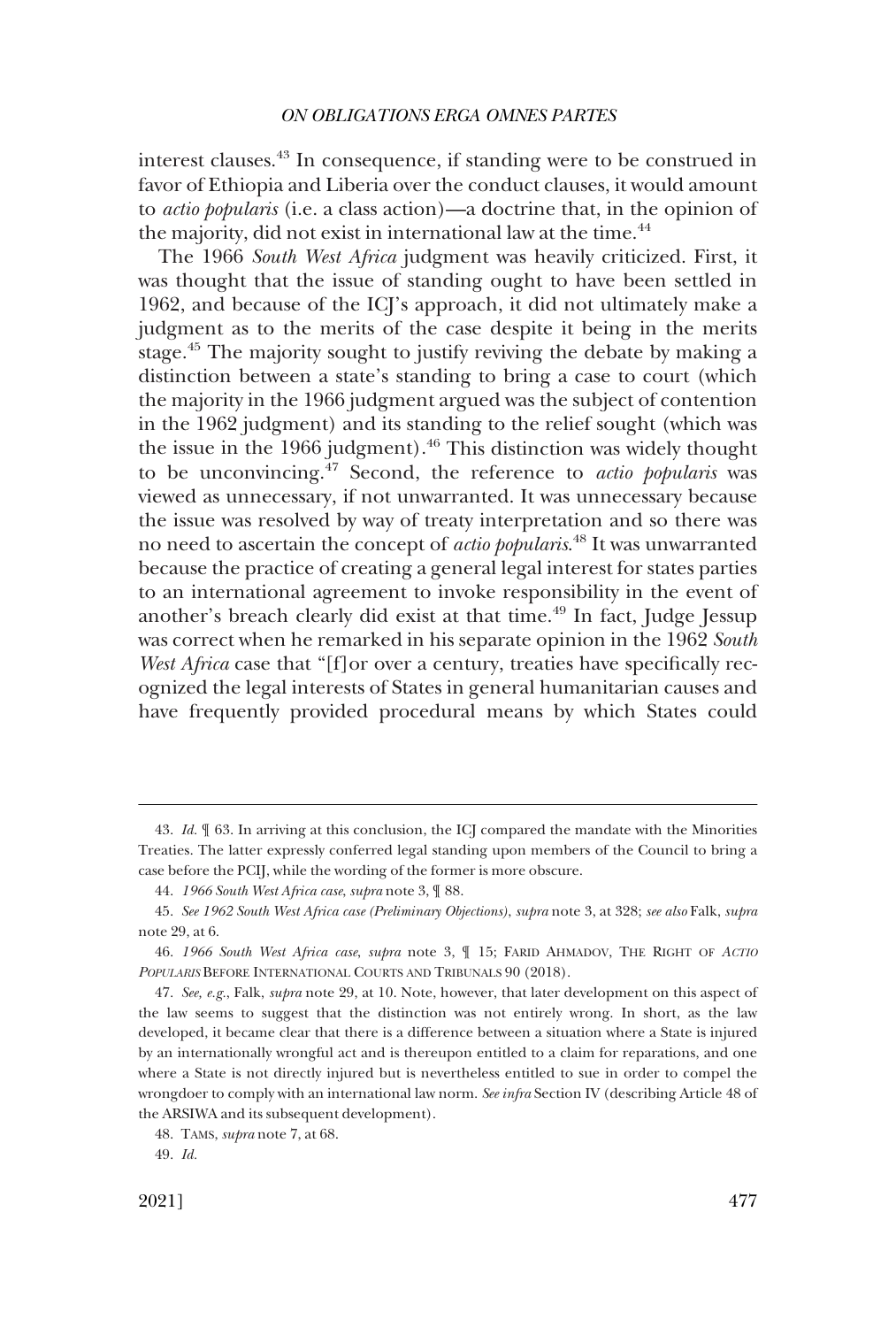interest clauses.43 In consequence, if standing were to be construed in favor of Ethiopia and Liberia over the conduct clauses, it would amount to *actio popularis* (i.e. a class action)—a doctrine that, in the opinion of the majority, did not exist in international law at the time.<sup>44</sup>

The 1966 *South West Africa* judgment was heavily criticized. First, it was thought that the issue of standing ought to have been settled in 1962, and because of the ICJ's approach, it did not ultimately make a judgment as to the merits of the case despite it being in the merits stage.45 The majority sought to justify reviving the debate by making a distinction between a state's standing to bring a case to court (which the majority in the 1966 judgment argued was the subject of contention in the 1962 judgment) and its standing to the relief sought (which was the issue in the 1966 judgment).<sup>46</sup> This distinction was widely thought to be unconvincing.47 Second, the reference to *actio popularis* was viewed as unnecessary, if not unwarranted. It was unnecessary because the issue was resolved by way of treaty interpretation and so there was no need to ascertain the concept of *actio popularis*. 48 It was unwarranted because the practice of creating a general legal interest for states parties to an international agreement to invoke responsibility in the event of another's breach clearly did exist at that time.<sup>49</sup> In fact, Judge Jessup was correct when he remarked in his separate opinion in the 1962 *South West Africa* case that "[f]or over a century, treaties have specifically recognized the legal interests of States in general humanitarian causes and have frequently provided procedural means by which States could

<sup>43.</sup> *Id.* ¶ 63. In arriving at this conclusion, the ICJ compared the mandate with the Minorities Treaties. The latter expressly conferred legal standing upon members of the Council to bring a case before the PCIJ, while the wording of the former is more obscure.

<sup>44.</sup> *1966 South West Africa case*, *supra* note 3, ¶ 88.

<sup>45.</sup> *See 1962 South West Africa case (Preliminary Objections)*, *supra* note 3, at 328; *see also* Falk, *supra*  note 29, at 6.

<sup>46.</sup> *1966 South West Africa case*, *supra* note 3, ¶ 15; FARID AHMADOV, THE RIGHT OF *ACTIO POPULARIS* BEFORE INTERNATIONAL COURTS AND TRIBUNALS 90 (2018).

<sup>47.</sup> *See, e.g.*, Falk, *supra* note 29, at 10. Note, however, that later development on this aspect of the law seems to suggest that the distinction was not entirely wrong. In short, as the law developed, it became clear that there is a difference between a situation where a State is injured by an internationally wrongful act and is thereupon entitled to a claim for reparations, and one where a State is not directly injured but is nevertheless entitled to sue in order to compel the wrongdoer to comply with an international law norm. *See infra* Section IV (describing Article 48 of the ARSIWA and its subsequent development).

<sup>48.</sup> TAMS, *supra* note 7, at 68.

<sup>49.</sup> *Id.*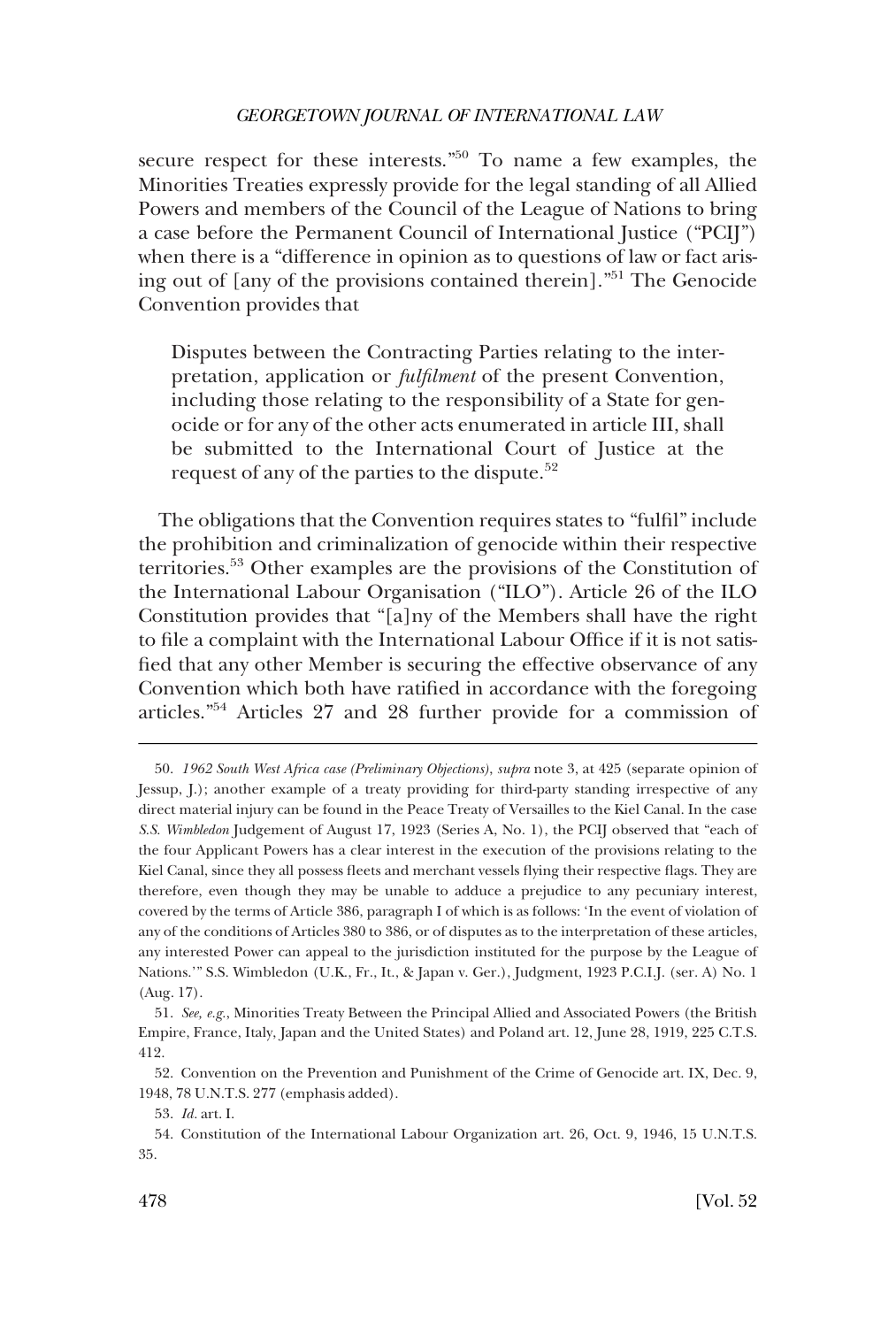secure respect for these interests."<sup>50</sup> To name a few examples, the Minorities Treaties expressly provide for the legal standing of all Allied Powers and members of the Council of the League of Nations to bring a case before the Permanent Council of International Justice ("PCIJ") when there is a "difference in opinion as to questions of law or fact arising out of [any of the provisions contained therein]."51 The Genocide Convention provides that

Disputes between the Contracting Parties relating to the interpretation, application or *fulfilment* of the present Convention, including those relating to the responsibility of a State for genocide or for any of the other acts enumerated in article III, shall be submitted to the International Court of Justice at the request of any of the parties to the dispute.<sup>52</sup>

The obligations that the Convention requires states to "fulfil" include the prohibition and criminalization of genocide within their respective territories.53 Other examples are the provisions of the Constitution of the International Labour Organisation ("ILO"). Article 26 of the ILO Constitution provides that "[a]ny of the Members shall have the right to file a complaint with the International Labour Office if it is not satisfied that any other Member is securing the effective observance of any Convention which both have ratified in accordance with the foregoing articles."54 Articles 27 and 28 further provide for a commission of

<sup>50.</sup> *1962 South West Africa case (Preliminary Objections)*, *supra* note 3, at 425 (separate opinion of Jessup, J.); another example of a treaty providing for third-party standing irrespective of any direct material injury can be found in the Peace Treaty of Versailles to the Kiel Canal. In the case *S.S. Wimbledon* Judgement of August 17, 1923 (Series A, No. 1), the PCIJ observed that "each of the four Applicant Powers has a clear interest in the execution of the provisions relating to the Kiel Canal, since they all possess fleets and merchant vessels flying their respective flags. They are therefore, even though they may be unable to adduce a prejudice to any pecuniary interest, covered by the terms of Article 386, paragraph I of which is as follows: 'In the event of violation of any of the conditions of Articles 380 to 386, or of disputes as to the interpretation of these articles, any interested Power can appeal to the jurisdiction instituted for the purpose by the League of Nations.'" S.S. Wimbledon (U.K., Fr., It., & Japan v. Ger.), Judgment, 1923 P.C.I.J. (ser. A) No. 1 (Aug. 17).

<sup>51.</sup> *See, e.g.*, Minorities Treaty Between the Principal Allied and Associated Powers (the British Empire, France, Italy, Japan and the United States) and Poland art. 12, June 28, 1919, 225 C.T.S. 412.

<sup>52.</sup> Convention on the Prevention and Punishment of the Crime of Genocide art. IX, Dec. 9, 1948, 78 U.N.T.S. 277 (emphasis added).

<sup>53.</sup> *Id.* art. I.

<sup>54.</sup> Constitution of the International Labour Organization art. 26, Oct. 9, 1946, 15 U.N.T.S. 35.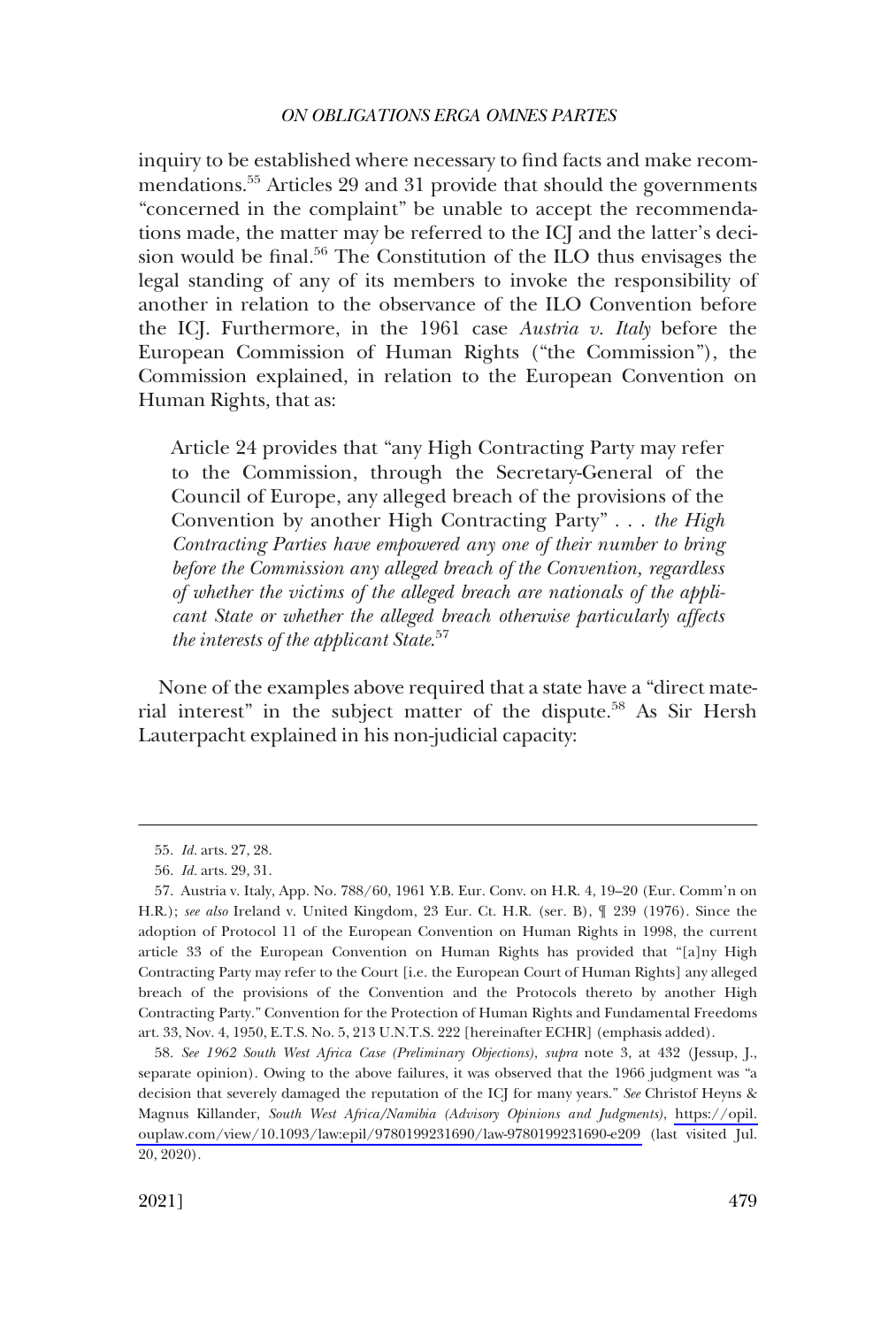inquiry to be established where necessary to find facts and make recommendations.55 Articles 29 and 31 provide that should the governments "concerned in the complaint" be unable to accept the recommendations made, the matter may be referred to the ICJ and the latter's decision would be final.<sup>56</sup> The Constitution of the ILO thus envisages the legal standing of any of its members to invoke the responsibility of another in relation to the observance of the ILO Convention before the ICJ. Furthermore, in the 1961 case *Austria v. Italy* before the European Commission of Human Rights ("the Commission"), the Commission explained, in relation to the European Convention on Human Rights, that as:

Article 24 provides that "any High Contracting Party may refer to the Commission, through the Secretary-General of the Council of Europe, any alleged breach of the provisions of the Convention by another High Contracting Party" . . . *the High Contracting Parties have empowered any one of their number to bring before the Commission any alleged breach of the Convention, regardless of whether the victims of the alleged breach are nationals of the applicant State or whether the alleged breach otherwise particularly affects the interests of the applicant State*. 57

None of the examples above required that a state have a "direct material interest" in the subject matter of the dispute.<sup>58</sup> As Sir Hersh Lauterpacht explained in his non-judicial capacity:

<sup>55.</sup> *Id.* arts. 27, 28.

<sup>56.</sup> *Id.* arts. 29, 31.

<sup>57.</sup> Austria v. Italy, App. No. 788/60, 1961 Y.B. Eur. Conv. on H.R. 4, 19–20 (Eur. Comm'n on H.R.); *see also* Ireland v. United Kingdom, 23 Eur. Ct. H.R. (ser. B), ¶ 239 (1976). Since the adoption of Protocol 11 of the European Convention on Human Rights in 1998, the current article 33 of the European Convention on Human Rights has provided that "[a]ny High Contracting Party may refer to the Court [i.e. the European Court of Human Rights] any alleged breach of the provisions of the Convention and the Protocols thereto by another High Contracting Party." Convention for the Protection of Human Rights and Fundamental Freedoms art. 33, Nov. 4, 1950, E.T.S. No. 5, 213 U.N.T.S. 222 [hereinafter ECHR] (emphasis added).

*See 1962 South West Africa Case (Preliminary Objections)*, *supra* note 3, at 432 (Jessup, J., 58. separate opinion). Owing to the above failures, it was observed that the 1966 judgment was "a decision that severely damaged the reputation of the ICJ for many years." *See* Christof Heyns & Magnus Killander, *South West Africa/Namibia (Advisory Opinions and Judgments)*, [https://opil.](https://opil.ouplaw.com/view/10.1093/law:epil/9780199231690/law-9780199231690-e209)  [ouplaw.com/view/10.1093/law:epil/9780199231690/law-9780199231690-e209](https://opil.ouplaw.com/view/10.1093/law:epil/9780199231690/law-9780199231690-e209) (last visited Jul. 20, 2020).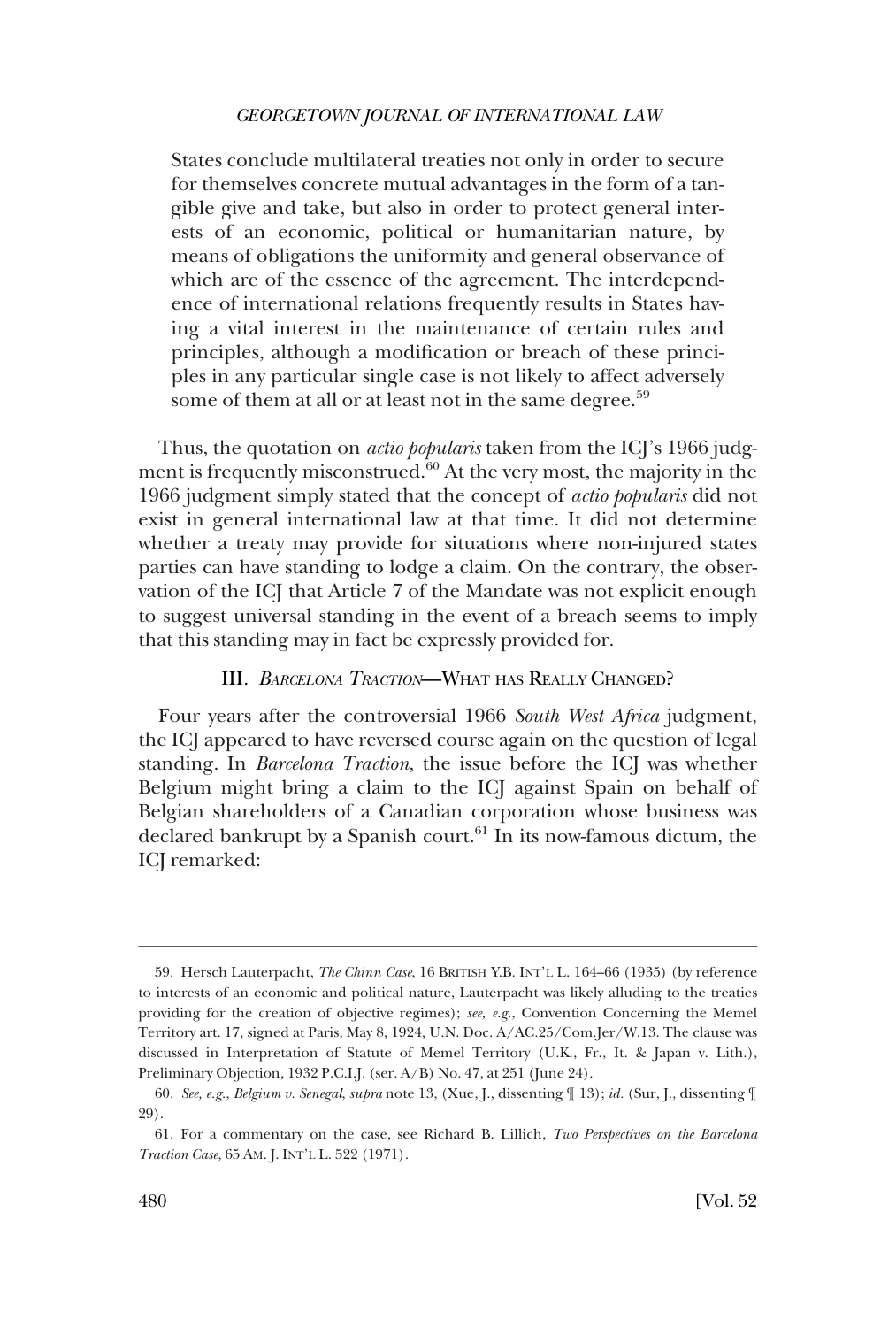<span id="page-11-0"></span>States conclude multilateral treaties not only in order to secure for themselves concrete mutual advantages in the form of a tangible give and take, but also in order to protect general interests of an economic, political or humanitarian nature, by means of obligations the uniformity and general observance of which are of the essence of the agreement. The interdependence of international relations frequently results in States having a vital interest in the maintenance of certain rules and principles, although a modification or breach of these principles in any particular single case is not likely to affect adversely some of them at all or at least not in the same degree.<sup>59</sup>

Thus, the quotation on *actio popularis* taken from the ICJ's 1966 judgment is frequently misconstrued.<sup>60</sup> At the very most, the majority in the 1966 judgment simply stated that the concept of *actio popularis* did not exist in general international law at that time. It did not determine whether a treaty may provide for situations where non-injured states parties can have standing to lodge a claim. On the contrary, the observation of the ICJ that Article 7 of the Mandate was not explicit enough to suggest universal standing in the event of a breach seems to imply that this standing may in fact be expressly provided for.

# III. *BARCELONA TRACTION*—WHAT HAS REALLY CHANGED?

Four years after the controversial 1966 *South West Africa* judgment, the ICJ appeared to have reversed course again on the question of legal standing. In *Barcelona Traction*, the issue before the ICJ was whether Belgium might bring a claim to the ICJ against Spain on behalf of Belgian shareholders of a Canadian corporation whose business was declared bankrupt by a Spanish court. $61$  In its now-famous dictum, the ICJ remarked:

<sup>59.</sup> Hersch Lauterpacht, *The Chinn Case*, 16 BRITISH Y.B. INT'L L. 164–66 (1935) (by reference to interests of an economic and political nature, Lauterpacht was likely alluding to the treaties providing for the creation of objective regimes); *see, e.g.*, Convention Concerning the Memel Territory art. 17, signed at Paris, May 8, 1924, U.N. Doc. A/AC.25/Com.Jer/W.13. The clause was discussed in Interpretation of Statute of Memel Territory (U.K., Fr., It. & Japan v. Lith.), Preliminary Objection, 1932 P.C.I.J. (ser. A/B) No. 47, at 251 (June 24).

<sup>60.</sup> *See, e.g.*, *Belgium v. Senegal*, *supra* note 13, (Xue, J., dissenting ¶ 13); *id.* (Sur, J., dissenting ¶ 29).

<sup>61.</sup> For a commentary on the case, see Richard B. Lillich, *Two Perspectives on the Barcelona Traction Case*, 65 AM. J. INT'L L. 522 (1971).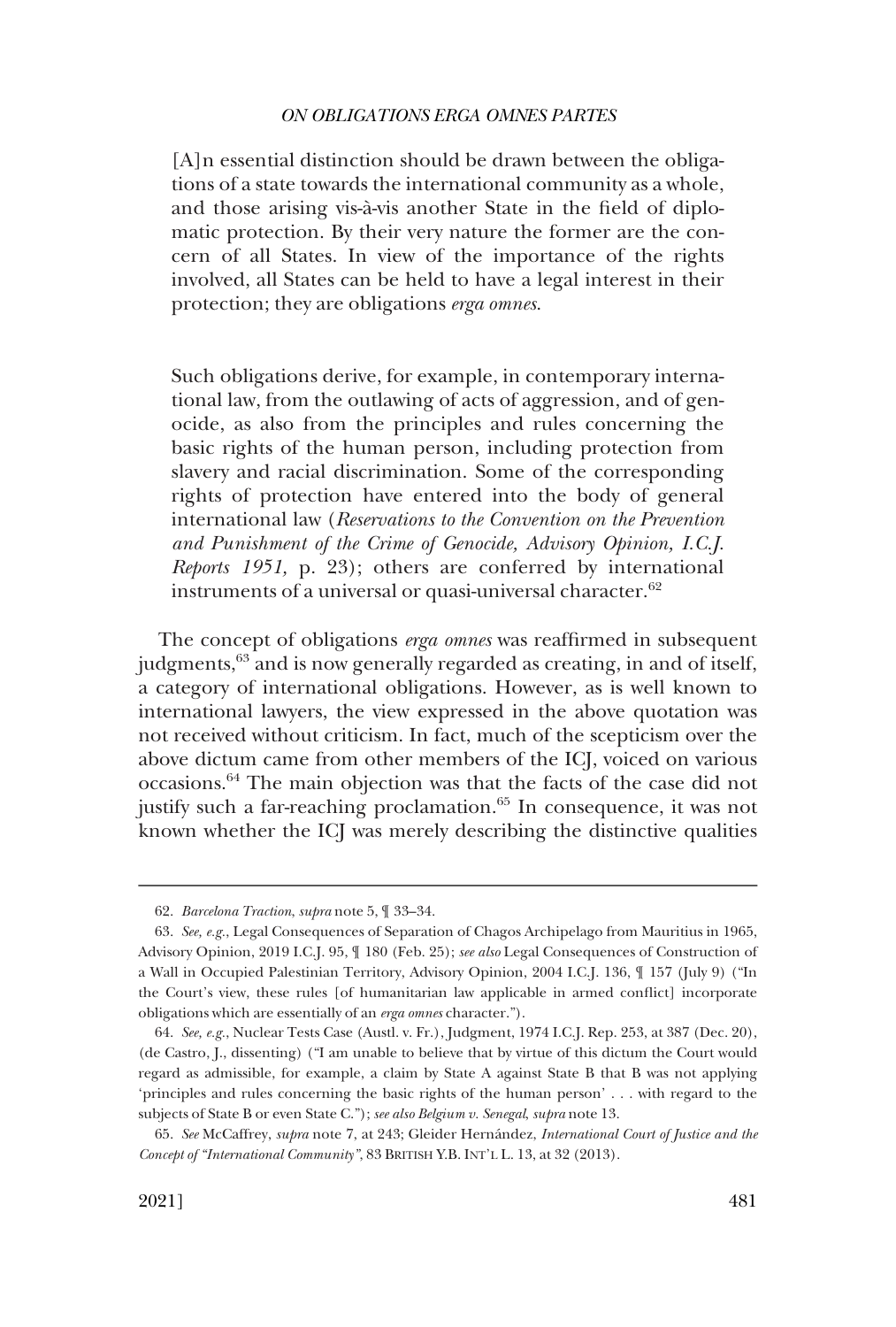[A]n essential distinction should be drawn between the obligations of a state towards the international community as a whole, and those arising vis-à-vis another State in the field of diplomatic protection. By their very nature the former are the concern of all States. In view of the importance of the rights involved, all States can be held to have a legal interest in their protection; they are obligations *erga omnes*.

Such obligations derive, for example, in contemporary international law, from the outlawing of acts of aggression, and of genocide, as also from the principles and rules concerning the basic rights of the human person, including protection from slavery and racial discrimination. Some of the corresponding rights of protection have entered into the body of general international law (*Reservations to the Convention on the Prevention and Punishment of the Crime of Genocide, Advisory Opinion, I.C.J. Reports 1951,* p. 23); others are conferred by international instruments of a universal or quasi-universal character.<sup>62</sup>

The concept of obligations *erga omnes* was reaffirmed in subsequent judgments,<sup>63</sup> and is now generally regarded as creating, in and of itself, a category of international obligations. However, as is well known to international lawyers, the view expressed in the above quotation was not received without criticism. In fact, much of the scepticism over the above dictum came from other members of the ICJ, voiced on various occasions.64 The main objection was that the facts of the case did not justify such a far-reaching proclamation.<sup>65</sup> In consequence, it was not known whether the ICJ was merely describing the distinctive qualities

<sup>62.</sup> *Barcelona Traction*, *supra* note 5, ¶ 33–34.

<sup>63.</sup> *See, e.g.*, Legal Consequences of Separation of Chagos Archipelago from Mauritius in 1965, Advisory Opinion, 2019 I.C.J. 95, ¶ 180 (Feb. 25); *see also* Legal Consequences of Construction of a Wall in Occupied Palestinian Territory, Advisory Opinion, 2004 I.C.J. 136, ¶ 157 (July 9) ("In the Court's view, these rules [of humanitarian law applicable in armed conflict] incorporate obligations which are essentially of an *erga omnes* character.").

<sup>64.</sup> *See, e.g.*, Nuclear Tests Case (Austl. v. Fr.), Judgment, 1974 I.C.J. Rep. 253, at 387 (Dec. 20), (de Castro, J., dissenting) ("I am unable to believe that by virtue of this dictum the Court would regard as admissible, for example, a claim by State A against State B that B was not applying 'principles and rules concerning the basic rights of the human person' . . . with regard to the subjects of State B or even State C."); *see also Belgium v. Senegal*, *supra* note 13.

<sup>65.</sup> *See* McCaffrey, *supra* note 7, at 243; Gleider Herna´ndez, *International Court of Justice and the Concept of "International Community"*, 83 BRITISH Y.B. INT'L L. 13, at 32 (2013).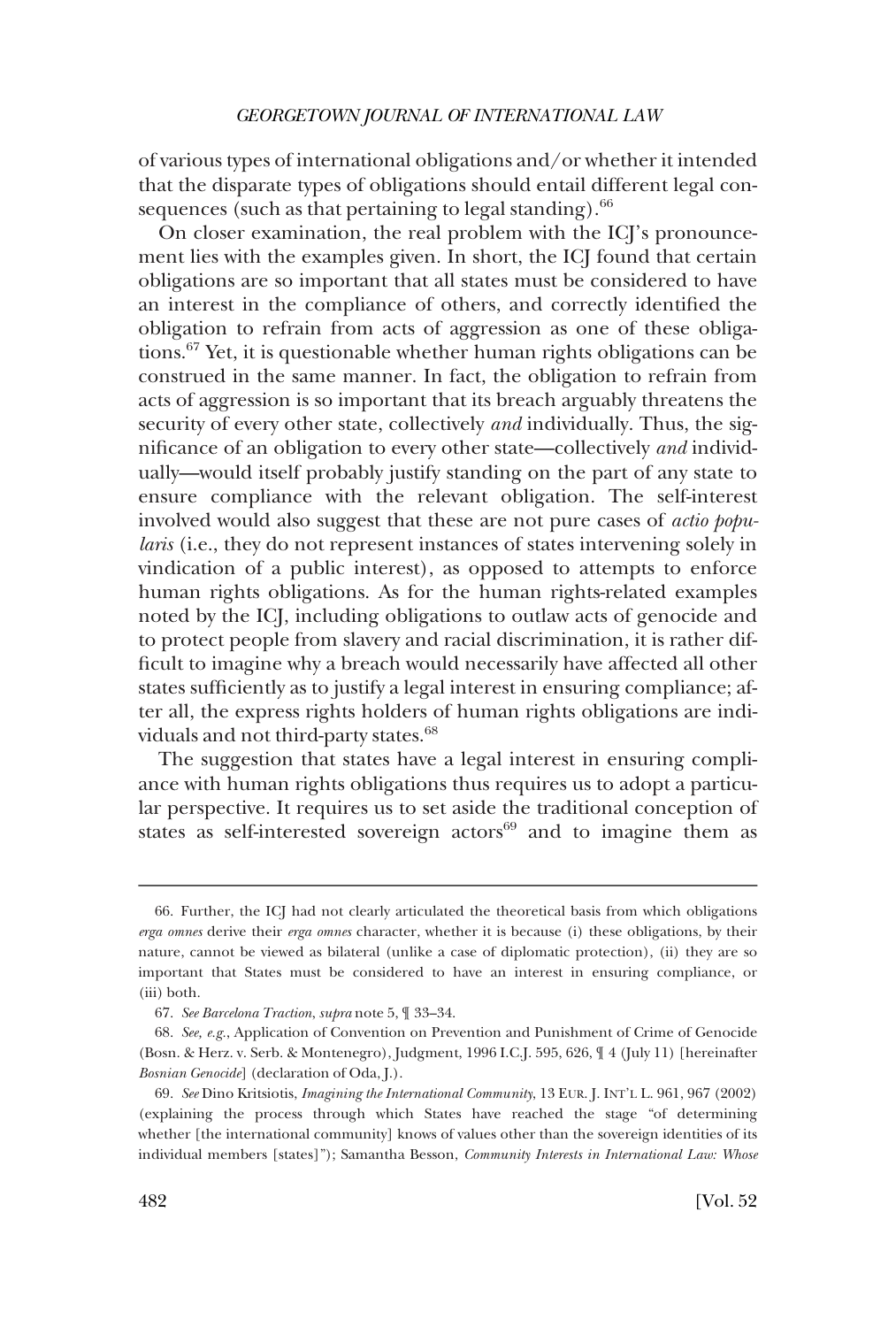of various types of international obligations and/or whether it intended that the disparate types of obligations should entail different legal consequences (such as that pertaining to legal standing). $66$ 

On closer examination, the real problem with the ICJ's pronouncement lies with the examples given. In short, the ICJ found that certain obligations are so important that all states must be considered to have an interest in the compliance of others, and correctly identified the obligation to refrain from acts of aggression as one of these obligations.67 Yet, it is questionable whether human rights obligations can be construed in the same manner. In fact, the obligation to refrain from acts of aggression is so important that its breach arguably threatens the security of every other state, collectively *and* individually. Thus, the significance of an obligation to every other state—collectively *and* individually—would itself probably justify standing on the part of any state to ensure compliance with the relevant obligation. The self-interest involved would also suggest that these are not pure cases of *actio popularis* (i.e., they do not represent instances of states intervening solely in vindication of a public interest), as opposed to attempts to enforce human rights obligations. As for the human rights-related examples noted by the ICJ, including obligations to outlaw acts of genocide and to protect people from slavery and racial discrimination, it is rather difficult to imagine why a breach would necessarily have affected all other states sufficiently as to justify a legal interest in ensuring compliance; after all, the express rights holders of human rights obligations are individuals and not third-party states.<sup>68</sup>

The suggestion that states have a legal interest in ensuring compliance with human rights obligations thus requires us to adopt a particular perspective. It requires us to set aside the traditional conception of states as self-interested sovereign actors<sup>69</sup> and to imagine them as

<sup>66.</sup> Further, the ICJ had not clearly articulated the theoretical basis from which obligations *erga omnes* derive their *erga omnes* character, whether it is because (i) these obligations, by their nature, cannot be viewed as bilateral (unlike a case of diplomatic protection), (ii) they are so important that States must be considered to have an interest in ensuring compliance, or (iii) both.

<sup>67.</sup> *See Barcelona Traction*, *supra* note 5, ¶ 33–34.

<sup>68.</sup> *See, e.g.*, Application of Convention on Prevention and Punishment of Crime of Genocide (Bosn. & Herz. v. Serb. & Montenegro), Judgment, 1996 I.C.J. 595, 626, ¶ 4 (July 11) [hereinafter *Bosnian Genocide*] (declaration of Oda, J.).

<sup>69.</sup> *See* Dino Kritsiotis, *Imagining the International Community*, 13 EUR. J. INT'L L. 961, 967 (2002) (explaining the process through which States have reached the stage "of determining whether [the international community] knows of values other than the sovereign identities of its individual members [states]"); Samantha Besson, *Community Interests in International Law: Whose*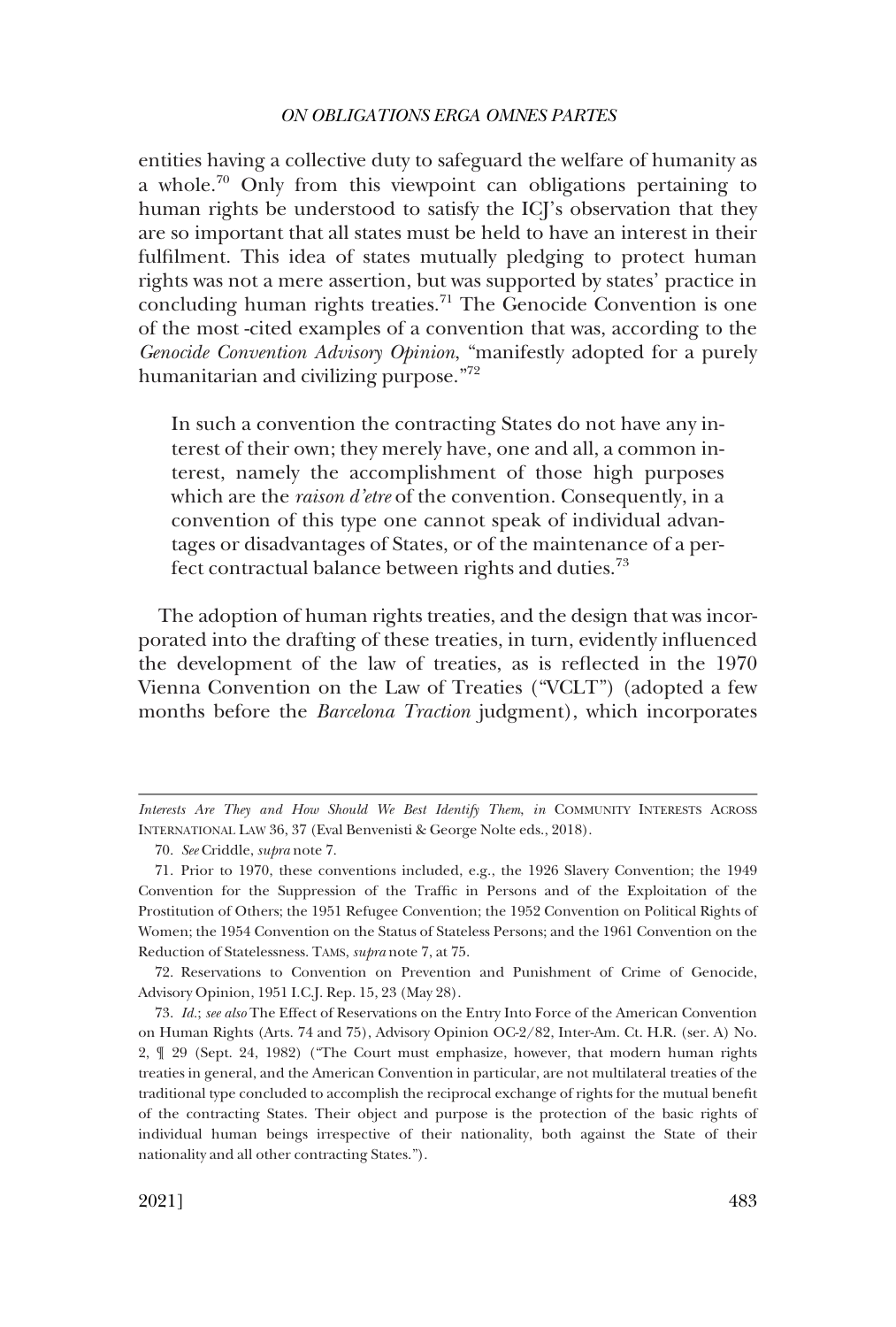entities having a collective duty to safeguard the welfare of humanity as a whole.<sup>70</sup> Only from this viewpoint can obligations pertaining to human rights be understood to satisfy the ICJ's observation that they are so important that all states must be held to have an interest in their fulfilment. This idea of states mutually pledging to protect human rights was not a mere assertion, but was supported by states' practice in concluding human rights treaties.<sup>71</sup> The Genocide Convention is one of the most -cited examples of a convention that was, according to the *Genocide Convention Advisory Opinion*, "manifestly adopted for a purely humanitarian and civilizing purpose."<sup>72</sup>

In such a convention the contracting States do not have any interest of their own; they merely have, one and all, a common interest, namely the accomplishment of those high purposes which are the *raison d'etre* of the convention. Consequently, in a convention of this type one cannot speak of individual advantages or disadvantages of States, or of the maintenance of a perfect contractual balance between rights and duties.<sup>73</sup>

The adoption of human rights treaties, and the design that was incorporated into the drafting of these treaties, in turn, evidently influenced the development of the law of treaties, as is reflected in the 1970 Vienna Convention on the Law of Treaties ("VCLT") (adopted a few months before the *Barcelona Traction* judgment), which incorporates

72. Reservations to Convention on Prevention and Punishment of Crime of Genocide, Advisory Opinion, 1951 I.C.J. Rep. 15, 23 (May 28).

73. *Id.*; *see also* The Effect of Reservations on the Entry Into Force of the American Convention on Human Rights (Arts. 74 and 75), Advisory Opinion OC-2/82, Inter-Am. Ct. H.R. (ser. A) No. 2, ¶ 29 (Sept. 24, 1982) ("The Court must emphasize, however, that modern human rights treaties in general, and the American Convention in particular, are not multilateral treaties of the traditional type concluded to accomplish the reciprocal exchange of rights for the mutual benefit of the contracting States. Their object and purpose is the protection of the basic rights of individual human beings irrespective of their nationality, both against the State of their nationality and all other contracting States.").

*Interests Are They and How Should We Best Identify Them*, *in* COMMUNITY INTERESTS ACROSS INTERNATIONAL LAW 36, 37 (Eval Benvenisti & George Nolte eds., 2018).

<sup>70.</sup> *See* Criddle, *supra* note 7.

<sup>71.</sup> Prior to 1970, these conventions included, e.g., the 1926 Slavery Convention; the 1949 Convention for the Suppression of the Traffic in Persons and of the Exploitation of the Prostitution of Others; the 1951 Refugee Convention; the 1952 Convention on Political Rights of Women; the 1954 Convention on the Status of Stateless Persons; and the 1961 Convention on the Reduction of Statelessness. TAMS, *supra* note 7, at 75.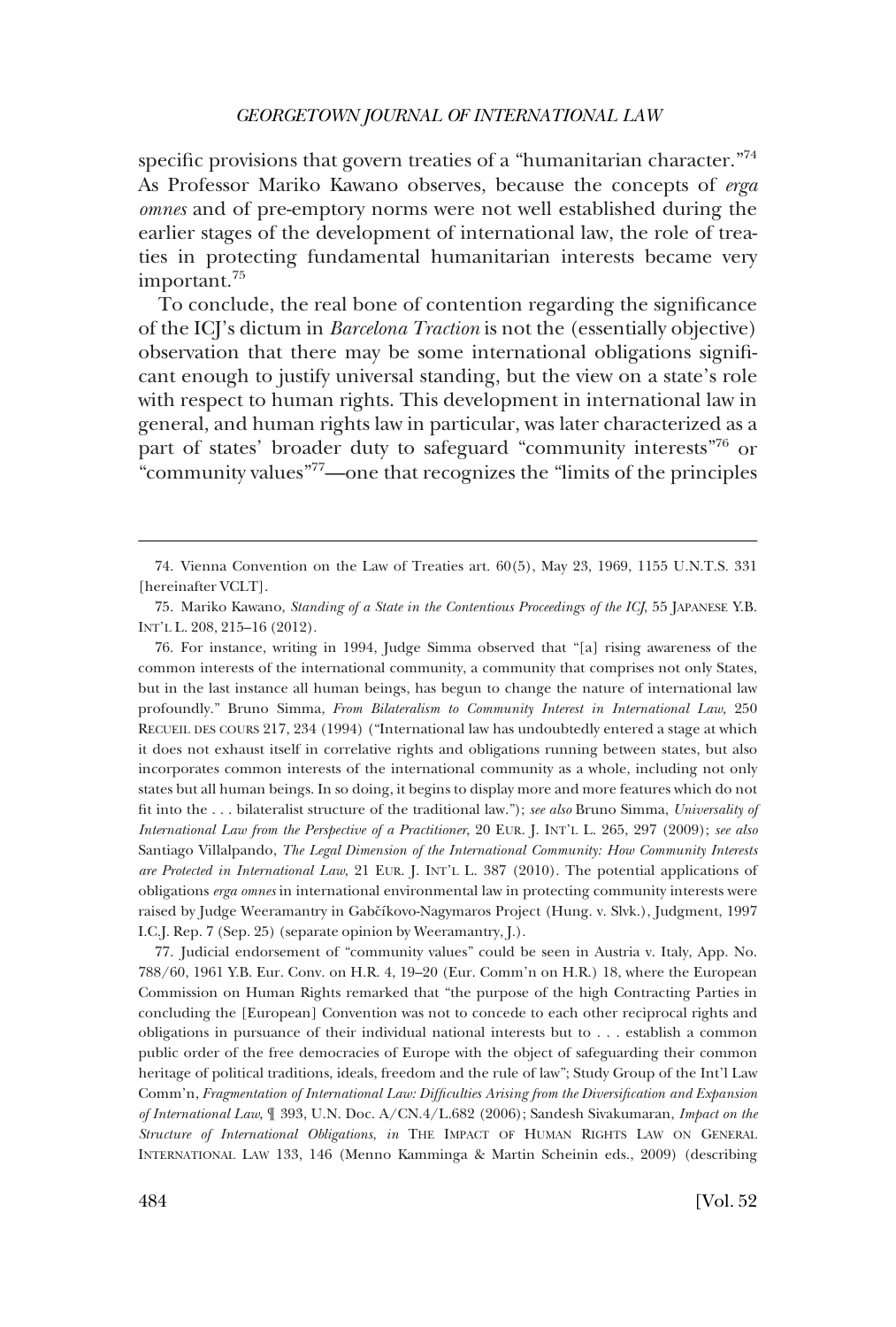specific provisions that govern treaties of a "humanitarian character."<sup>74</sup> As Professor Mariko Kawano observes, because the concepts of *erga omnes* and of pre-emptory norms were not well established during the earlier stages of the development of international law, the role of treaties in protecting fundamental humanitarian interests became very important.<sup>75</sup>

To conclude, the real bone of contention regarding the significance of the ICJ's dictum in *Barcelona Traction* is not the (essentially objective) observation that there may be some international obligations significant enough to justify universal standing, but the view on a state's role with respect to human rights. This development in international law in general, and human rights law in particular, was later characterized as a part of states' broader duty to safeguard "community interests"76 or "community values"77—one that recognizes the "limits of the principles

76. For instance, writing in 1994, Judge Simma observed that "[a] rising awareness of the common interests of the international community, a community that comprises not only States, but in the last instance all human beings, has begun to change the nature of international law profoundly." Bruno Simma, *From Bilateralism to Community Interest in International Law*, 250 RECUEIL DES COURS 217, 234 (1994) ("International law has undoubtedly entered a stage at which it does not exhaust itself in correlative rights and obligations running between states, but also incorporates common interests of the international community as a whole, including not only states but all human beings. In so doing, it begins to display more and more features which do not fit into the . . . bilateralist structure of the traditional law."); *see also* Bruno Simma, *Universality of International Law from the Perspective of a Practitioner*, 20 EUR. J. INT'L L. 265, 297 (2009); *see also*  Santiago Villalpando, *The Legal Dimension of the International Community: How Community Interests are Protected in International Law*, 21 EUR. J. INT'L L. 387 (2010). The potential applications of obligations *erga omnes* in international environmental law in protecting community interests were raised by Judge Weeramantry in Gabčíkovo-Nagymaros Project (Hung. v. Slvk.), Judgment, 1997 I.C.J. Rep. 7 (Sep. 25) (separate opinion by Weeramantry, J.).

77. Judicial endorsement of "community values" could be seen in Austria v. Italy, App. No. 788/60, 1961 Y.B. Eur. Conv. on H.R. 4, 19–20 (Eur. Comm'n on H.R.) 18, where the European Commission on Human Rights remarked that "the purpose of the high Contracting Parties in concluding the [European] Convention was not to concede to each other reciprocal rights and obligations in pursuance of their individual national interests but to . . . establish a common public order of the free democracies of Europe with the object of safeguarding their common heritage of political traditions, ideals, freedom and the rule of law"; Study Group of the Int'l Law Comm'n, *Fragmentation of International Law: Difficulties Arising from the Diversification and Expansion of International Law*, ¶ 393, U.N. Doc. A/CN.4/L.682 (2006); Sandesh Sivakumaran, *Impact on the Structure of International Obligations*, *in* THE IMPACT OF HUMAN RIGHTS LAW ON GENERAL INTERNATIONAL LAW 133, 146 (Menno Kamminga & Martin Scheinin eds., 2009) (describing

<sup>74.</sup> Vienna Convention on the Law of Treaties art. 60(5), May 23, 1969, 1155 U.N.T.S. 331 [hereinafter VCLT].

<sup>75.</sup> Mariko Kawano, *Standing of a State in the Contentious Proceedings of the ICJ*, 55 JAPANESE Y.B. INT'L L. 208, 215–16 (2012).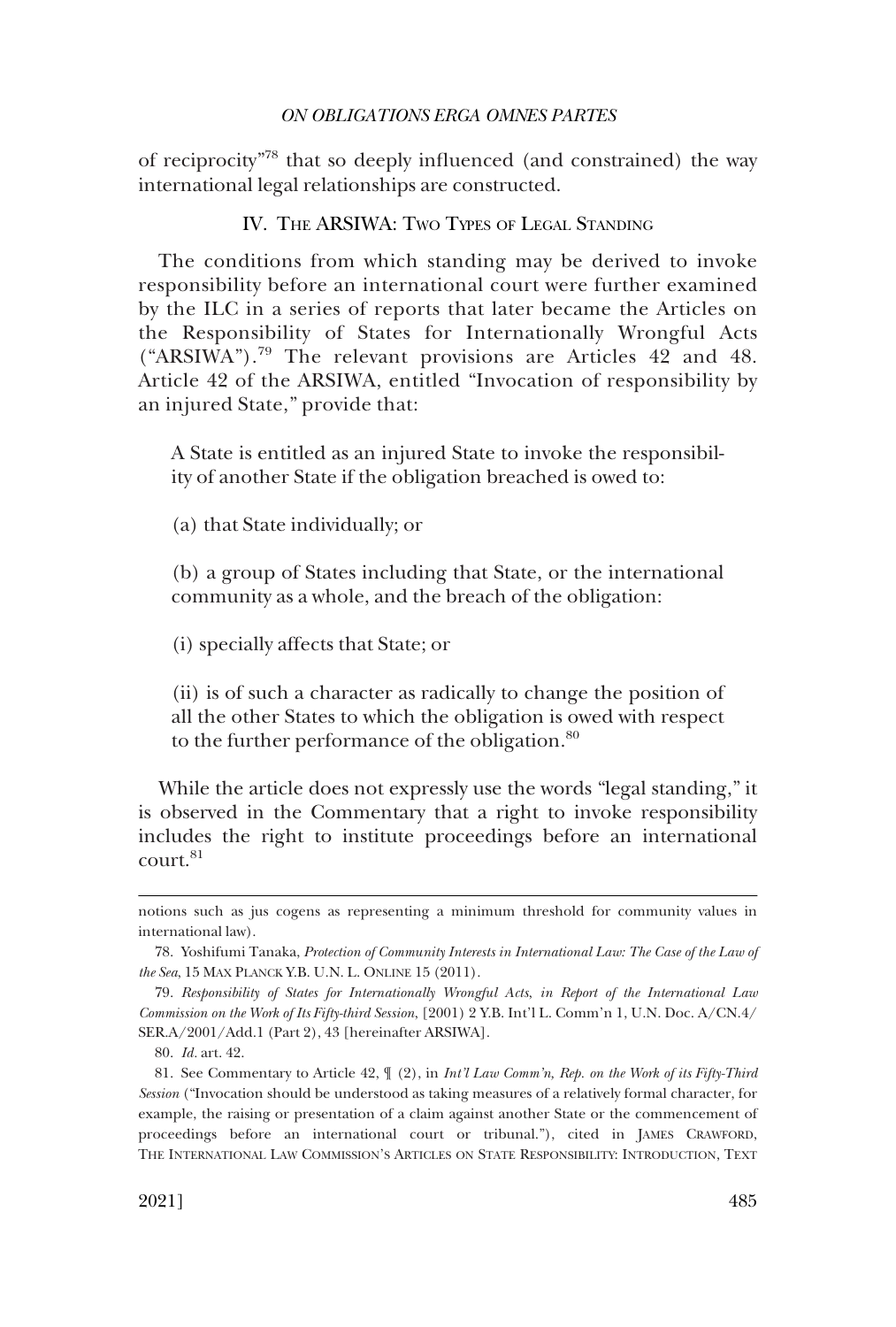<span id="page-16-0"></span>of reciprocity"78 that so deeply influenced (and constrained) the way international legal relationships are constructed.

## IV. THE ARSIWA: TWO TYPES OF LEGAL STANDING

The conditions from which standing may be derived to invoke responsibility before an international court were further examined by the ILC in a series of reports that later became the Articles on the Responsibility of States for Internationally Wrongful Acts ("ARSIWA").79 The relevant provisions are Articles 42 and 48. Article 42 of the ARSIWA, entitled "Invocation of responsibility by an injured State," provide that:

A State is entitled as an injured State to invoke the responsibility of another State if the obligation breached is owed to:

(a) that State individually; or

(b) a group of States including that State, or the international community as a whole, and the breach of the obligation:

(i) specially affects that State; or

(ii) is of such a character as radically to change the position of all the other States to which the obligation is owed with respect to the further performance of the obligation.<sup>80</sup>

While the article does not expressly use the words "legal standing," it is observed in the Commentary that a right to invoke responsibility includes the right to institute proceedings before an international court.<sup>81</sup>

notions such as jus cogens as representing a minimum threshold for community values in international law).

<sup>78.</sup> Yoshifumi Tanaka, *Protection of Community Interests in International Law: The Case of the Law of the Sea*, 15 MAX PLANCK Y.B. U.N. L. ONLINE 15 (2011).

<sup>79.</sup> *Responsibility of States for Internationally Wrongful Acts*, *in Report of the International Law Commission on the Work of Its Fifty-third Session*, [2001) 2 Y.B. Int'l L. Comm'n 1, U.N. Doc. A/CN.4/ SER.A/2001/Add.1 (Part 2), 43 [hereinafter ARSIWA].

<sup>80.</sup> *Id.* art. 42.

<sup>81.</sup> See Commentary to Article 42, ¶ (2), in *Int'l Law Comm'n, Rep. on the Work of its Fifty-Third Session* ("Invocation should be understood as taking measures of a relatively formal character, for example, the raising or presentation of a claim against another State or the commencement of proceedings before an international court or tribunal."), cited in JAMES CRAWFORD, THE INTERNATIONAL LAW COMMISSION'S ARTICLES ON STATE RESPONSIBILITY: INTRODUCTION, TEXT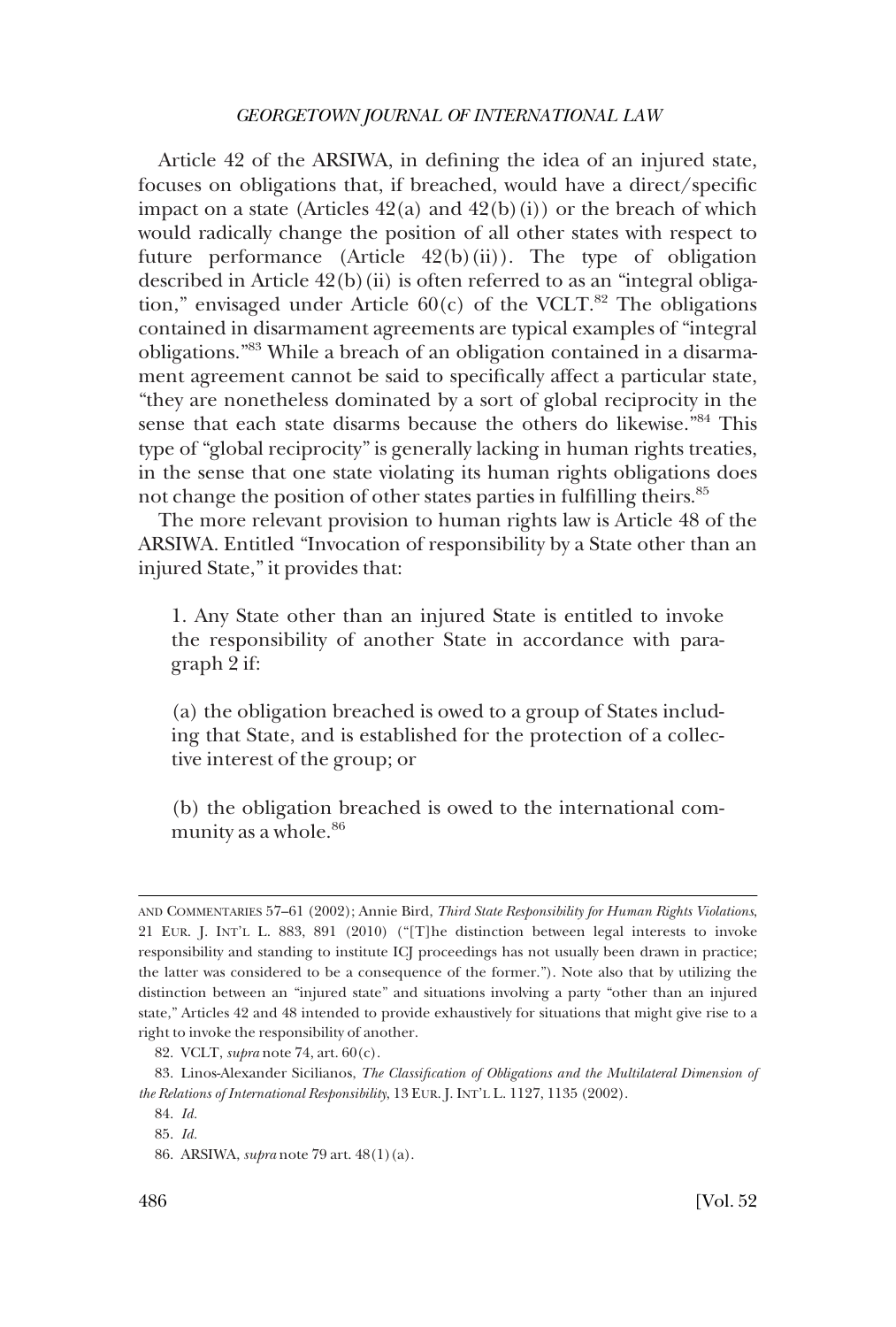Article 42 of the ARSIWA, in defining the idea of an injured state, focuses on obligations that, if breached, would have a direct/specific impact on a state (Articles  $42(a)$  and  $42(b)(i)$ ) or the breach of which would radically change the position of all other states with respect to future performance (Article  $42(b)(ii)$ ). The type of obligation described in Article  $42(b)(ii)$  is often referred to as an "integral obligation," envisaged under Article  $60(c)$  of the VCLT.<sup>82</sup> The obligations contained in disarmament agreements are typical examples of "integral obligations."83 While a breach of an obligation contained in a disarmament agreement cannot be said to specifically affect a particular state, "they are nonetheless dominated by a sort of global reciprocity in the sense that each state disarms because the others do likewise."84 This type of "global reciprocity" is generally lacking in human rights treaties, in the sense that one state violating its human rights obligations does not change the position of other states parties in fulfilling theirs.<sup>85</sup>

The more relevant provision to human rights law is Article 48 of the ARSIWA. Entitled "Invocation of responsibility by a State other than an injured State," it provides that:

1. Any State other than an injured State is entitled to invoke the responsibility of another State in accordance with paragraph 2 if:

(a) the obligation breached is owed to a group of States including that State, and is established for the protection of a collective interest of the group; or

(b) the obligation breached is owed to the international community as a whole.<sup>86</sup>

AND COMMENTARIES 57–61 (2002); Annie Bird, *Third State Responsibility for Human Rights Violations*, 21 EUR. J. INT'L L. 883, 891 (2010) ("[T]he distinction between legal interests to invoke responsibility and standing to institute ICJ proceedings has not usually been drawn in practice; the latter was considered to be a consequence of the former."). Note also that by utilizing the distinction between an "injured state" and situations involving a party "other than an injured state," Articles 42 and 48 intended to provide exhaustively for situations that might give rise to a right to invoke the responsibility of another.

<sup>82.</sup> VCLT, *supra* note 74, art. 60(c).

<sup>83.</sup> Linos-Alexander Sicilianos, *The Classification of Obligations and the Multilateral Dimension of the Relations of International Responsibility*, 13 EUR. J. INT'L L. 1127, 1135 (2002).

<sup>84.</sup> *Id.* 

<sup>85.</sup> *Id.* 

<sup>86.</sup> ARSIWA, *supra* note 79 art. 48(1)(a).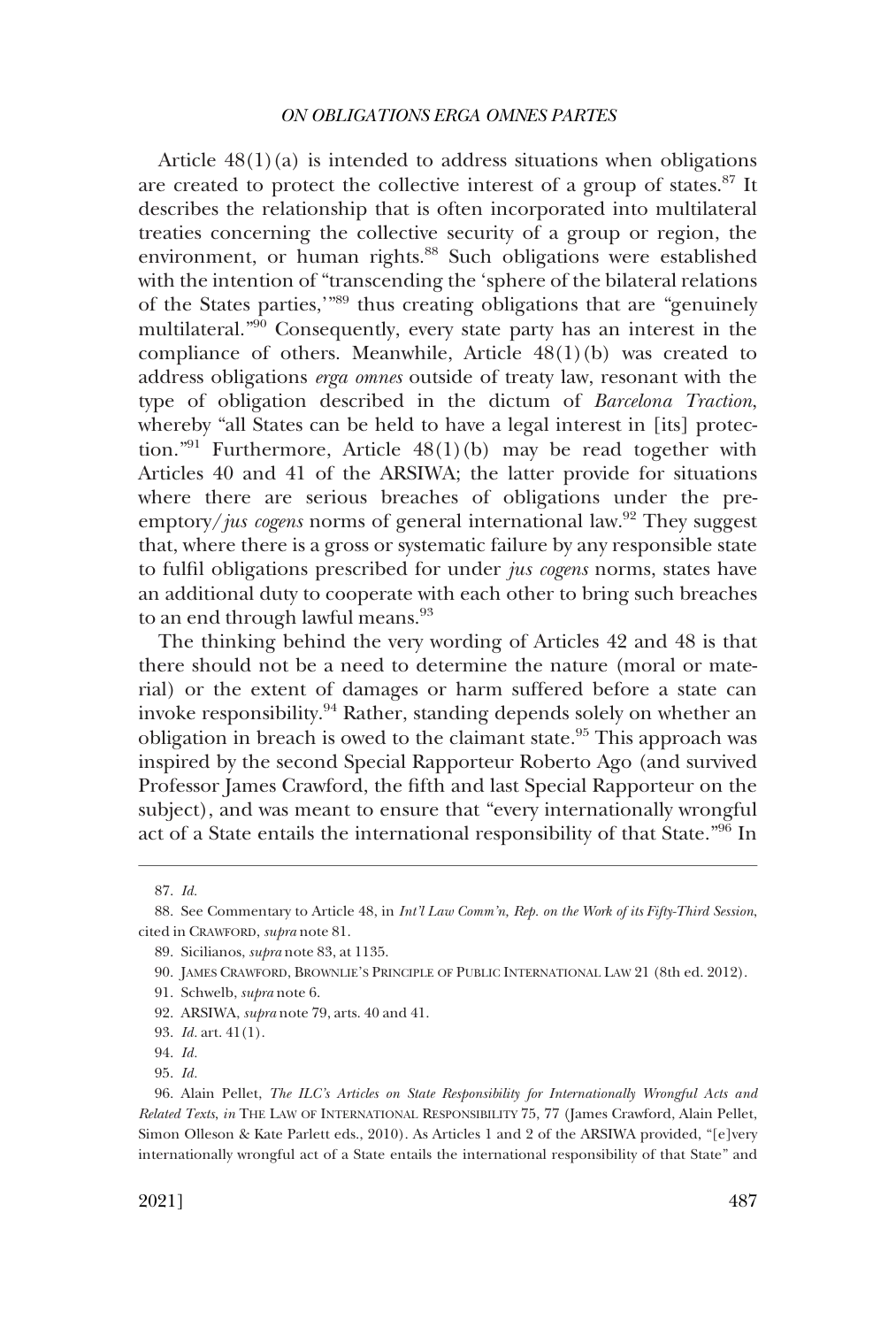Article  $48(1)(a)$  is intended to address situations when obligations are created to protect the collective interest of a group of states.87 It describes the relationship that is often incorporated into multilateral treaties concerning the collective security of a group or region, the environment, or human rights.<sup>88</sup> Such obligations were established with the intention of "transcending the 'sphere of the bilateral relations of the States parties,'"89 thus creating obligations that are "genuinely multilateral."90 Consequently, every state party has an interest in the compliance of others. Meanwhile, Article 48(1)(b) was created to address obligations *erga omnes* outside of treaty law, resonant with the type of obligation described in the dictum of *Barcelona Traction*, whereby "all States can be held to have a legal interest in [its] protection."<sup>91</sup> Furthermore, Article  $48(1)(b)$  may be read together with Articles 40 and 41 of the ARSIWA; the latter provide for situations where there are serious breaches of obligations under the preemptory/*jus cogens* norms of general international law.<sup>92</sup> They suggest that, where there is a gross or systematic failure by any responsible state to fulfil obligations prescribed for under *jus cogens* norms, states have an additional duty to cooperate with each other to bring such breaches to an end through lawful means.<sup>93</sup>

The thinking behind the very wording of Articles 42 and 48 is that there should not be a need to determine the nature (moral or material) or the extent of damages or harm suffered before a state can invoke responsibility.94 Rather, standing depends solely on whether an obligation in breach is owed to the claimant state.<sup>95</sup> This approach was inspired by the second Special Rapporteur Roberto Ago (and survived Professor James Crawford, the fifth and last Special Rapporteur on the subject), and was meant to ensure that "every internationally wrongful act of a State entails the international responsibility of that State."96 In

<sup>87.</sup> *Id.* 

<sup>88.</sup> See Commentary to Article 48, in *Int'l Law Comm'n, Rep. on the Work of its Fifty-Third Session*, cited in CRAWFORD, *supra* note 81.

<sup>89.</sup> Sicilianos, *supra* note 83, at 1135.

<sup>90.</sup> JAMES CRAWFORD, BROWNLIE'S PRINCIPLE OF PUBLIC INTERNATIONAL LAW 21 (8th ed. 2012).

<sup>91.</sup> Schwelb, *supra* note 6.

<sup>92.</sup> ARSIWA, *supra* note 79, arts. 40 and 41.

<sup>93.</sup> *Id.* art. 41(1).

<sup>94.</sup> *Id.* 

<sup>95.</sup> *Id.* 

<sup>96.</sup> Alain Pellet, *The ILC's Articles on State Responsibility for Internationally Wrongful Acts and Related Texts*, *in* THE LAW OF INTERNATIONAL RESPONSIBILITY 75, 77 (James Crawford, Alain Pellet, Simon Olleson & Kate Parlett eds., 2010). As Articles 1 and 2 of the ARSIWA provided, "[e]very internationally wrongful act of a State entails the international responsibility of that State" and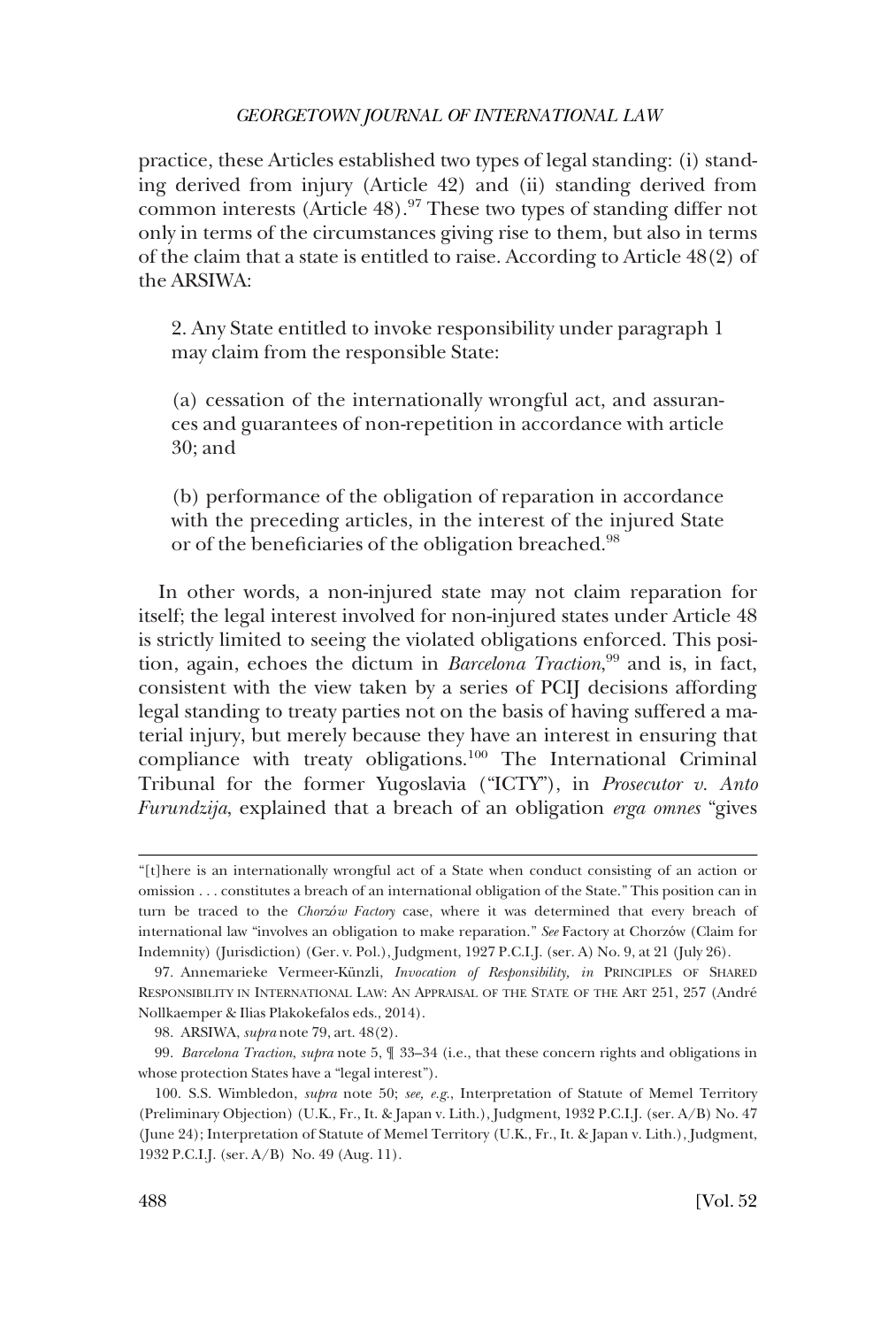practice, these Articles established two types of legal standing: (i) standing derived from injury (Article 42) and (ii) standing derived from common interests (Article 48).97 These two types of standing differ not only in terms of the circumstances giving rise to them, but also in terms of the claim that a state is entitled to raise. According to Article 48(2) of the ARSIWA:

2. Any State entitled to invoke responsibility under paragraph 1 may claim from the responsible State:

(a) cessation of the internationally wrongful act, and assurances and guarantees of non-repetition in accordance with article 30; and

(b) performance of the obligation of reparation in accordance with the preceding articles, in the interest of the injured State or of the beneficiaries of the obligation breached.<sup>98</sup>

In other words, a non-injured state may not claim reparation for itself; the legal interest involved for non-injured states under Article 48 is strictly limited to seeing the violated obligations enforced. This position, again, echoes the dictum in *Barcelona Traction*, 99 and is, in fact, consistent with the view taken by a series of PCIJ decisions affording legal standing to treaty parties not on the basis of having suffered a material injury, but merely because they have an interest in ensuring that compliance with treaty obligations.100 The International Criminal Tribunal for the former Yugoslavia ("ICTY"), in *Prosecutor v. Anto Furundzija*, explained that a breach of an obligation *erga omnes* "gives

<sup>&</sup>quot;[t]here is an internationally wrongful act of a State when conduct consisting of an action or omission . . . constitutes a breach of an international obligation of the State." This position can in turn be traced to the *Chorzów Factory* case, where it was determined that every breach of international law "involves an obligation to make reparation." *See* Factory at Chorzów (Claim for Indemnity) (Jurisdiction) (Ger. v. Pol.), Judgment, 1927 P.C.I.J. (ser. A) No. 9, at 21 (July 26).

<sup>97.</sup> Annemarieke Vermeer-Künzli, *Invocation of Responsibility, in* PRINCIPLES OF SHARED RESPONSIBILITY IN INTERNATIONAL LAW: AN APPRAISAL OF THE STATE OF THE ART 251, 257 (André Nollkaemper & Ilias Plakokefalos eds., 2014).

<sup>98.</sup> ARSIWA, *supra* note 79, art. 48(2).

<sup>99.</sup> *Barcelona Traction*, *supra* note 5, ¶ 33–34 (i.e., that these concern rights and obligations in whose protection States have a "legal interest").

<sup>100.</sup> S.S. Wimbledon, *supra* note 50; *see, e.g.*, Interpretation of Statute of Memel Territory (Preliminary Objection) (U.K., Fr., It. & Japan v. Lith.), Judgment, 1932 P.C.I.J. (ser. A/B) No. 47 (June 24); Interpretation of Statute of Memel Territory (U.K., Fr., It. & Japan v. Lith.), Judgment, 1932 P.C.I.J. (ser. A/B) No. 49 (Aug. 11).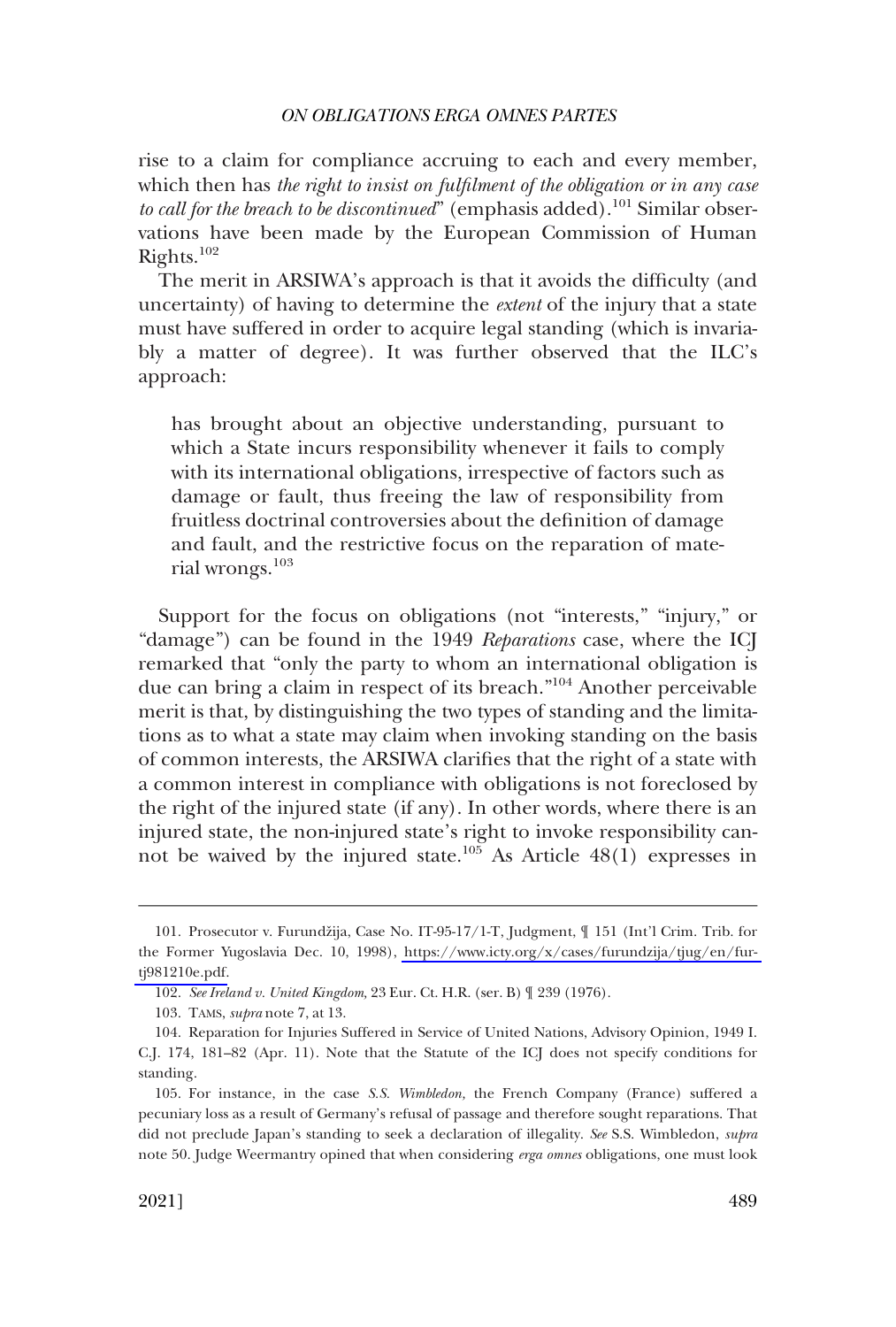rise to a claim for compliance accruing to each and every member, which then has *the right to insist on fulfilment of the obligation or in any case*  to call for the breach to be discontinued" (emphasis added).<sup>101</sup> Similar observations have been made by the European Commission of Human Rights.102

The merit in ARSIWA's approach is that it avoids the difficulty (and uncertainty) of having to determine the *extent* of the injury that a state must have suffered in order to acquire legal standing (which is invariably a matter of degree). It was further observed that the ILC's approach:

has brought about an objective understanding, pursuant to which a State incurs responsibility whenever it fails to comply with its international obligations, irrespective of factors such as damage or fault, thus freeing the law of responsibility from fruitless doctrinal controversies about the definition of damage and fault, and the restrictive focus on the reparation of material wrongs.<sup>103</sup>

Support for the focus on obligations (not "interests," "injury," or "damage") can be found in the 1949 *Reparations* case, where the ICJ remarked that "only the party to whom an international obligation is due can bring a claim in respect of its breach."104 Another perceivable merit is that, by distinguishing the two types of standing and the limitations as to what a state may claim when invoking standing on the basis of common interests, the ARSIWA clarifies that the right of a state with a common interest in compliance with obligations is not foreclosed by the right of the injured state (if any). In other words, where there is an injured state, the non-injured state's right to invoke responsibility cannot be waived by the injured state.<sup>105</sup> As Article  $48(1)$  expresses in

<sup>101.</sup> Prosecutor v. Furundžija, Case No. IT-95-17/1-T, Judgment,  $\parallel$  151 (Int'l Crim. Trib. for the Former Yugoslavia Dec. 10, 1998), [https://www.icty.org/x/cases/furundzija/tjug/en/fur](https://www.icty.org/x/cases/furundzija/tjug/en/fur-tj981210e.pdf)[tj981210e.pdf.](https://www.icty.org/x/cases/furundzija/tjug/en/fur-tj981210e.pdf)

<sup>102.</sup> *See Ireland v. United Kingdom,* 23 Eur. Ct. H.R. (ser. B) ¶ 239 (1976).

<sup>103.</sup> TAMS, *supra* note 7, at 13.

<sup>104.</sup> Reparation for Injuries Suffered in Service of United Nations, Advisory Opinion, 1949 I. C.J. 174, 181–82 (Apr. 11). Note that the Statute of the ICJ does not specify conditions for standing.

<sup>105.</sup> For instance, in the case *S.S. Wimbledon,* the French Company (France) suffered a pecuniary loss as a result of Germany's refusal of passage and therefore sought reparations. That did not preclude Japan's standing to seek a declaration of illegality. *See* S.S. Wimbledon, *supra*  note 50. Judge Weermantry opined that when considering *erga omnes* obligations, one must look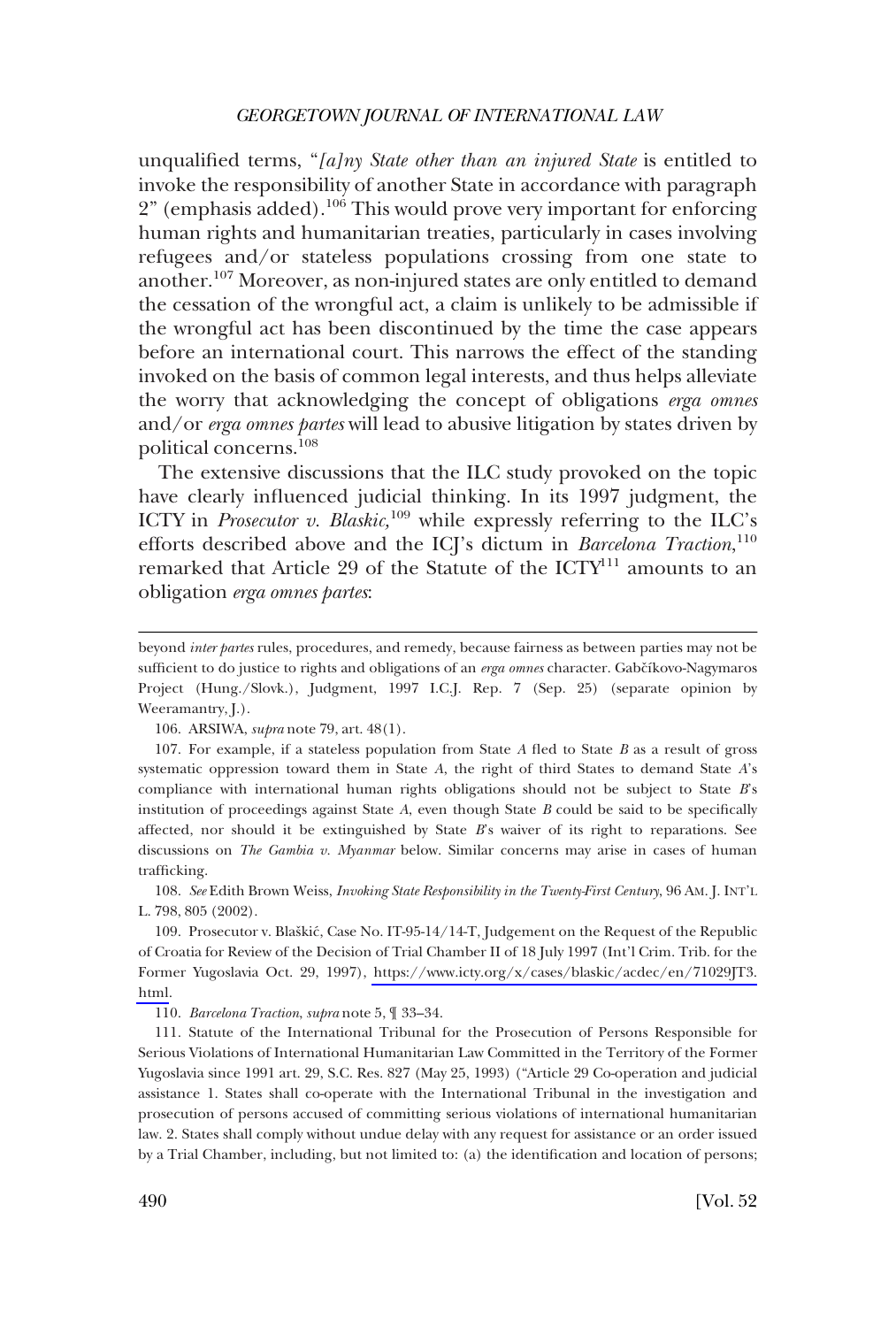unqualified terms, "*[a]ny State other than an injured State* is entitled to invoke the responsibility of another State in accordance with paragraph 2" (emphasis added).106 This would prove very important for enforcing human rights and humanitarian treaties, particularly in cases involving refugees and/or stateless populations crossing from one state to another.107 Moreover, as non-injured states are only entitled to demand the cessation of the wrongful act, a claim is unlikely to be admissible if the wrongful act has been discontinued by the time the case appears before an international court. This narrows the effect of the standing invoked on the basis of common legal interests, and thus helps alleviate the worry that acknowledging the concept of obligations *erga omnes*  and/or *erga omnes partes* will lead to abusive litigation by states driven by political concerns.108

The extensive discussions that the ILC study provoked on the topic have clearly influenced judicial thinking. In its 1997 judgment, the ICTY in *Prosecutor v. Blaskic*,<sup>109</sup> while expressly referring to the ILC's efforts described above and the ICJ's dictum in *Barcelona Traction*, 110 remarked that Article 29 of the Statute of the ICTY<sup>111</sup> amounts to an obligation *erga omnes partes*:

106. ARSIWA, *supra* note 79, art. 48(1).

107. For example, if a stateless population from State *A* fled to State *B* as a result of gross systematic oppression toward them in State *A*, the right of third States to demand State *A*'s compliance with international human rights obligations should not be subject to State *B*'s institution of proceedings against State *A*, even though State *B* could be said to be specifically affected, nor should it be extinguished by State *B*'s waiver of its right to reparations. See discussions on *The Gambia v. Myanmar* below. Similar concerns may arise in cases of human trafficking.

108. *See* Edith Brown Weiss, *Invoking State Responsibility in the Twenty-First Century*, 96 AM. J. INT'L L. 798, 805 (2002).

109. Prosecutor v. Blaškić, Case No. IT-95-14/14-T, Judgement on the Request of the Republic of Croatia for Review of the Decision of Trial Chamber II of 18 July 1997 (Int'l Crim. Trib. for the Former Yugoslavia Oct. 29, 1997), [https://www.icty.org/x/cases/blaskic/acdec/en/71029JT3.](https://www.icty.org/x/cases/blaskic/acdec/en/71029JT3.html) [html.](https://www.icty.org/x/cases/blaskic/acdec/en/71029JT3.html)

110. *Barcelona Traction*, *supra* note 5, ¶ 33–34.

111. Statute of the International Tribunal for the Prosecution of Persons Responsible for Serious Violations of International Humanitarian Law Committed in the Territory of the Former Yugoslavia since 1991 art. 29, S.C. Res. 827 (May 25, 1993) ("Article 29 Co-operation and judicial assistance 1. States shall co-operate with the International Tribunal in the investigation and prosecution of persons accused of committing serious violations of international humanitarian law. 2. States shall comply without undue delay with any request for assistance or an order issued by a Trial Chamber, including, but not limited to: (a) the identification and location of persons;

beyond *inter partes* rules, procedures, and remedy, because fairness as between parties may not be sufficient to do justice to rights and obligations of an *erga omnes* character. Gabčíkovo-Nagymaros Project (Hung./Slovk.), Judgment, 1997 I.C.J. Rep. 7 (Sep. 25) (separate opinion by Weeramantry, J.).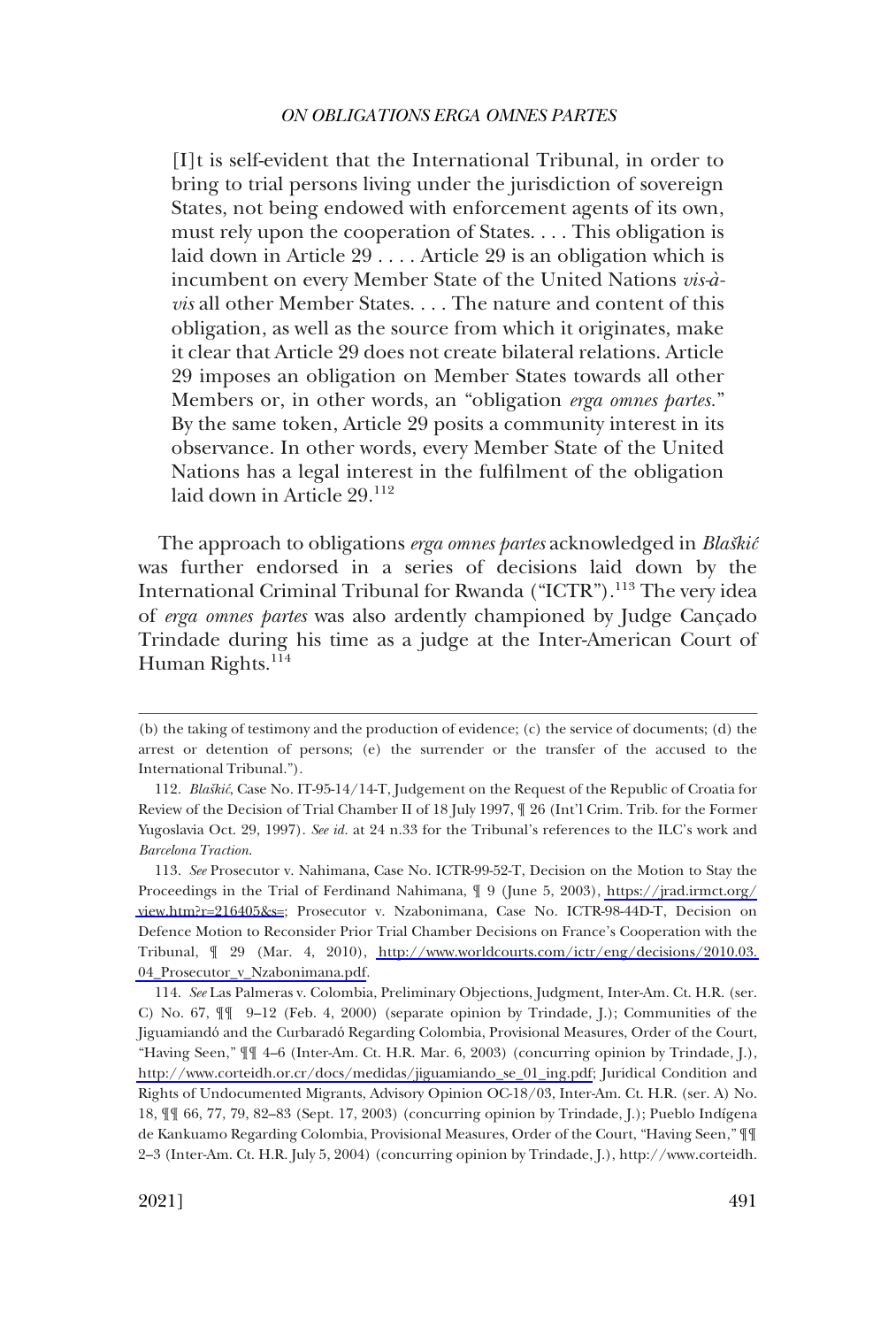[I]t is self-evident that the International Tribunal, in order to bring to trial persons living under the jurisdiction of sovereign States, not being endowed with enforcement agents of its own, must rely upon the cooperation of States. . . . This obligation is laid down in Article 29 . . . . Article 29 is an obligation which is incumbent on every Member State of the United Nations *vis-àvis* all other Member States. . . . The nature and content of this obligation, as well as the source from which it originates, make it clear that Article 29 does not create bilateral relations. Article 29 imposes an obligation on Member States towards all other Members or, in other words, an "obligation *erga omnes partes.*" By the same token, Article 29 posits a community interest in its observance. In other words, every Member State of the United Nations has a legal interest in the fulfilment of the obligation laid down in Article 29.<sup>112</sup>

The approach to obligations *erga omnes partes* acknowledged in *Blaškić* was further endorsed in a series of decisions laid down by the International Criminal Tribunal for Rwanda ("ICTR").<sup>113</sup> The very idea of *erga omnes partes* was also ardently championed by Judge Cançado Trindade during his time as a judge at the Inter-American Court of Human Rights.<sup>114</sup>

<sup>(</sup>b) the taking of testimony and the production of evidence; (c) the service of documents; (d) the arrest or detention of persons; (e) the surrender or the transfer of the accused to the International Tribunal.").

<sup>112.</sup> *Blasˇkic´*, Case No. IT-95-14/14-T, Judgement on the Request of the Republic of Croatia for Review of the Decision of Trial Chamber II of 18 July 1997, ¶ 26 (Int'l Crim. Trib. for the Former Yugoslavia Oct. 29, 1997). *See id.* at 24 n.33 for the Tribunal's references to the ILC's work and *Barcelona Traction*.

*See* Prosecutor v. Nahimana, Case No. ICTR-99-52-T, Decision on the Motion to Stay the 113. Proceedings in the Trial of Ferdinand Nahimana, ¶ 9 (June 5, 2003), [https://jrad.irmct.org/](https://jrad.irmct.org/view.htm?r=216405&s=) [view.htm?r=216405&s=](https://jrad.irmct.org/view.htm?r=216405&s=); Prosecutor v. Nzabonimana, Case No. ICTR-98-44D-T, Decision on Defence Motion to Reconsider Prior Trial Chamber Decisions on France's Cooperation with the Tribunal, ¶ 29 (Mar. 4, 2010), [http://www.worldcourts.com/ictr/eng/decisions/2010.03.](http://www.worldcourts.com/ictr/eng/decisions/2010.03.04_Prosecutor_v_Nzabonimana.pdf)  [04\\_Prosecutor\\_v\\_Nzabonimana.pdf.](http://www.worldcourts.com/ictr/eng/decisions/2010.03.04_Prosecutor_v_Nzabonimana.pdf)

<sup>114.</sup> *See* Las Palmeras v. Colombia, Preliminary Objections, Judgment, Inter-Am. Ct. H.R. (ser. C) No.  $67, \mathbb{H}$  9–12 (Feb. 4, 2000) (separate opinion by Trindade, J.); Communities of the Jiguamiandó and the Curbaradó Regarding Colombia, Provisional Measures, Order of the Court, "Having Seen," ¶¶ 4–6 (Inter-Am. Ct. H.R. Mar. 6, 2003) (concurring opinion by Trindade, J.), [http://www.corteidh.or.cr/docs/medidas/jiguamiando\\_se\\_01\\_ing.pdf;](http://www.corteidh.or.cr/docs/medidas/jiguamiando_se_01_ing.pdf) Juridical Condition and Rights of Undocumented Migrants, Advisory Opinion OC-18/03, Inter-Am. Ct. H.R. (ser. A) No. 18, ¶¶ 66, 77, 79, 82–83 (Sept. 17, 2003) (concurring opinion by Trindade, J.); Pueblo Indı´gena de Kankuamo Regarding Colombia, Provisional Measures, Order of the Court, "Having Seen," ¶¶ 2–3 (Inter-Am. Ct. H.R. July 5, 2004) (concurring opinion by Trindade, J.), http://www.corteidh.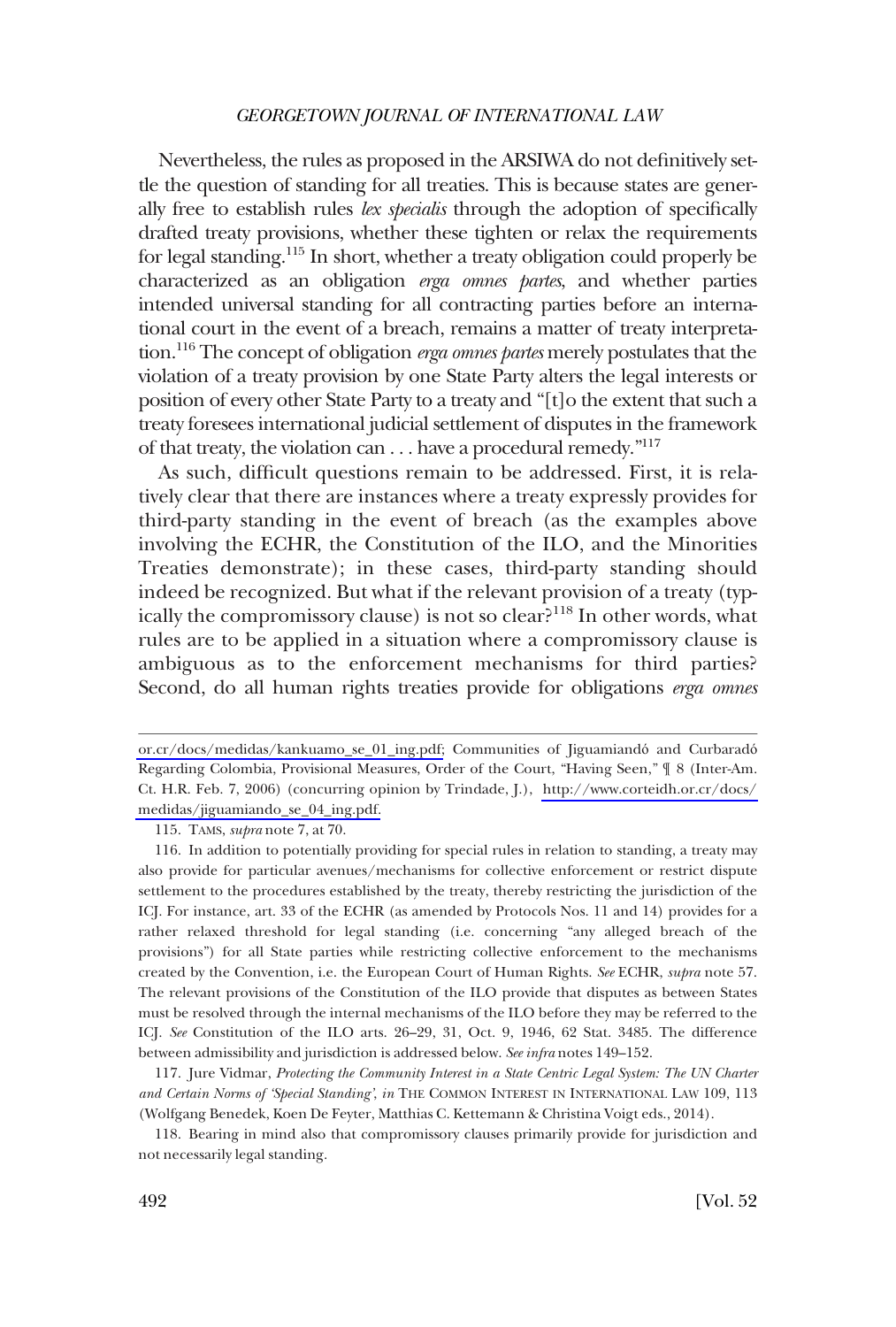Nevertheless, the rules as proposed in the ARSIWA do not definitively settle the question of standing for all treaties. This is because states are generally free to establish rules *lex specialis* through the adoption of specifically drafted treaty provisions, whether these tighten or relax the requirements for legal standing.115 In short, whether a treaty obligation could properly be characterized as an obligation *erga omnes partes*, and whether parties intended universal standing for all contracting parties before an international court in the event of a breach, remains a matter of treaty interpretation.116 The concept of obligation *erga omnes partes* merely postulates that the violation of a treaty provision by one State Party alters the legal interests or position of every other State Party to a treaty and "[t]o the extent that such a treaty foresees international judicial settlement of disputes in the framework of that treaty, the violation can  $\dots$  have a procedural remedy."<sup>117</sup>

As such, difficult questions remain to be addressed. First, it is relatively clear that there are instances where a treaty expressly provides for third-party standing in the event of breach (as the examples above involving the ECHR, the Constitution of the ILO, and the Minorities Treaties demonstrate); in these cases, third-party standing should indeed be recognized. But what if the relevant provision of a treaty (typically the compromissory clause) is not so clear?<sup>118</sup> In other words, what rules are to be applied in a situation where a compromissory clause is ambiguous as to the enforcement mechanisms for third parties? Second, do all human rights treaties provide for obligations *erga omnes* 

[or.cr/docs/medidas/kankuamo\\_se\\_01\\_ing.pdf;](http://www.corteidh.or.cr/docs/medidas/kankuamo_se_01_ing.pdf) Communities of Jiguamiandó and Curbaradó Regarding Colombia, Provisional Measures, Order of the Court, "Having Seen," ¶ 8 (Inter-Am. Ct. H.R. Feb. 7, 2006) (concurring opinion by Trindade, J.), [http://www.corteidh.or.cr/docs/](http://www.corteidh.or.cr/docs/medidas/jiguamiando_se_04_ing.pdf)  [medidas/jiguamiando\\_se\\_04\\_ing.pdf.](http://www.corteidh.or.cr/docs/medidas/jiguamiando_se_04_ing.pdf)

<sup>115.</sup> TAMS, *supra* note 7, at 70.

<sup>116.</sup> In addition to potentially providing for special rules in relation to standing, a treaty may also provide for particular avenues/mechanisms for collective enforcement or restrict dispute settlement to the procedures established by the treaty, thereby restricting the jurisdiction of the ICJ. For instance, art. 33 of the ECHR (as amended by Protocols Nos. 11 and 14) provides for a rather relaxed threshold for legal standing (i.e. concerning "any alleged breach of the provisions") for all State parties while restricting collective enforcement to the mechanisms created by the Convention, i.e. the European Court of Human Rights. *See* ECHR, *supra* note 57. The relevant provisions of the Constitution of the ILO provide that disputes as between States must be resolved through the internal mechanisms of the ILO before they may be referred to the ICJ. *See* Constitution of the ILO arts. 26–29, 31, Oct. 9, 1946, 62 Stat. 3485. The difference between admissibility and jurisdiction is addressed below. *See infra* notes 149–152.

<sup>117.</sup> Jure Vidmar, *Protecting the Community Interest in a State Centric Legal System: The UN Charter and Certain Norms of 'Special Standing'*, *in* THE COMMON INTEREST IN INTERNATIONAL LAW 109, 113 (Wolfgang Benedek, Koen De Feyter, Matthias C. Kettemann & Christina Voigt eds., 2014).

<sup>118.</sup> Bearing in mind also that compromissory clauses primarily provide for jurisdiction and not necessarily legal standing.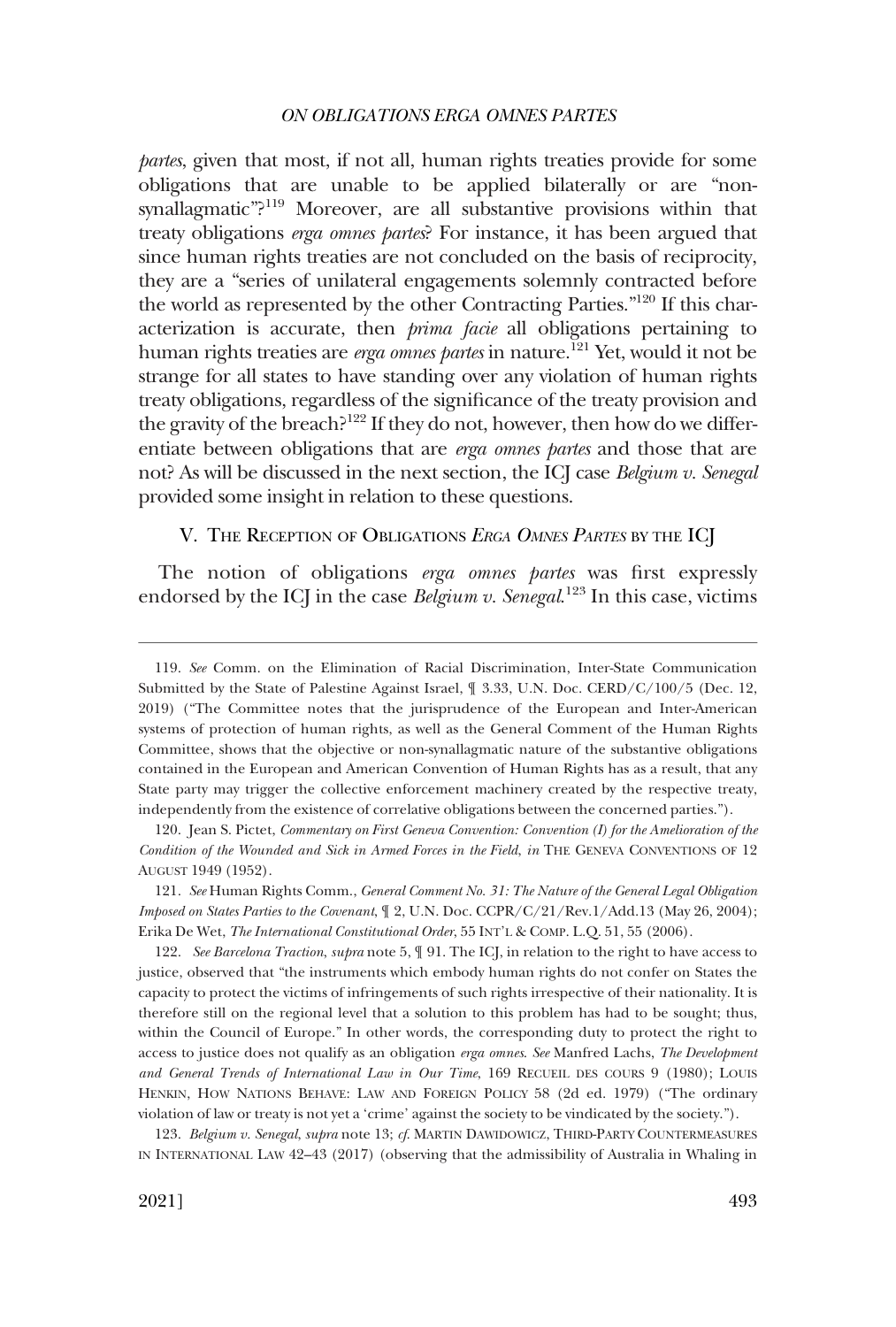<span id="page-24-0"></span>*partes*, given that most, if not all, human rights treaties provide for some obligations that are unable to be applied bilaterally or are "nonsynallagmatic"?<sup>119</sup> Moreover, are all substantive provisions within that treaty obligations *erga omnes partes*? For instance, it has been argued that since human rights treaties are not concluded on the basis of reciprocity, they are a "series of unilateral engagements solemnly contracted before the world as represented by the other Contracting Parties."120 If this characterization is accurate, then *prima facie* all obligations pertaining to human rights treaties are *erga omnes partes* in nature.<sup>121</sup> Yet, would it not be strange for all states to have standing over any violation of human rights treaty obligations, regardless of the significance of the treaty provision and the gravity of the breach?<sup>122</sup> If they do not, however, then how do we differentiate between obligations that are *erga omnes partes* and those that are not? As will be discussed in the next section, the ICJ case *Belgium v. Senegal*  provided some insight in relation to these questions.

### V. THE RECEPTION OF OBLIGATIONS *ERGA OMNES PARTES* BY THE ICJ

The notion of obligations *erga omnes partes* was first expressly endorsed by the ICJ in the case *Belgium v. Senegal.*<sup>123</sup> In this case, victims

120. Jean S. Pictet, *Commentary on First Geneva Convention: Convention (I) for the Amelioration of the Condition of the Wounded and Sick in Armed Forces in the Field*, *in* THE GENEVA CONVENTIONS OF 12 AUGUST 1949 (1952).

122. *See Barcelona Traction*, *supra* note 5, ¶ 91. The ICJ, in relation to the right to have access to justice, observed that "the instruments which embody human rights do not confer on States the capacity to protect the victims of infringements of such rights irrespective of their nationality. It is therefore still on the regional level that a solution to this problem has had to be sought; thus, within the Council of Europe." In other words, the corresponding duty to protect the right to access to justice does not qualify as an obligation *erga omnes*. *See* Manfred Lachs, *The Development and General Trends of International Law in Our Time*, 169 RECUEIL DES COURS 9 (1980); LOUIS HENKIN, HOW NATIONS BEHAVE: LAW AND FOREIGN POLICY 58 (2d ed. 1979) ("The ordinary violation of law or treaty is not yet a 'crime' against the society to be vindicated by the society.").

123. *Belgium v. Senegal*, *supra* note 13; *cf*. MARTIN DAWIDOWICZ, THIRD-PARTY COUNTERMEASURES IN INTERNATIONAL LAW 42–43 (2017) (observing that the admissibility of Australia in Whaling in

<sup>119.</sup> *See* Comm. on the Elimination of Racial Discrimination, Inter-State Communication Submitted by the State of Palestine Against Israel, ¶ 3.33, U.N. Doc. CERD/C/100/5 (Dec. 12, 2019) ("The Committee notes that the jurisprudence of the European and Inter-American systems of protection of human rights, as well as the General Comment of the Human Rights Committee, shows that the objective or non-synallagmatic nature of the substantive obligations contained in the European and American Convention of Human Rights has as a result, that any State party may trigger the collective enforcement machinery created by the respective treaty, independently from the existence of correlative obligations between the concerned parties.").

<sup>121.</sup> *See* Human Rights Comm., *General Comment No. 31: The Nature of the General Legal Obligation Imposed on States Parties to the Covenant*, ¶ 2, U.N. Doc. CCPR/C/21/Rev.1/Add.13 (May 26, 2004); Erika De Wet, *The International Constitutional Order*, 55 INT'L & COMP. L.Q. 51, 55 (2006).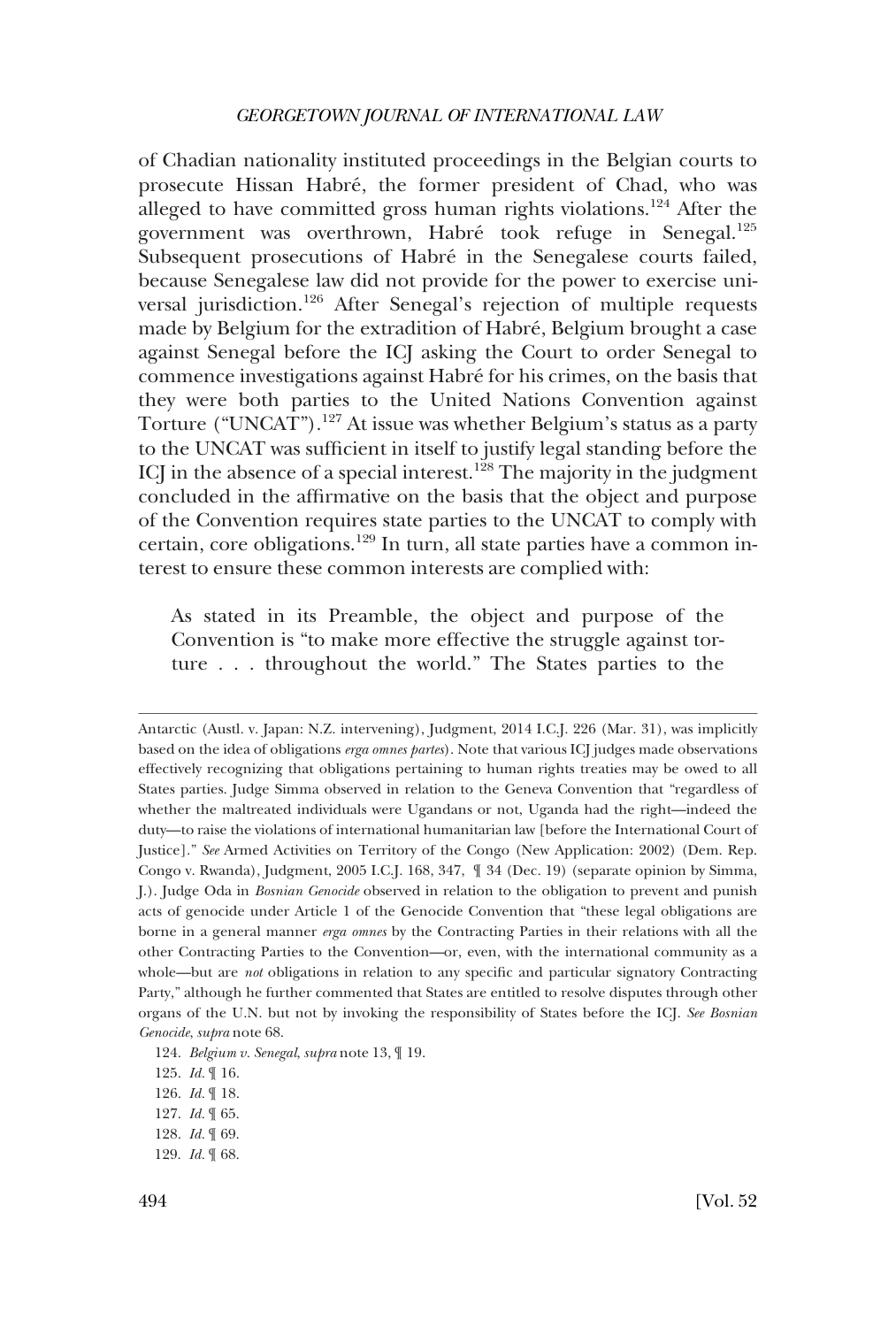of Chadian nationality instituted proceedings in the Belgian courts to prosecute Hissan Habré, the former president of Chad, who was alleged to have committed gross human rights violations.124 After the government was overthrown, Habré took refuge in Senegal.<sup>125</sup> Subsequent prosecutions of Habré in the Senegalese courts failed, because Senegalese law did not provide for the power to exercise universal jurisdiction.126 After Senegal's rejection of multiple requests made by Belgium for the extradition of Habré, Belgium brought a case against Senegal before the ICJ asking the Court to order Senegal to commence investigations against Habré for his crimes, on the basis that they were both parties to the United Nations Convention against Torture ("UNCAT").127 At issue was whether Belgium's status as a party to the UNCAT was sufficient in itself to justify legal standing before the ICJ in the absence of a special interest.<sup>128</sup> The majority in the judgment concluded in the affirmative on the basis that the object and purpose of the Convention requires state parties to the UNCAT to comply with certain, core obligations.129 In turn, all state parties have a common interest to ensure these common interests are complied with:

As stated in its Preamble, the object and purpose of the Convention is "to make more effective the struggle against torture . . . throughout the world." The States parties to the

Antarctic (Austl. v. Japan: N.Z. intervening), Judgment, 2014 I.C.J. 226 (Mar. 31), was implicitly based on the idea of obligations *erga omnes partes*). Note that various ICJ judges made observations effectively recognizing that obligations pertaining to human rights treaties may be owed to all States parties. Judge Simma observed in relation to the Geneva Convention that "regardless of whether the maltreated individuals were Ugandans or not, Uganda had the right—indeed the duty—to raise the violations of international humanitarian law [before the International Court of Justice]." *See* Armed Activities on Territory of the Congo (New Application: 2002) (Dem. Rep. Congo v. Rwanda), Judgment, 2005 I.C.J. 168, 347, ¶ 34 (Dec. 19) (separate opinion by Simma, J.). Judge Oda in *Bosnian Genocide* observed in relation to the obligation to prevent and punish acts of genocide under Article 1 of the Genocide Convention that "these legal obligations are borne in a general manner *erga omnes* by the Contracting Parties in their relations with all the other Contracting Parties to the Convention—or, even, with the international community as a whole—but are *not* obligations in relation to any specific and particular signatory Contracting Party," although he further commented that States are entitled to resolve disputes through other organs of the U.N. but not by invoking the responsibility of States before the ICJ. *See Bosnian Genocide*, *supra* note 68.

<sup>124.</sup> *Belgium v. Senegal*, *supra* note 13, ¶ 19.

<sup>125.</sup> *Id.* ¶ 16.

<sup>126.</sup> *Id.* ¶ 18.

<sup>127.</sup> *Id.* ¶ 65.

<sup>128.</sup> *Id.* ¶ 69.

<sup>129.</sup> *Id.* ¶ 68.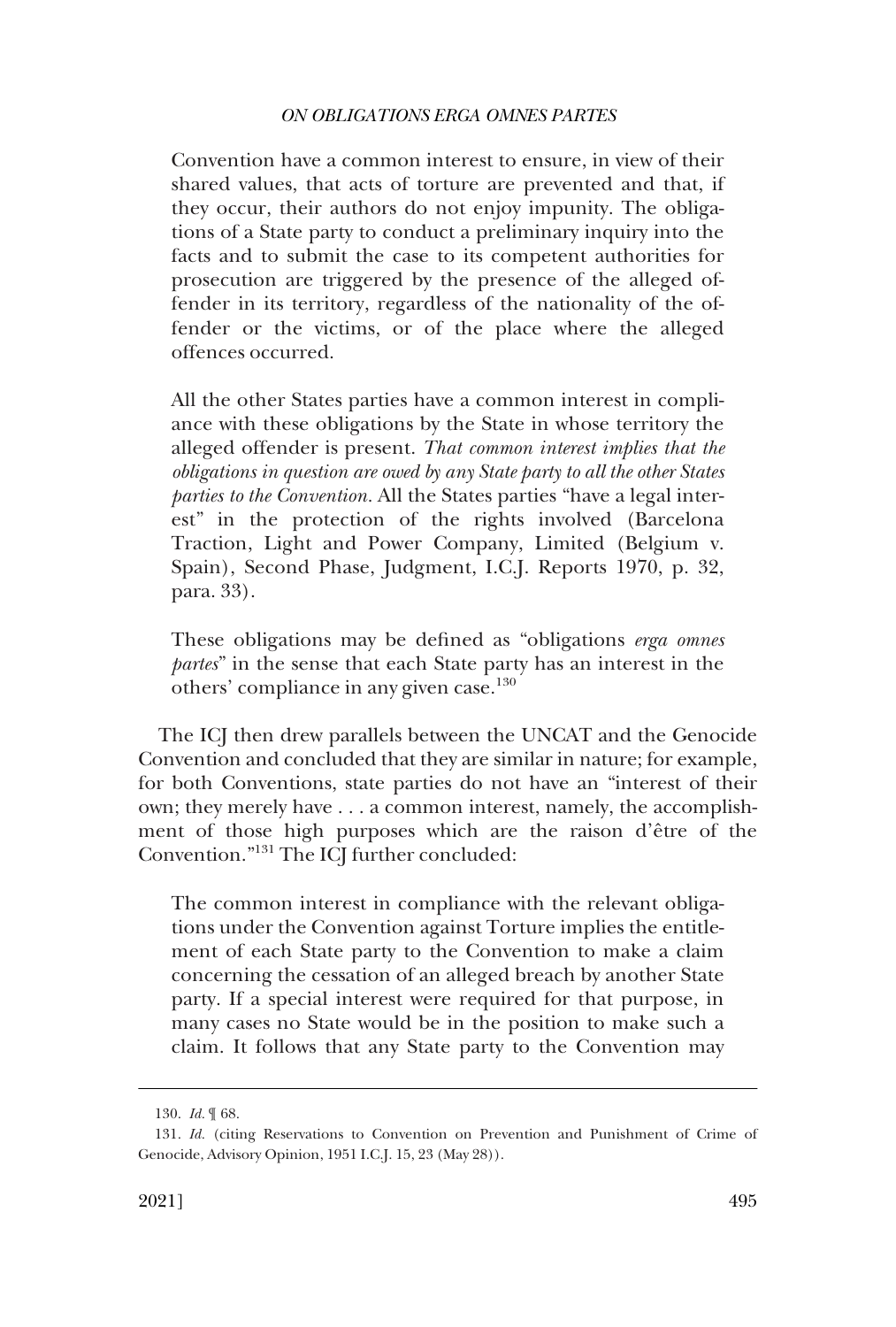Convention have a common interest to ensure, in view of their shared values, that acts of torture are prevented and that, if they occur, their authors do not enjoy impunity. The obligations of a State party to conduct a preliminary inquiry into the facts and to submit the case to its competent authorities for prosecution are triggered by the presence of the alleged offender in its territory, regardless of the nationality of the offender or the victims, or of the place where the alleged offences occurred.

All the other States parties have a common interest in compliance with these obligations by the State in whose territory the alleged offender is present. *That common interest implies that the obligations in question are owed by any State party to all the other States parties to the Convention.* All the States parties "have a legal interest" in the protection of the rights involved (Barcelona Traction, Light and Power Company, Limited (Belgium v. Spain), Second Phase, Judgment, I.C.J. Reports 1970, p. 32, para. 33).

These obligations may be defined as "obligations *erga omnes partes*" in the sense that each State party has an interest in the others' compliance in any given case.<sup>130</sup>

The ICJ then drew parallels between the UNCAT and the Genocide Convention and concluded that they are similar in nature; for example, for both Conventions, state parties do not have an "interest of their own; they merely have . . . a common interest, namely, the accomplishment of those high purposes which are the raison d'être of the Convention."131 The ICJ further concluded:

The common interest in compliance with the relevant obligations under the Convention against Torture implies the entitlement of each State party to the Convention to make a claim concerning the cessation of an alleged breach by another State party. If a special interest were required for that purpose, in many cases no State would be in the position to make such a claim. It follows that any State party to the Convention may

<sup>130.</sup> *Id.* ¶ 68.

<sup>131.</sup> *Id.* (citing Reservations to Convention on Prevention and Punishment of Crime of Genocide, Advisory Opinion, 1951 I.C.J. 15, 23 (May 28)).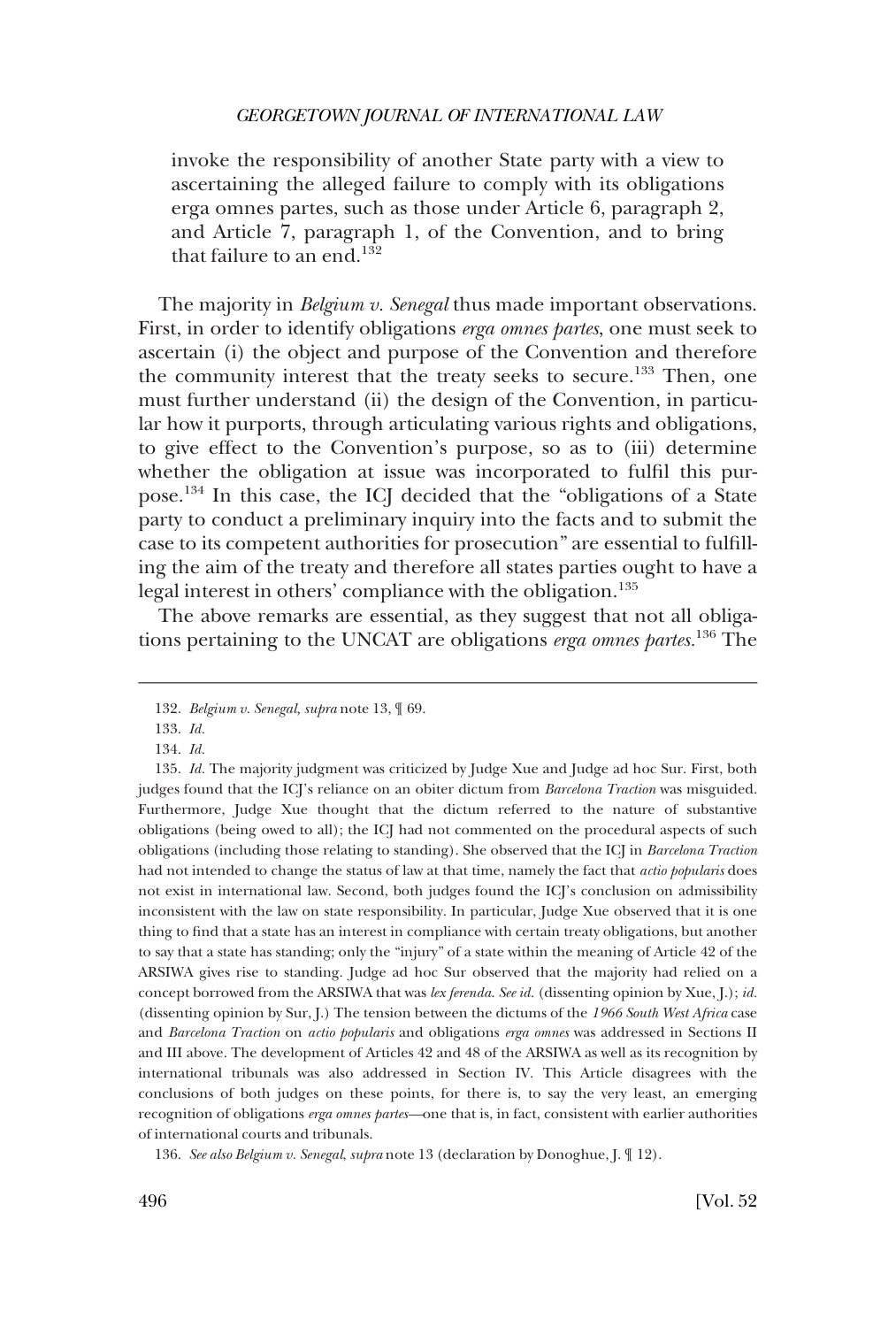invoke the responsibility of another State party with a view to ascertaining the alleged failure to comply with its obligations erga omnes partes, such as those under Article 6, paragraph 2, and Article 7, paragraph 1, of the Convention, and to bring that failure to an end. $132$ 

The majority in *Belgium v. Senegal* thus made important observations. First, in order to identify obligations *erga omnes partes*, one must seek to ascertain (i) the object and purpose of the Convention and therefore the community interest that the treaty seeks to secure.<sup>133</sup> Then, one must further understand (ii) the design of the Convention, in particular how it purports, through articulating various rights and obligations, to give effect to the Convention's purpose, so as to (iii) determine whether the obligation at issue was incorporated to fulfil this purpose.134 In this case, the ICJ decided that the "obligations of a State party to conduct a preliminary inquiry into the facts and to submit the case to its competent authorities for prosecution" are essential to fulfilling the aim of the treaty and therefore all states parties ought to have a legal interest in others' compliance with the obligation.<sup>135</sup>

The above remarks are essential, as they suggest that not all obligations pertaining to the UNCAT are obligations *erga omnes partes.*136 The

136. *See also Belgium v. Senegal*, *supra* note 13 (declaration by Donoghue, J. ¶ 12).

<sup>132.</sup> *Belgium v. Senegal, supra* note 13, ¶ 69.

<sup>133.</sup> *Id.* 

<sup>134.</sup> *Id.* 

<sup>135.</sup> *Id.* The majority judgment was criticized by Judge Xue and Judge ad hoc Sur. First, both judges found that the ICJ's reliance on an obiter dictum from *Barcelona Traction* was misguided. Furthermore, Judge Xue thought that the dictum referred to the nature of substantive obligations (being owed to all); the ICJ had not commented on the procedural aspects of such obligations (including those relating to standing). She observed that the ICJ in *Barcelona Traction*  had not intended to change the status of law at that time, namely the fact that *actio popularis* does not exist in international law. Second, both judges found the ICJ's conclusion on admissibility inconsistent with the law on state responsibility. In particular, Judge Xue observed that it is one thing to find that a state has an interest in compliance with certain treaty obligations, but another to say that a state has standing; only the "injury" of a state within the meaning of Article 42 of the ARSIWA gives rise to standing. Judge ad hoc Sur observed that the majority had relied on a concept borrowed from the ARSIWA that was *lex ferenda*. *See id.* (dissenting opinion by Xue, J.); *id.*  (dissenting opinion by Sur, J.) The tension between the dictums of the *1966 South West Africa* case and *Barcelona Traction* on *actio popularis* and obligations *erga omnes* was addressed in Sections II and III above. The development of Articles 42 and 48 of the ARSIWA as well as its recognition by international tribunals was also addressed in Section IV. This Article disagrees with the conclusions of both judges on these points, for there is, to say the very least, an emerging recognition of obligations *erga omnes partes—*one that is, in fact, consistent with earlier authorities of international courts and tribunals.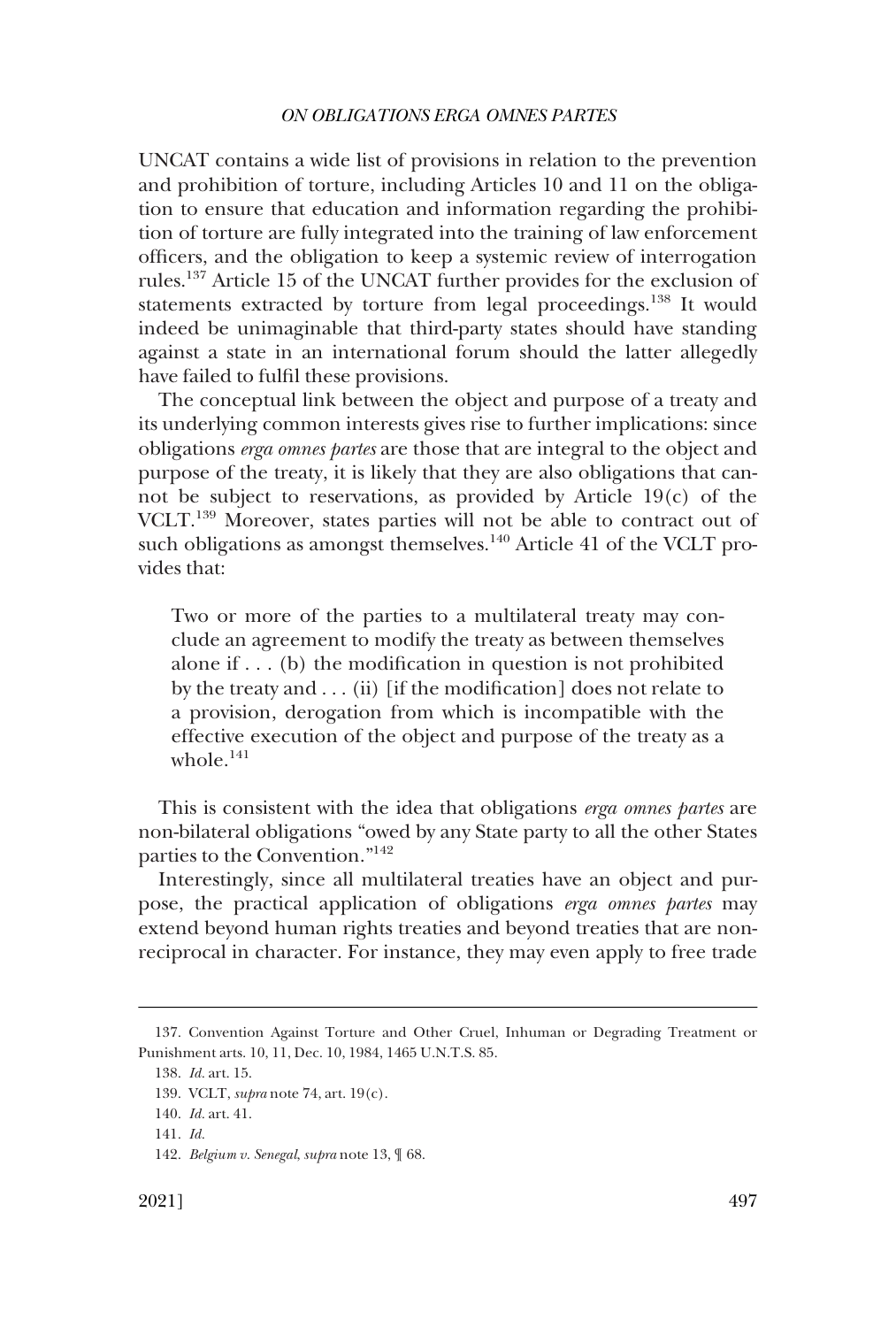UNCAT contains a wide list of provisions in relation to the prevention and prohibition of torture, including Articles 10 and 11 on the obligation to ensure that education and information regarding the prohibition of torture are fully integrated into the training of law enforcement officers, and the obligation to keep a systemic review of interrogation rules.137 Article 15 of the UNCAT further provides for the exclusion of statements extracted by torture from legal proceedings.<sup>138</sup> It would indeed be unimaginable that third-party states should have standing against a state in an international forum should the latter allegedly have failed to fulfil these provisions.

The conceptual link between the object and purpose of a treaty and its underlying common interests gives rise to further implications: since obligations *erga omnes partes* are those that are integral to the object and purpose of the treaty, it is likely that they are also obligations that cannot be subject to reservations, as provided by Article 19(c) of the VCLT.139 Moreover, states parties will not be able to contract out of such obligations as amongst themselves.<sup>140</sup> Article 41 of the VCLT provides that:

Two or more of the parties to a multilateral treaty may conclude an agreement to modify the treaty as between themselves alone if  $\dots$  (b) the modification in question is not prohibited by the treaty and  $\dots$  (ii) [if the modification] does not relate to a provision, derogation from which is incompatible with the effective execution of the object and purpose of the treaty as a whole.<sup>141</sup>

This is consistent with the idea that obligations *erga omnes partes* are non-bilateral obligations "owed by any State party to all the other States parties to the Convention."142

Interestingly, since all multilateral treaties have an object and purpose, the practical application of obligations *erga omnes partes* may extend beyond human rights treaties and beyond treaties that are nonreciprocal in character. For instance, they may even apply to free trade

<sup>137.</sup> Convention Against Torture and Other Cruel, Inhuman or Degrading Treatment or Punishment arts. 10, 11, Dec. 10, 1984, 1465 U.N.T.S. 85.

<sup>138.</sup> *Id.* art. 15.

<sup>139.</sup> VCLT, *supra* note 74, art. 19(c).

<sup>140.</sup> *Id.* art. 41.

<sup>141.</sup> *Id.* 

<sup>142.</sup> *Belgium v. Senegal*, *supra* note 13, ¶ 68.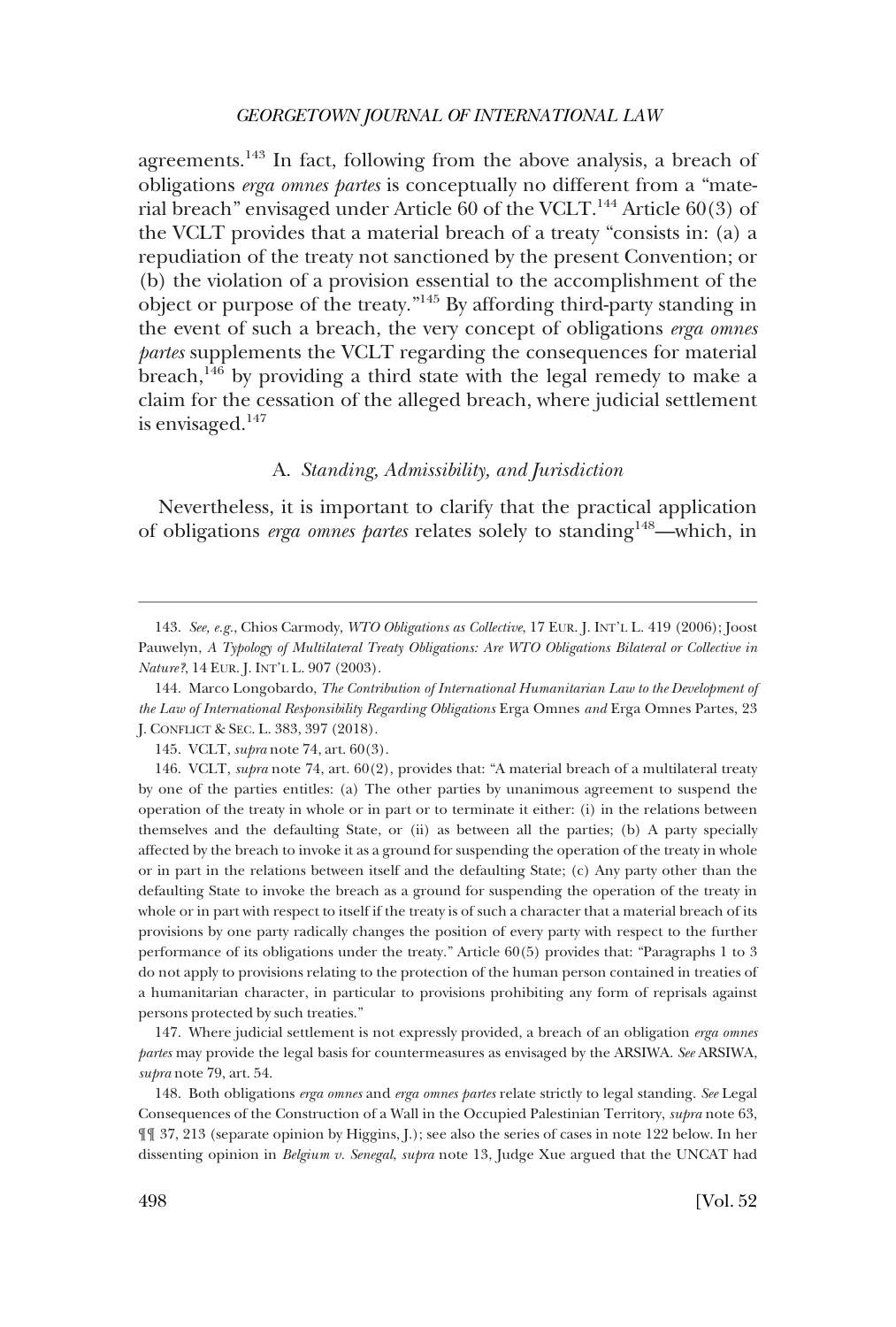<span id="page-29-0"></span>agreements.143 In fact, following from the above analysis, a breach of obligations *erga omnes partes* is conceptually no different from a "material breach" envisaged under Article 60 of the VCLT.<sup>144</sup> Article 60(3) of the VCLT provides that a material breach of a treaty "consists in: (a) a repudiation of the treaty not sanctioned by the present Convention; or (b) the violation of a provision essential to the accomplishment of the object or purpose of the treaty."145 By affording third-party standing in the event of such a breach, the very concept of obligations *erga omnes partes* supplements the VCLT regarding the consequences for material breach, $146$  by providing a third state with the legal remedy to make a claim for the cessation of the alleged breach, where judicial settlement is envisaged.147

## A. *Standing, Admissibility, and Jurisdiction*

Nevertheless, it is important to clarify that the practical application of obligations *erga omnes partes* relates solely to standing<sup>148</sup>—which, in

147. Where judicial settlement is not expressly provided, a breach of an obligation *erga omnes partes* may provide the legal basis for countermeasures as envisaged by the ARSIWA. *See* ARSIWA, *supra* note 79, art. 54.

148. Both obligations *erga omnes* and *erga omnes partes* relate strictly to legal standing. *See* Legal Consequences of the Construction of a Wall in the Occupied Palestinian Territory, *supra* note 63, ¶¶ 37, 213 (separate opinion by Higgins, J.); see also the series of cases in note 122 below. In her dissenting opinion in *Belgium v. Senegal*, *supra* note 13, Judge Xue argued that the UNCAT had

<sup>143.</sup> *See, e.g.*, Chios Carmody, *WTO Obligations as Collective*, 17 EUR. J. INT'L L. 419 (2006); Joost Pauwelyn, *A Typology of Multilateral Treaty Obligations: Are WTO Obligations Bilateral or Collective in Nature?*, 14 EUR. J. INT'L L. 907 (2003).

<sup>144.</sup> Marco Longobardo, *The Contribution of International Humanitarian Law to the Development of the Law of International Responsibility Regarding Obligations* Erga Omnes *and* Erga Omnes Partes, 23 J. CONFLICT & SEC. L. 383, 397 (2018).

<sup>145.</sup> VCLT, *supra* note 74, art. 60(3).

<sup>146.</sup> VCLT, *supra* note 74, art. 60(2), provides that: "A material breach of a multilateral treaty by one of the parties entitles: (a) The other parties by unanimous agreement to suspend the operation of the treaty in whole or in part or to terminate it either: (i) in the relations between themselves and the defaulting State, or (ii) as between all the parties; (b) A party specially affected by the breach to invoke it as a ground for suspending the operation of the treaty in whole or in part in the relations between itself and the defaulting State; (c) Any party other than the defaulting State to invoke the breach as a ground for suspending the operation of the treaty in whole or in part with respect to itself if the treaty is of such a character that a material breach of its provisions by one party radically changes the position of every party with respect to the further performance of its obligations under the treaty." Article 60(5) provides that: "Paragraphs 1 to 3 do not apply to provisions relating to the protection of the human person contained in treaties of a humanitarian character, in particular to provisions prohibiting any form of reprisals against persons protected by such treaties."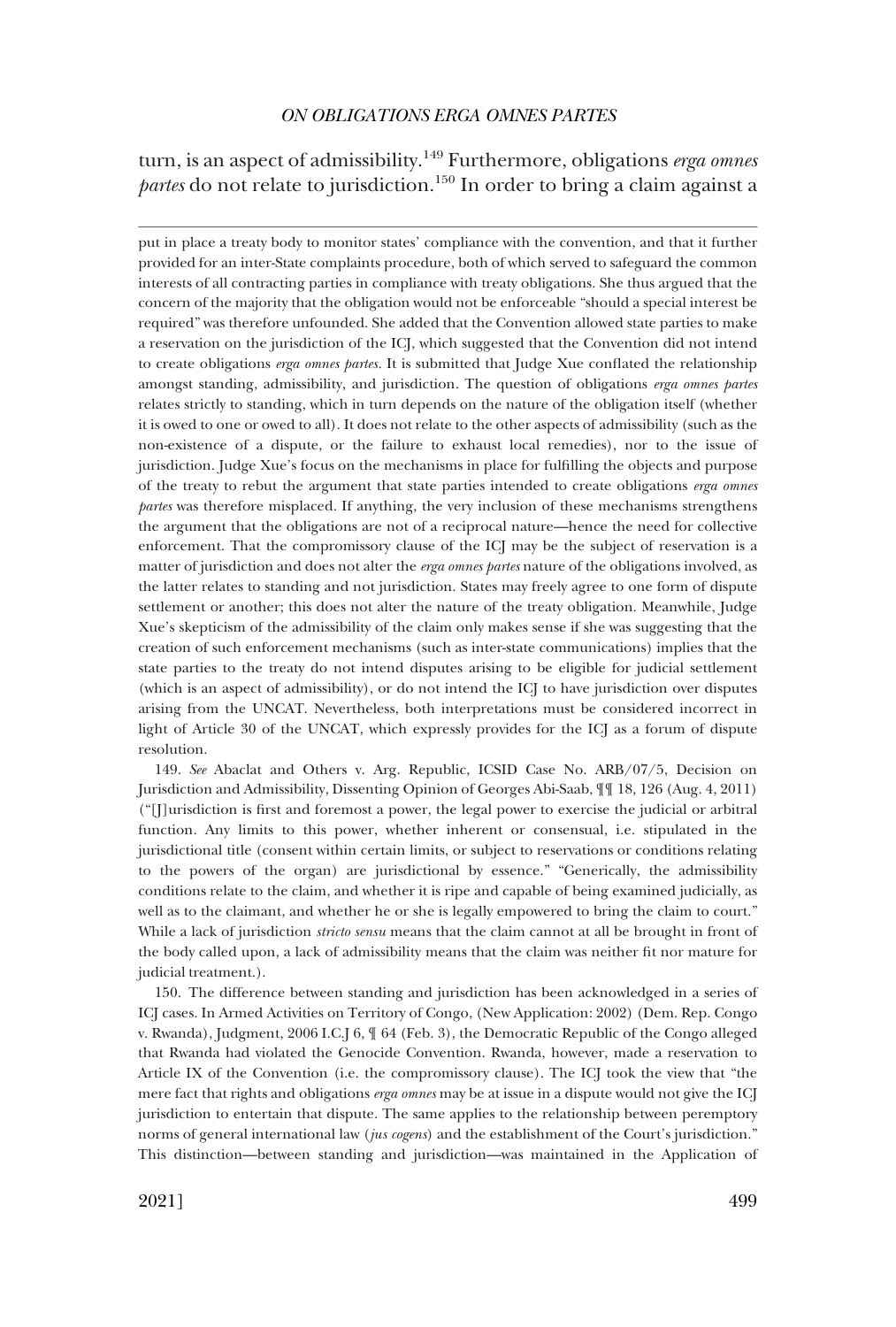# turn, is an aspect of admissibility.149 Furthermore, obligations *erga omnes partes* do not relate to jurisdiction.<sup>150</sup> In order to bring a claim against a

put in place a treaty body to monitor states' compliance with the convention, and that it further provided for an inter-State complaints procedure, both of which served to safeguard the common interests of all contracting parties in compliance with treaty obligations. She thus argued that the concern of the majority that the obligation would not be enforceable "should a special interest be required" was therefore unfounded. She added that the Convention allowed state parties to make a reservation on the jurisdiction of the ICJ, which suggested that the Convention did not intend to create obligations *erga omnes partes.* It is submitted that Judge Xue conflated the relationship amongst standing, admissibility, and jurisdiction. The question of obligations *erga omnes partes*  relates strictly to standing, which in turn depends on the nature of the obligation itself (whether it is owed to one or owed to all). It does not relate to the other aspects of admissibility (such as the non-existence of a dispute, or the failure to exhaust local remedies), nor to the issue of jurisdiction. Judge Xue's focus on the mechanisms in place for fulfilling the objects and purpose of the treaty to rebut the argument that state parties intended to create obligations *erga omnes partes* was therefore misplaced. If anything, the very inclusion of these mechanisms strengthens the argument that the obligations are not of a reciprocal nature—hence the need for collective enforcement. That the compromissory clause of the ICJ may be the subject of reservation is a matter of jurisdiction and does not alter the *erga omnes partes* nature of the obligations involved, as the latter relates to standing and not jurisdiction. States may freely agree to one form of dispute settlement or another; this does not alter the nature of the treaty obligation. Meanwhile, Judge Xue's skepticism of the admissibility of the claim only makes sense if she was suggesting that the creation of such enforcement mechanisms (such as inter-state communications) implies that the state parties to the treaty do not intend disputes arising to be eligible for judicial settlement (which is an aspect of admissibility), or do not intend the ICJ to have jurisdiction over disputes arising from the UNCAT. Nevertheless, both interpretations must be considered incorrect in light of Article 30 of the UNCAT, which expressly provides for the ICJ as a forum of dispute resolution.

149. *See* Abaclat and Others v. Arg. Republic, ICSID Case No. ARB/07/5, Decision on Jurisdiction and Admissibility, Dissenting Opinion of Georges Abi-Saab, ¶¶ 18, 126 (Aug. 4, 2011) ("[J]urisdiction is first and foremost a power, the legal power to exercise the judicial or arbitral function. Any limits to this power, whether inherent or consensual, i.e. stipulated in the jurisdictional title (consent within certain limits, or subject to reservations or conditions relating to the powers of the organ) are jurisdictional by essence." "Generically, the admissibility conditions relate to the claim, and whether it is ripe and capable of being examined judicially, as well as to the claimant, and whether he or she is legally empowered to bring the claim to court." While a lack of jurisdiction *stricto sensu* means that the claim cannot at all be brought in front of the body called upon, a lack of admissibility means that the claim was neither fit nor mature for judicial treatment.).

150. The difference between standing and jurisdiction has been acknowledged in a series of ICJ cases. In Armed Activities on Territory of Congo, (New Application: 2002) (Dem. Rep. Congo v. Rwanda), Judgment, 2006 I.C.J 6, ¶ 64 (Feb. 3), the Democratic Republic of the Congo alleged that Rwanda had violated the Genocide Convention. Rwanda, however, made a reservation to Article IX of the Convention (i.e. the compromissory clause). The ICJ took the view that "the mere fact that rights and obligations *erga omnes* may be at issue in a dispute would not give the ICJ jurisdiction to entertain that dispute. The same applies to the relationship between peremptory norms of general international law (*jus cogens*) and the establishment of the Court's jurisdiction." This distinction—between standing and jurisdiction—was maintained in the Application of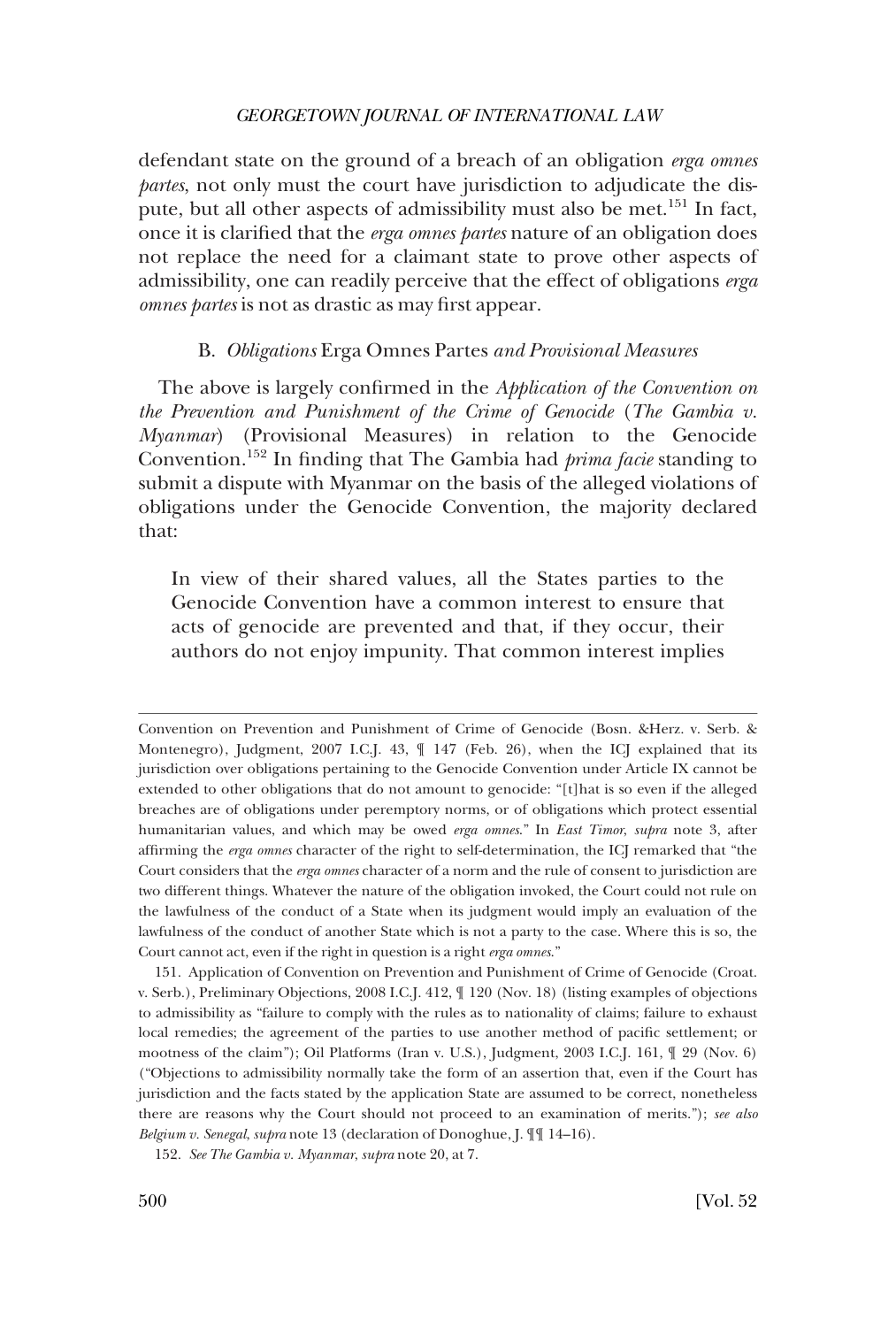<span id="page-31-0"></span>defendant state on the ground of a breach of an obligation *erga omnes partes*, not only must the court have jurisdiction to adjudicate the dispute, but all other aspects of admissibility must also be met.<sup>151</sup> In fact, once it is clarified that the *erga omnes partes* nature of an obligation does not replace the need for a claimant state to prove other aspects of admissibility, one can readily perceive that the effect of obligations *erga omnes partes* is not as drastic as may first appear.

#### B. *Obligations* Erga Omnes Partes *and Provisional Measures*

The above is largely confirmed in the *Application of the Convention on the Prevention and Punishment of the Crime of Genocide* (*The Gambia v. Myanmar*) (Provisional Measures) in relation to the Genocide Convention.152 In finding that The Gambia had *prima facie* standing to submit a dispute with Myanmar on the basis of the alleged violations of obligations under the Genocide Convention, the majority declared that:

In view of their shared values, all the States parties to the Genocide Convention have a common interest to ensure that acts of genocide are prevented and that, if they occur, their authors do not enjoy impunity. That common interest implies

151. Application of Convention on Prevention and Punishment of Crime of Genocide (Croat. v. Serb.), Preliminary Objections, 2008 I.C.J. 412, ¶ 120 (Nov. 18) (listing examples of objections to admissibility as "failure to comply with the rules as to nationality of claims; failure to exhaust local remedies; the agreement of the parties to use another method of pacific settlement; or mootness of the claim"); Oil Platforms (Iran v. U.S.), Judgment, 2003 I.C.J. 161, ¶ 29 (Nov. 6) ("Objections to admissibility normally take the form of an assertion that, even if the Court has jurisdiction and the facts stated by the application State are assumed to be correct, nonetheless there are reasons why the Court should not proceed to an examination of merits."); *see also Belgium v. Senegal*, *supra* note 13 (declaration of Donoghue, J. ¶¶ 14–16).

Convention on Prevention and Punishment of Crime of Genocide (Bosn. &Herz. v. Serb. & Montenegro), Judgment, 2007 I.C.J. 43, ¶ 147 (Feb. 26), when the ICJ explained that its jurisdiction over obligations pertaining to the Genocide Convention under Article IX cannot be extended to other obligations that do not amount to genocide: "[t]hat is so even if the alleged breaches are of obligations under peremptory norms, or of obligations which protect essential humanitarian values, and which may be owed *erga omnes*." In *East Timor*, *supra* note 3, after affirming the *erga omnes* character of the right to self-determination, the ICJ remarked that "the Court considers that the *erga omnes* character of a norm and the rule of consent to jurisdiction are two different things. Whatever the nature of the obligation invoked, the Court could not rule on the lawfulness of the conduct of a State when its judgment would imply an evaluation of the lawfulness of the conduct of another State which is not a party to the case. Where this is so, the Court cannot act, even if the right in question is a right *erga omnes*."

<sup>152.</sup> *See The Gambia v. Myanmar*, *supra* note 20, at 7.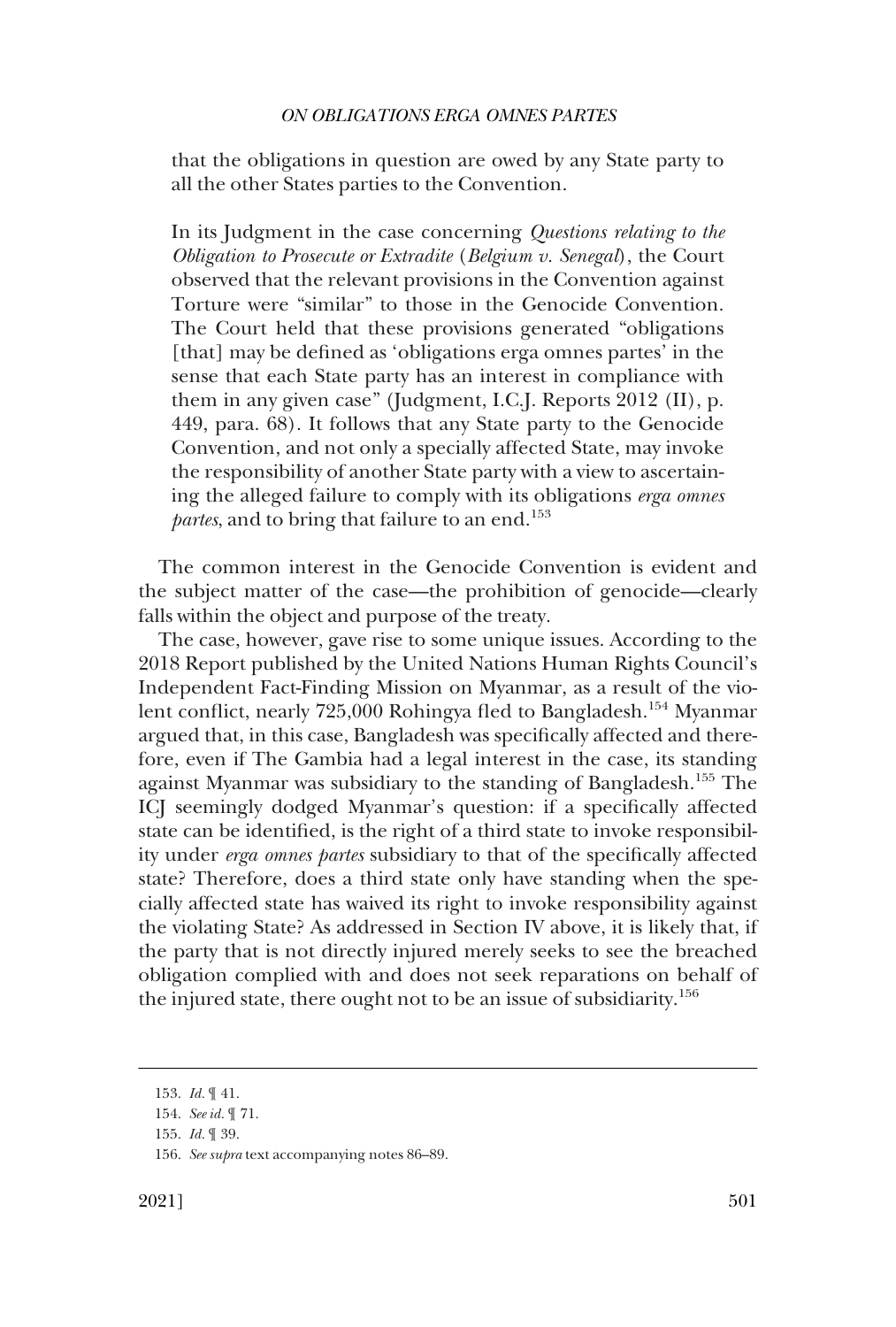that the obligations in question are owed by any State party to all the other States parties to the Convention.

In its Judgment in the case concerning *Questions relating to the Obligation to Prosecute or Extradite* (*Belgium v. Senegal*), the Court observed that the relevant provisions in the Convention against Torture were "similar" to those in the Genocide Convention. The Court held that these provisions generated "obligations [that] may be defined as 'obligations erga omnes partes' in the sense that each State party has an interest in compliance with them in any given case" (Judgment, I.C.J. Reports 2012 (II), p. 449, para. 68). It follows that any State party to the Genocide Convention, and not only a specially affected State, may invoke the responsibility of another State party with a view to ascertaining the alleged failure to comply with its obligations *erga omnes partes*, and to bring that failure to an end.<sup>153</sup>

The common interest in the Genocide Convention is evident and the subject matter of the case—the prohibition of genocide—clearly falls within the object and purpose of the treaty.

The case, however, gave rise to some unique issues. According to the 2018 Report published by the United Nations Human Rights Council's Independent Fact-Finding Mission on Myanmar, as a result of the violent conflict, nearly 725,000 Rohingya fled to Bangladesh.<sup>154</sup> Myanmar argued that, in this case, Bangladesh was specifically affected and therefore, even if The Gambia had a legal interest in the case, its standing against Myanmar was subsidiary to the standing of Bangladesh.<sup>155</sup> The ICJ seemingly dodged Myanmar's question: if a specifically affected state can be identified, is the right of a third state to invoke responsibility under *erga omnes partes* subsidiary to that of the specifically affected state? Therefore, does a third state only have standing when the specially affected state has waived its right to invoke responsibility against the violating State? As addressed in Section IV above, it is likely that, if the party that is not directly injured merely seeks to see the breached obligation complied with and does not seek reparations on behalf of the injured state, there ought not to be an issue of subsidiarity.<sup>156</sup>

<sup>153.</sup> *Id.* ¶ 41.

<sup>154.</sup> *See id.* ¶ 71.

<sup>155.</sup> *Id.* ¶ 39.

<sup>156.</sup> *See supra* text accompanying notes 86–89.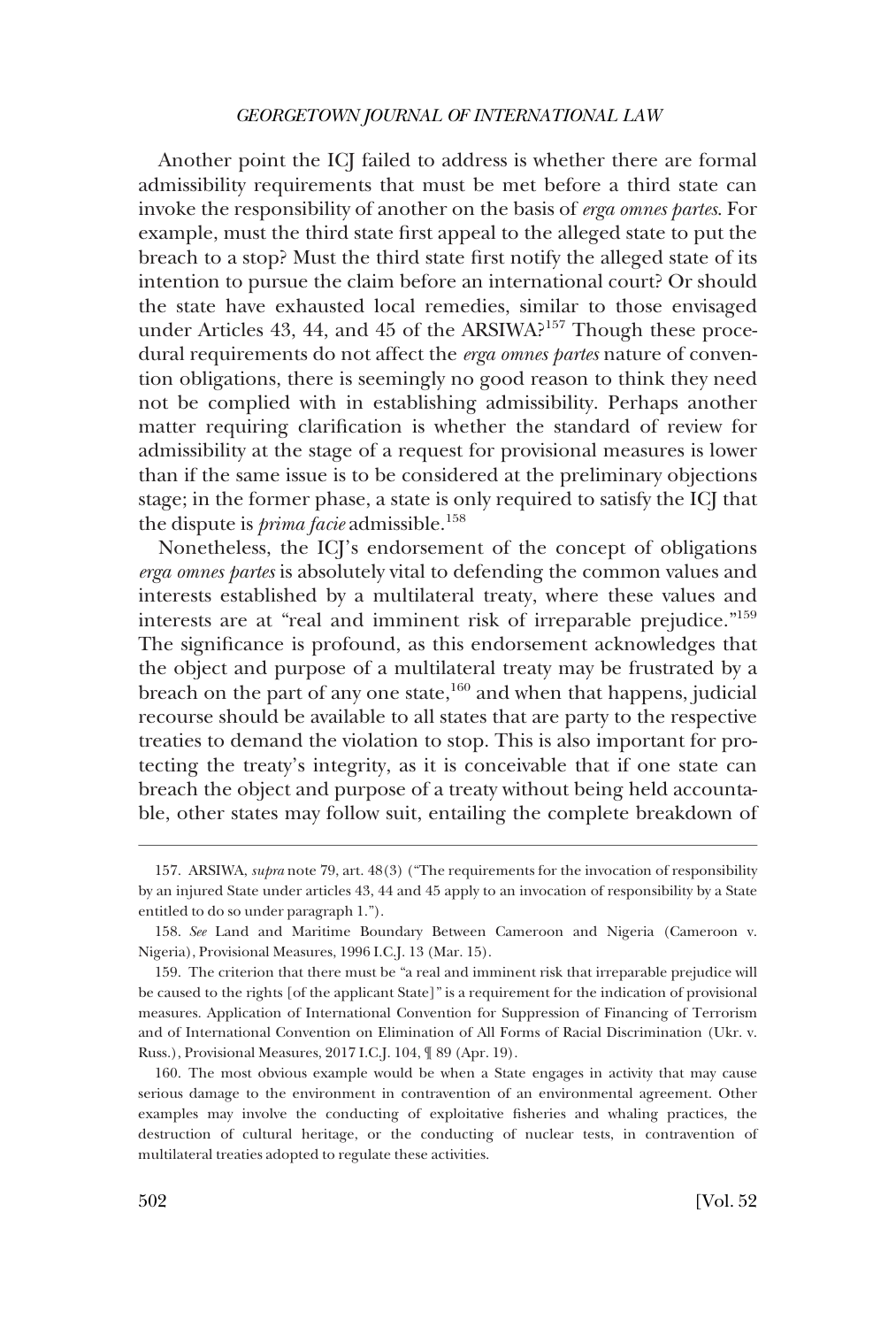Another point the ICJ failed to address is whether there are formal admissibility requirements that must be met before a third state can invoke the responsibility of another on the basis of *erga omnes partes*. For example, must the third state first appeal to the alleged state to put the breach to a stop? Must the third state first notify the alleged state of its intention to pursue the claim before an international court? Or should the state have exhausted local remedies, similar to those envisaged under Articles 43, 44, and 45 of the ARSIWA?<sup>157</sup> Though these procedural requirements do not affect the *erga omnes partes* nature of convention obligations, there is seemingly no good reason to think they need not be complied with in establishing admissibility. Perhaps another matter requiring clarification is whether the standard of review for admissibility at the stage of a request for provisional measures is lower than if the same issue is to be considered at the preliminary objections stage; in the former phase, a state is only required to satisfy the ICJ that the dispute is *prima facie* admissible.<sup>158</sup>

Nonetheless, the ICJ's endorsement of the concept of obligations *erga omnes partes* is absolutely vital to defending the common values and interests established by a multilateral treaty, where these values and interests are at "real and imminent risk of irreparable prejudice."159 The significance is profound, as this endorsement acknowledges that the object and purpose of a multilateral treaty may be frustrated by a breach on the part of any one state,<sup>160</sup> and when that happens, judicial recourse should be available to all states that are party to the respective treaties to demand the violation to stop. This is also important for protecting the treaty's integrity, as it is conceivable that if one state can breach the object and purpose of a treaty without being held accountable, other states may follow suit, entailing the complete breakdown of

<sup>157.</sup> ARSIWA, *supra* note 79, art. 48(3) ("The requirements for the invocation of responsibility by an injured State under articles 43, 44 and 45 apply to an invocation of responsibility by a State entitled to do so under paragraph 1.").

<sup>158.</sup> *See* Land and Maritime Boundary Between Cameroon and Nigeria (Cameroon v. Nigeria), Provisional Measures, 1996 I.C.J. 13 (Mar. 15).

<sup>159.</sup> The criterion that there must be "a real and imminent risk that irreparable prejudice will be caused to the rights [of the applicant State]" is a requirement for the indication of provisional measures. Application of International Convention for Suppression of Financing of Terrorism and of International Convention on Elimination of All Forms of Racial Discrimination (Ukr. v. Russ.), Provisional Measures, 2017 I.C.J. 104, ¶ 89 (Apr. 19).

<sup>160.</sup> The most obvious example would be when a State engages in activity that may cause serious damage to the environment in contravention of an environmental agreement. Other examples may involve the conducting of exploitative fisheries and whaling practices, the destruction of cultural heritage, or the conducting of nuclear tests, in contravention of multilateral treaties adopted to regulate these activities.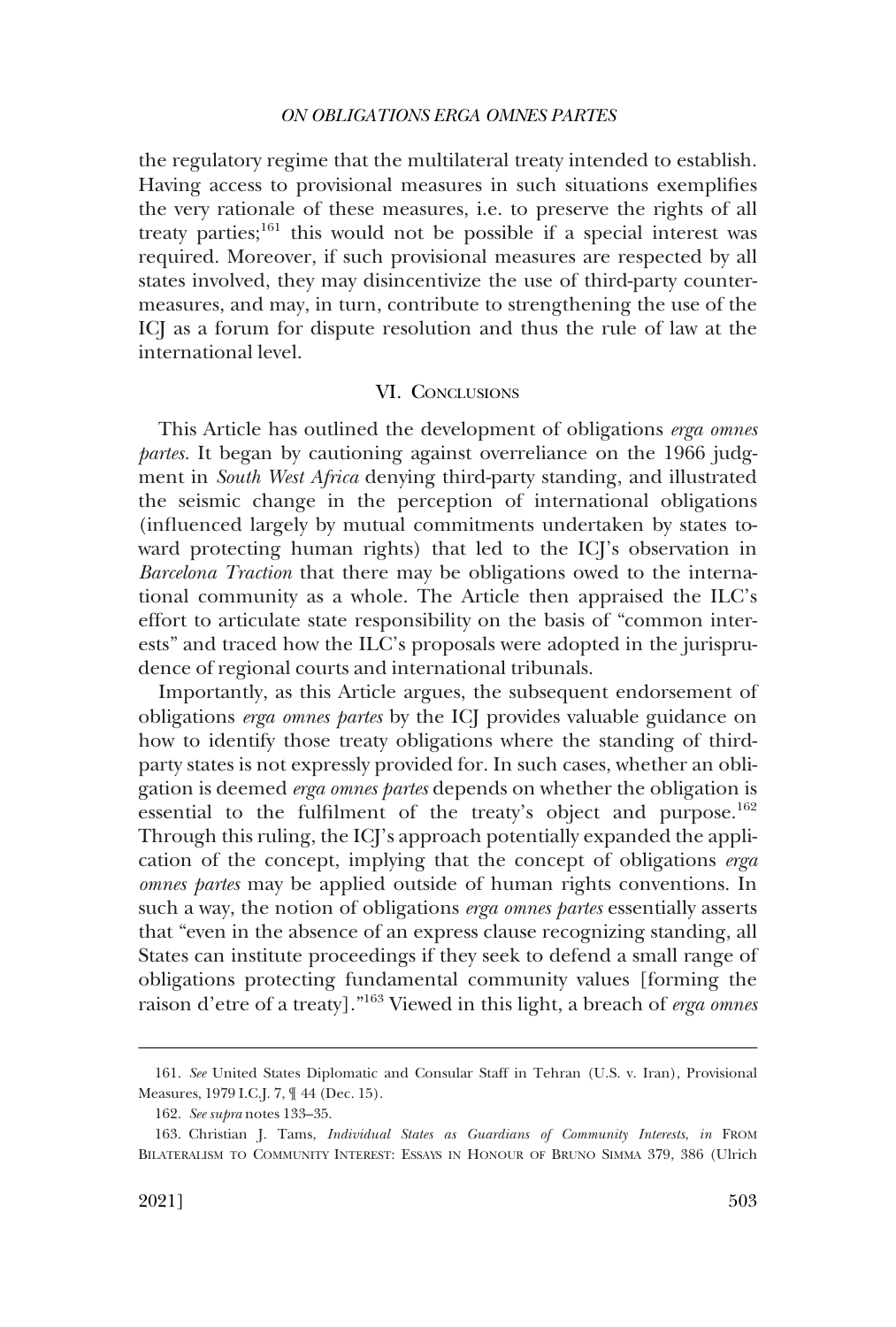<span id="page-34-0"></span>the regulatory regime that the multilateral treaty intended to establish. Having access to provisional measures in such situations exemplifies the very rationale of these measures, i.e. to preserve the rights of all treaty parties; $161$  this would not be possible if a special interest was required. Moreover, if such provisional measures are respected by all states involved, they may disincentivize the use of third-party countermeasures, and may, in turn, contribute to strengthening the use of the ICJ as a forum for dispute resolution and thus the rule of law at the international level.

## VI. CONCLUSIONS

This Article has outlined the development of obligations *erga omnes partes.* It began by cautioning against overreliance on the 1966 judgment in *South West Africa* denying third-party standing, and illustrated the seismic change in the perception of international obligations (influenced largely by mutual commitments undertaken by states toward protecting human rights) that led to the ICJ's observation in *Barcelona Traction* that there may be obligations owed to the international community as a whole. The Article then appraised the ILC's effort to articulate state responsibility on the basis of "common interests" and traced how the ILC's proposals were adopted in the jurisprudence of regional courts and international tribunals.

Importantly, as this Article argues, the subsequent endorsement of obligations *erga omnes partes* by the ICJ provides valuable guidance on how to identify those treaty obligations where the standing of thirdparty states is not expressly provided for. In such cases, whether an obligation is deemed *erga omnes partes* depends on whether the obligation is essential to the fulfilment of the treaty's object and purpose.<sup>162</sup> Through this ruling, the ICJ's approach potentially expanded the application of the concept, implying that the concept of obligations *erga omnes partes* may be applied outside of human rights conventions. In such a way, the notion of obligations *erga omnes partes* essentially asserts that "even in the absence of an express clause recognizing standing, all States can institute proceedings if they seek to defend a small range of obligations protecting fundamental community values [forming the raison d'etre of a treaty]."163 Viewed in this light, a breach of *erga omnes* 

<sup>161.</sup> *See* United States Diplomatic and Consular Staff in Tehran (U.S. v. Iran), Provisional Measures, 1979 I.C.J. 7, ¶ 44 (Dec. 15).

<sup>162.</sup> *See supra* notes 133–35.

<sup>163.</sup> Christian J. Tams, *Individual States as Guardians of Community Interests*, *in* FROM BILATERALISM TO COMMUNITY INTEREST: ESSAYS IN HONOUR OF BRUNO SIMMA 379, 386 (Ulrich